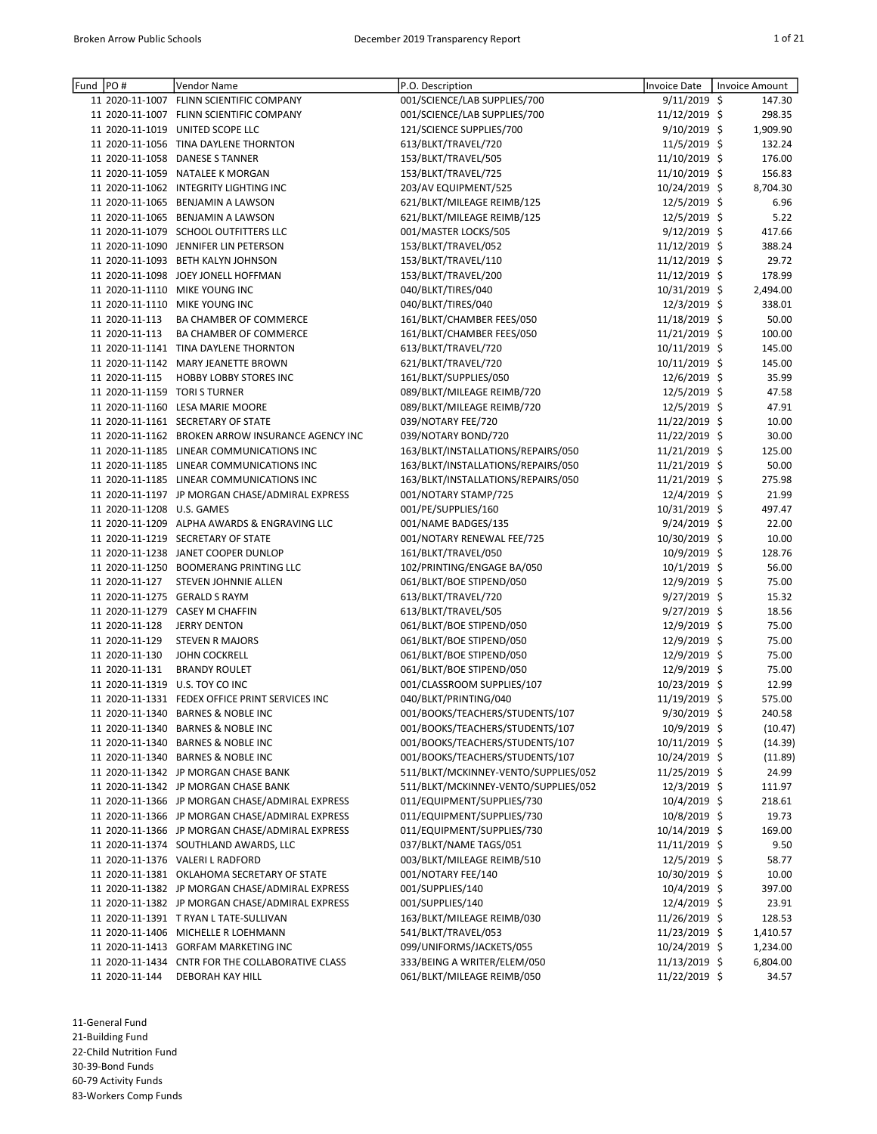| Fund | PO#                        | Vendor Name                                       | P.O. Description                     | Invoice Date   | Invoice Amount |
|------|----------------------------|---------------------------------------------------|--------------------------------------|----------------|----------------|
|      |                            | 11 2020-11-1007 FLINN SCIENTIFIC COMPANY          | 001/SCIENCE/LAB SUPPLIES/700         | $9/11/2019$ \$ | 147.30         |
|      |                            | 11 2020-11-1007 FLINN SCIENTIFIC COMPANY          | 001/SCIENCE/LAB SUPPLIES/700         | 11/12/2019 \$  | 298.35         |
|      |                            | 11 2020-11-1019 UNITED SCOPE LLC                  | 121/SCIENCE SUPPLIES/700             | 9/10/2019 \$   | 1,909.90       |
|      |                            | 11 2020-11-1056 TINA DAYLENE THORNTON             | 613/BLKT/TRAVEL/720                  | 11/5/2019 \$   | 132.24         |
|      |                            | 11 2020-11-1058 DANESE S TANNER                   | 153/BLKT/TRAVEL/505                  | 11/10/2019 \$  | 176.00         |
|      |                            | 11 2020-11-1059 NATALEE K MORGAN                  | 153/BLKT/TRAVEL/725                  | 11/10/2019 \$  | 156.83         |
|      |                            | 11 2020-11-1062 INTEGRITY LIGHTING INC            | 203/AV EQUIPMENT/525                 | 10/24/2019 \$  | 8,704.30       |
|      |                            | 11 2020-11-1065 BENJAMIN A LAWSON                 | 621/BLKT/MILEAGE REIMB/125           | 12/5/2019 \$   | 6.96           |
|      |                            | 11 2020-11-1065 BENJAMIN A LAWSON                 | 621/BLKT/MILEAGE REIMB/125           | 12/5/2019 \$   | 5.22           |
|      |                            | 11 2020-11-1079 SCHOOL OUTFITTERS LLC             | 001/MASTER LOCKS/505                 | $9/12/2019$ \$ | 417.66         |
|      |                            | 11 2020-11-1090 JENNIFER LIN PETERSON             | 153/BLKT/TRAVEL/052                  | 11/12/2019 \$  | 388.24         |
|      |                            | 11 2020-11-1093 BETH KALYN JOHNSON                | 153/BLKT/TRAVEL/110                  | 11/12/2019 \$  | 29.72          |
|      |                            | 11 2020-11-1098 JOEY JONELL HOFFMAN               | 153/BLKT/TRAVEL/200                  | 11/12/2019 \$  | 178.99         |
|      |                            | 11 2020-11-1110 MIKE YOUNG INC                    | 040/BLKT/TIRES/040                   | 10/31/2019 \$  | 2,494.00       |
|      |                            | 11 2020-11-1110 MIKE YOUNG INC                    | 040/BLKT/TIRES/040                   | $12/3/2019$ \$ | 338.01         |
|      | 11 2020-11-113             | BA CHAMBER OF COMMERCE                            | 161/BLKT/CHAMBER FEES/050            | 11/18/2019 \$  | 50.00          |
|      | 11 2020-11-113             | BA CHAMBER OF COMMERCE                            | 161/BLKT/CHAMBER FEES/050            | 11/21/2019 \$  | 100.00         |
|      |                            | 11 2020-11-1141 TINA DAYLENE THORNTON             | 613/BLKT/TRAVEL/720                  | 10/11/2019 \$  | 145.00         |
|      |                            | 11 2020-11-1142 MARY JEANETTE BROWN               | 621/BLKT/TRAVEL/720                  | 10/11/2019 \$  | 145.00         |
|      | 11 2020-11-115             | HOBBY LOBBY STORES INC                            | 161/BLKT/SUPPLIES/050                | 12/6/2019 \$   | 35.99          |
|      |                            | 11 2020-11-1159 TORI S TURNER                     | 089/BLKT/MILEAGE REIMB/720           | 12/5/2019 \$   | 47.58          |
|      |                            | 11 2020-11-1160 LESA MARIE MOORE                  | 089/BLKT/MILEAGE REIMB/720           | 12/5/2019 \$   | 47.91          |
|      |                            | 11 2020-11-1161 SECRETARY OF STATE                | 039/NOTARY FEE/720                   | 11/22/2019 \$  | 10.00          |
|      |                            | 11 2020-11-1162 BROKEN ARROW INSURANCE AGENCY INC | 039/NOTARY BOND/720                  | 11/22/2019 \$  | 30.00          |
|      |                            | 11 2020-11-1185 LINEAR COMMUNICATIONS INC         | 163/BLKT/INSTALLATIONS/REPAIRS/050   | 11/21/2019 \$  | 125.00         |
|      |                            | 11 2020-11-1185 LINEAR COMMUNICATIONS INC         | 163/BLKT/INSTALLATIONS/REPAIRS/050   | 11/21/2019 \$  | 50.00          |
|      |                            | 11 2020-11-1185 LINEAR COMMUNICATIONS INC         | 163/BLKT/INSTALLATIONS/REPAIRS/050   | 11/21/2019 \$  | 275.98         |
|      |                            | 11 2020-11-1197 JP MORGAN CHASE/ADMIRAL EXPRESS   | 001/NOTARY STAMP/725                 | 12/4/2019 \$   | 21.99          |
|      | 11 2020-11-1208 U.S. GAMES |                                                   | 001/PE/SUPPLIES/160                  | 10/31/2019 \$  | 497.47         |
|      |                            | 11 2020-11-1209 ALPHA AWARDS & ENGRAVING LLC      | 001/NAME BADGES/135                  | $9/24/2019$ \$ | 22.00          |
|      |                            | 11 2020-11-1219 SECRETARY OF STATE                | 001/NOTARY RENEWAL FEE/725           | 10/30/2019 \$  | 10.00          |
|      |                            | 11 2020-11-1238 JANET COOPER DUNLOP               | 161/BLKT/TRAVEL/050                  | 10/9/2019 \$   | 128.76         |
|      |                            | 11 2020-11-1250 BOOMERANG PRINTING LLC            | 102/PRINTING/ENGAGE BA/050           | 10/1/2019 \$   | 56.00          |
|      | 11 2020-11-127             | STEVEN JOHNNIE ALLEN                              | 061/BLKT/BOE STIPEND/050             | 12/9/2019 \$   | 75.00          |
|      |                            | 11 2020-11-1275 GERALD S RAYM                     | 613/BLKT/TRAVEL/720                  | $9/27/2019$ \$ | 15.32          |
|      |                            | 11 2020-11-1279 CASEY M CHAFFIN                   | 613/BLKT/TRAVEL/505                  | $9/27/2019$ \$ | 18.56          |
|      | 11 2020-11-128             | <b>JERRY DENTON</b>                               | 061/BLKT/BOE STIPEND/050             | 12/9/2019 \$   | 75.00          |
|      | 11 2020-11-129             | <b>STEVEN R MAJORS</b>                            | 061/BLKT/BOE STIPEND/050             | 12/9/2019 \$   | 75.00          |
|      | 11 2020-11-130             | <b>JOHN COCKRELL</b>                              | 061/BLKT/BOE STIPEND/050             | 12/9/2019 \$   | 75.00          |
|      | 11 2020-11-131             | <b>BRANDY ROULET</b>                              | 061/BLKT/BOE STIPEND/050             | 12/9/2019 \$   | 75.00          |
|      |                            | 11 2020-11-1319 U.S. TOY CO INC                   | 001/CLASSROOM SUPPLIES/107           | 10/23/2019 \$  | 12.99          |
|      |                            | 11 2020-11-1331 FEDEX OFFICE PRINT SERVICES INC   | 040/BLKT/PRINTING/040                | 11/19/2019 \$  | 575.00         |
|      |                            | 11 2020-11-1340 BARNES & NOBLE INC                | 001/BOOKS/TEACHERS/STUDENTS/107      | 9/30/2019 \$   | 240.58         |
|      |                            | 11 2020-11-1340 BARNES & NOBLE INC                | 001/BOOKS/TEACHERS/STUDENTS/107      | $10/9/2019$ \$ | (10.47)        |
|      |                            | 11 2020-11-1340 BARNES & NOBLE INC                | 001/BOOKS/TEACHERS/STUDENTS/107      | 10/11/2019 \$  | (14.39)        |
|      |                            | 11 2020-11-1340 BARNES & NOBLE INC                | 001/BOOKS/TEACHERS/STUDENTS/107      | 10/24/2019 \$  | (11.89)        |
|      |                            | 11 2020-11-1342 JP MORGAN CHASE BANK              | 511/BLKT/MCKINNEY-VENTO/SUPPLIES/052 | 11/25/2019 \$  | 24.99          |
|      |                            | 11 2020-11-1342 JP MORGAN CHASE BANK              | 511/BLKT/MCKINNEY-VENTO/SUPPLIES/052 | 12/3/2019 \$   | 111.97         |
|      |                            | 11 2020-11-1366 JP MORGAN CHASE/ADMIRAL EXPRESS   | 011/EQUIPMENT/SUPPLIES/730           | $10/4/2019$ \$ | 218.61         |
|      |                            | 11 2020-11-1366 JP MORGAN CHASE/ADMIRAL EXPRESS   | 011/EQUIPMENT/SUPPLIES/730           | 10/8/2019 \$   | 19.73          |
|      |                            | 11 2020-11-1366 JP MORGAN CHASE/ADMIRAL EXPRESS   | 011/EQUIPMENT/SUPPLIES/730           | 10/14/2019 \$  | 169.00         |
|      |                            | 11 2020-11-1374 SOUTHLAND AWARDS, LLC             | 037/BLKT/NAME TAGS/051               | 11/11/2019 \$  | 9.50           |
|      |                            | 11 2020-11-1376 VALERI L RADFORD                  | 003/BLKT/MILEAGE REIMB/510           | $12/5/2019$ \$ | 58.77          |
|      |                            | 11 2020-11-1381 OKLAHOMA SECRETARY OF STATE       | 001/NOTARY FEE/140                   | 10/30/2019 \$  | 10.00          |
|      |                            | 11 2020-11-1382 JP MORGAN CHASE/ADMIRAL EXPRESS   | 001/SUPPLIES/140                     | 10/4/2019 \$   | 397.00         |
|      |                            | 11 2020-11-1382 JP MORGAN CHASE/ADMIRAL EXPRESS   | 001/SUPPLIES/140                     | 12/4/2019 \$   | 23.91          |
|      |                            | 11 2020-11-1391 T RYAN L TATE-SULLIVAN            | 163/BLKT/MILEAGE REIMB/030           | 11/26/2019 \$  | 128.53         |
|      |                            | 11 2020-11-1406 MICHELLE R LOEHMANN               | 541/BLKT/TRAVEL/053                  | 11/23/2019 \$  | 1,410.57       |
|      |                            | 11 2020-11-1413 GORFAM MARKETING INC              | 099/UNIFORMS/JACKETS/055             | 10/24/2019 \$  | 1,234.00       |
|      |                            | 11 2020-11-1434 CNTR FOR THE COLLABORATIVE CLASS  | 333/BEING A WRITER/ELEM/050          | 11/13/2019 \$  | 6,804.00       |
|      | 11 2020-11-144             | DEBORAH KAY HILL                                  | 061/BLKT/MILEAGE REIMB/050           | 11/22/2019 \$  | 34.57          |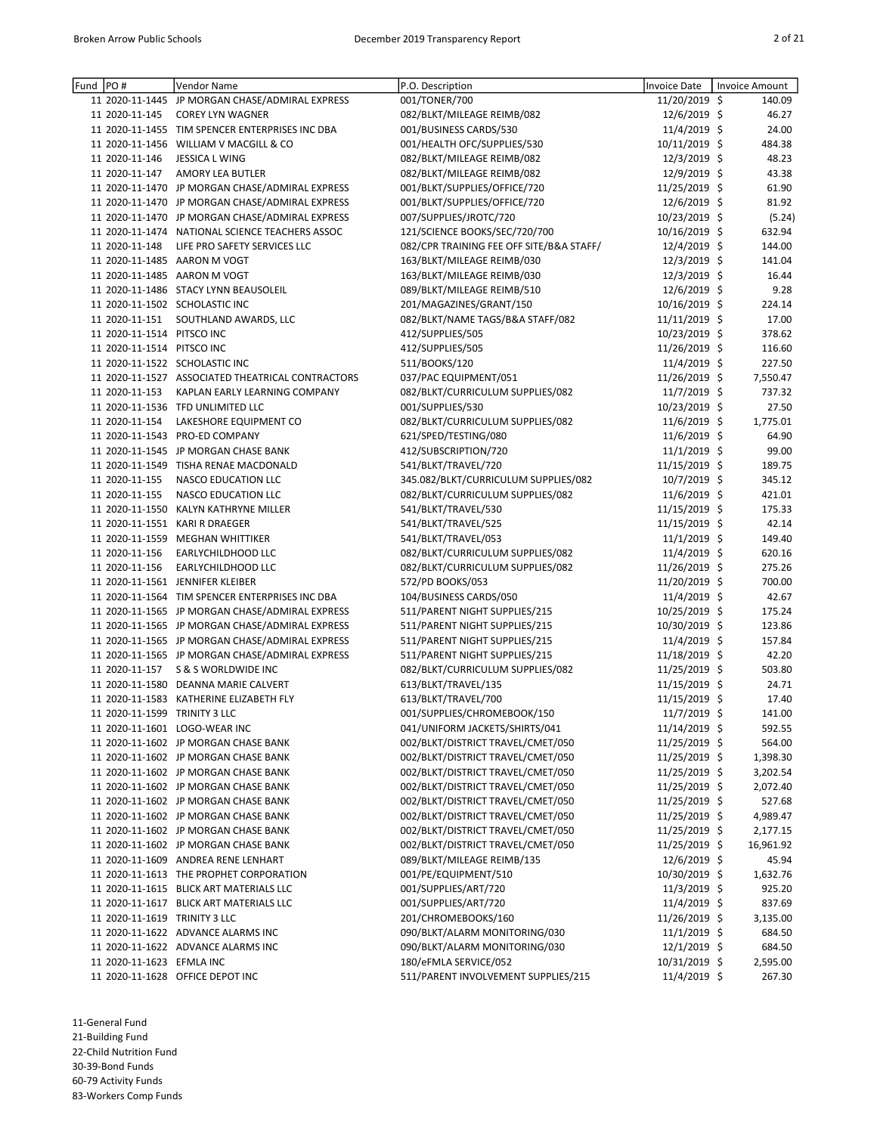| Fund PO# |                               | Vendor Name                                       | P.O. Description                         | <b>Invoice Date</b> | <b>Invoice Amount</b> |
|----------|-------------------------------|---------------------------------------------------|------------------------------------------|---------------------|-----------------------|
|          |                               | 11 2020-11-1445 JP MORGAN CHASE/ADMIRAL EXPRESS   | 001/TONER/700                            | 11/20/2019 \$       | 140.09                |
|          | 11 2020-11-145                | <b>COREY LYN WAGNER</b>                           | 082/BLKT/MILEAGE REIMB/082               | 12/6/2019 \$        | 46.27                 |
|          |                               | 11 2020-11-1455 TIM SPENCER ENTERPRISES INC DBA   | 001/BUSINESS CARDS/530                   | 11/4/2019 \$        | 24.00                 |
|          |                               | 11 2020-11-1456 WILLIAM V MACGILL & CO            | 001/HEALTH OFC/SUPPLIES/530              | 10/11/2019 \$       | 484.38                |
|          | 11 2020-11-146                | <b>JESSICA L WING</b>                             | 082/BLKT/MILEAGE REIMB/082               | 12/3/2019 \$        | 48.23                 |
|          | 11 2020-11-147                | <b>AMORY LEA BUTLER</b>                           | 082/BLKT/MILEAGE REIMB/082               | 12/9/2019 \$        | 43.38                 |
|          |                               | 11 2020-11-1470 JP MORGAN CHASE/ADMIRAL EXPRESS   | 001/BLKT/SUPPLIES/OFFICE/720             | 11/25/2019 \$       | 61.90                 |
|          |                               | 11 2020-11-1470 JP MORGAN CHASE/ADMIRAL EXPRESS   | 001/BLKT/SUPPLIES/OFFICE/720             | 12/6/2019 \$        | 81.92                 |
|          |                               | 11 2020-11-1470 JP MORGAN CHASE/ADMIRAL EXPRESS   | 007/SUPPLIES/JROTC/720                   | 10/23/2019 \$       | (5.24)                |
|          |                               | 11 2020-11-1474 NATIONAL SCIENCE TEACHERS ASSOC   | 121/SCIENCE BOOKS/SEC/720/700            | 10/16/2019 \$       | 632.94                |
|          | 11 2020-11-148                | LIFE PRO SAFETY SERVICES LLC                      | 082/CPR TRAINING FEE OFF SITE/B&A STAFF/ | 12/4/2019 \$        | 144.00                |
|          |                               | 11 2020-11-1485 AARON M VOGT                      | 163/BLKT/MILEAGE REIMB/030               | 12/3/2019 \$        | 141.04                |
|          |                               | 11 2020-11-1485 AARON M VOGT                      | 163/BLKT/MILEAGE REIMB/030               | 12/3/2019 \$        | 16.44                 |
|          |                               | 11 2020-11-1486 STACY LYNN BEAUSOLEIL             | 089/BLKT/MILEAGE REIMB/510               | 12/6/2019 \$        | 9.28                  |
|          |                               | 11 2020-11-1502 SCHOLASTIC INC                    | 201/MAGAZINES/GRANT/150                  | 10/16/2019 \$       | 224.14                |
|          | 11 2020-11-151                | SOUTHLAND AWARDS, LLC                             | 082/BLKT/NAME TAGS/B&A STAFF/082         | 11/11/2019 \$       | 17.00                 |
|          | 11 2020-11-1514 PITSCO INC    |                                                   | 412/SUPPLIES/505                         | 10/23/2019 \$       | 378.62                |
|          | 11 2020-11-1514 PITSCO INC    |                                                   | 412/SUPPLIES/505                         | 11/26/2019 \$       | 116.60                |
|          |                               | 11 2020-11-1522 SCHOLASTIC INC                    | 511/BOOKS/120                            | 11/4/2019 \$        | 227.50                |
|          |                               | 11 2020-11-1527 ASSOCIATED THEATRICAL CONTRACTORS | 037/PAC EQUIPMENT/051                    | 11/26/2019 \$       | 7,550.47              |
|          | 11 2020-11-153                | KAPLAN EARLY LEARNING COMPANY                     | 082/BLKT/CURRICULUM SUPPLIES/082         | 11/7/2019 \$        | 737.32                |
|          |                               | 11 2020-11-1536 TFD UNLIMITED LLC                 | 001/SUPPLIES/530                         | 10/23/2019 \$       | 27.50                 |
|          | 11 2020-11-154                | LAKESHORE EQUIPMENT CO                            | 082/BLKT/CURRICULUM SUPPLIES/082         | 11/6/2019 \$        | 1,775.01              |
|          |                               | 11 2020-11-1543 PRO-ED COMPANY                    | 621/SPED/TESTING/080                     | 11/6/2019 \$        | 64.90                 |
|          |                               | 11 2020-11-1545 JP MORGAN CHASE BANK              | 412/SUBSCRIPTION/720                     | 11/1/2019 \$        | 99.00                 |
|          |                               | 11 2020-11-1549 TISHA RENAE MACDONALD             | 541/BLKT/TRAVEL/720                      | 11/15/2019 \$       | 189.75                |
|          | 11 2020-11-155                | NASCO EDUCATION LLC                               | 345.082/BLKT/CURRICULUM SUPPLIES/082     | 10/7/2019 \$        | 345.12                |
|          | 11 2020-11-155                | NASCO EDUCATION LLC                               | 082/BLKT/CURRICULUM SUPPLIES/082         | 11/6/2019 \$        | 421.01                |
|          |                               | 11 2020-11-1550 KALYN KATHRYNE MILLER             | 541/BLKT/TRAVEL/530                      | 11/15/2019 \$       | 175.33                |
|          |                               | 11 2020-11-1551 KARI R DRAEGER                    | 541/BLKT/TRAVEL/525                      | 11/15/2019 \$       | 42.14                 |
|          |                               | 11 2020-11-1559 MEGHAN WHITTIKER                  | 541/BLKT/TRAVEL/053                      | 11/1/2019 \$        | 149.40                |
|          | 11 2020-11-156                | EARLYCHILDHOOD LLC                                | 082/BLKT/CURRICULUM SUPPLIES/082         | 11/4/2019 \$        | 620.16                |
|          | 11 2020-11-156                | EARLYCHILDHOOD LLC                                | 082/BLKT/CURRICULUM SUPPLIES/082         | 11/26/2019 \$       | 275.26                |
|          |                               | 11 2020-11-1561 JENNIFER KLEIBER                  | 572/PD BOOKS/053                         | 11/20/2019 \$       | 700.00                |
|          |                               | 11 2020-11-1564 TIM SPENCER ENTERPRISES INC DBA   | 104/BUSINESS CARDS/050                   | 11/4/2019 \$        | 42.67                 |
|          |                               | 11 2020-11-1565 JP MORGAN CHASE/ADMIRAL EXPRESS   | 511/PARENT NIGHT SUPPLIES/215            | 10/25/2019 \$       | 175.24                |
|          |                               | 11 2020-11-1565 JP MORGAN CHASE/ADMIRAL EXPRESS   | 511/PARENT NIGHT SUPPLIES/215            | 10/30/2019 \$       | 123.86                |
|          |                               | 11 2020-11-1565 JP MORGAN CHASE/ADMIRAL EXPRESS   | 511/PARENT NIGHT SUPPLIES/215            | 11/4/2019 \$        | 157.84                |
|          |                               | 11 2020-11-1565 JP MORGAN CHASE/ADMIRAL EXPRESS   | 511/PARENT NIGHT SUPPLIES/215            | 11/18/2019 \$       | 42.20                 |
|          | 11 2020-11-157                | S & S WORLDWIDE INC                               | 082/BLKT/CURRICULUM SUPPLIES/082         | 11/25/2019 \$       | 503.80                |
|          |                               | 11 2020-11-1580 DEANNA MARIE CALVERT              | 613/BLKT/TRAVEL/135                      | 11/15/2019 \$       | 24.71                 |
|          |                               | 11 2020-11-1583 KATHERINE ELIZABETH FLY           | 613/BLKT/TRAVEL/700                      | 11/15/2019 \$       | 17.40                 |
|          | 11 2020-11-1599 TRINITY 3 LLC |                                                   | 001/SUPPLIES/CHROMEBOOK/150              | 11/7/2019 \$        | 141.00                |
|          |                               | 11 2020-11-1601 LOGO-WEAR INC                     | 041/UNIFORM JACKETS/SHIRTS/041           | 11/14/2019 \$       | 592.55                |
|          |                               | 11 2020-11-1602 JP MORGAN CHASE BANK              | 002/BLKT/DISTRICT TRAVEL/CMET/050        | 11/25/2019 \$       | 564.00                |
|          |                               | 11 2020-11-1602 JP MORGAN CHASE BANK              | 002/BLKT/DISTRICT TRAVEL/CMET/050        | 11/25/2019 \$       | 1,398.30              |
|          |                               | 11 2020-11-1602 JP MORGAN CHASE BANK              | 002/BLKT/DISTRICT TRAVEL/CMET/050        | 11/25/2019 \$       | 3,202.54              |
|          |                               | 11 2020-11-1602 JP MORGAN CHASE BANK              | 002/BLKT/DISTRICT TRAVEL/CMET/050        | 11/25/2019 \$       | 2,072.40              |
|          |                               | 11 2020-11-1602 JP MORGAN CHASE BANK              | 002/BLKT/DISTRICT TRAVEL/CMET/050        | 11/25/2019 \$       | 527.68                |
|          |                               | 11 2020-11-1602 JP MORGAN CHASE BANK              | 002/BLKT/DISTRICT TRAVEL/CMET/050        | 11/25/2019 \$       | 4,989.47              |
|          |                               | 11 2020-11-1602 JP MORGAN CHASE BANK              | 002/BLKT/DISTRICT TRAVEL/CMET/050        | 11/25/2019 \$       | 2,177.15              |
|          |                               | 11 2020-11-1602 JP MORGAN CHASE BANK              | 002/BLKT/DISTRICT TRAVEL/CMET/050        | 11/25/2019 \$       | 16,961.92             |
|          |                               | 11 2020-11-1609 ANDREA RENE LENHART               | 089/BLKT/MILEAGE REIMB/135               | 12/6/2019 \$        | 45.94                 |
|          |                               | 11 2020-11-1613 THE PROPHET CORPORATION           | 001/PE/EQUIPMENT/510                     | 10/30/2019 \$       | 1,632.76              |
|          |                               | 11 2020-11-1615 BLICK ART MATERIALS LLC           | 001/SUPPLIES/ART/720                     | $11/3/2019$ \$      | 925.20                |
|          |                               | 11 2020-11-1617 BLICK ART MATERIALS LLC           | 001/SUPPLIES/ART/720                     | 11/4/2019 \$        | 837.69                |
|          | 11 2020-11-1619 TRINITY 3 LLC |                                                   | 201/CHROMEBOOKS/160                      | 11/26/2019 \$       | 3,135.00              |
|          |                               | 11 2020-11-1622 ADVANCE ALARMS INC                | 090/BLKT/ALARM MONITORING/030            | $11/1/2019$ \$      | 684.50                |
|          |                               | 11 2020-11-1622 ADVANCE ALARMS INC                | 090/BLKT/ALARM MONITORING/030            | 12/1/2019 \$        | 684.50                |
|          | 11 2020-11-1623 EFMLA INC     |                                                   | 180/eFMLA SERVICE/052                    | 10/31/2019 \$       | 2,595.00              |
|          |                               | 11 2020-11-1628 OFFICE DEPOT INC                  | 511/PARENT INVOLVEMENT SUPPLIES/215      | 11/4/2019 \$        | 267.30                |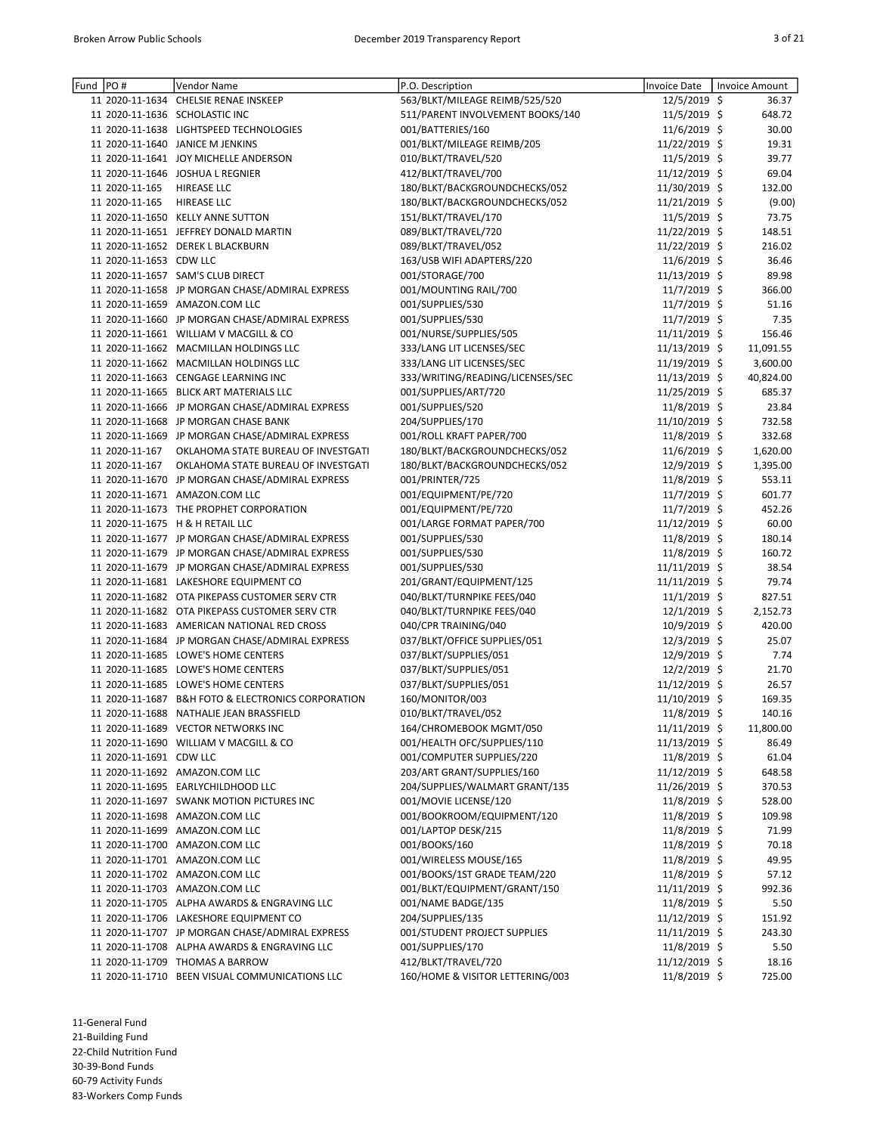| Fund | PO#                     | <b>Vendor Name</b>                                               | P.O. Description                 | <b>Invoice Date</b> | <b>Invoice Amount</b> |
|------|-------------------------|------------------------------------------------------------------|----------------------------------|---------------------|-----------------------|
|      |                         | 11 2020-11-1634 CHELSIE RENAE INSKEEP                            | 563/BLKT/MILEAGE REIMB/525/520   | 12/5/2019 \$        | 36.37                 |
|      |                         | 11 2020-11-1636 SCHOLASTIC INC                                   | 511/PARENT INVOLVEMENT BOOKS/140 | 11/5/2019 \$        | 648.72                |
|      |                         | 11 2020-11-1638 LIGHTSPEED TECHNOLOGIES                          | 001/BATTERIES/160                | 11/6/2019 \$        | 30.00                 |
|      |                         | 11 2020-11-1640 JANICE M JENKINS                                 | 001/BLKT/MILEAGE REIMB/205       | 11/22/2019 \$       | 19.31                 |
|      |                         | 11 2020-11-1641 JOY MICHELLE ANDERSON                            | 010/BLKT/TRAVEL/520              | 11/5/2019 \$        | 39.77                 |
|      |                         | 11 2020-11-1646 JOSHUA L REGNIER                                 | 412/BLKT/TRAVEL/700              | 11/12/2019 \$       | 69.04                 |
|      | 11 2020-11-165          | <b>HIREASE LLC</b>                                               | 180/BLKT/BACKGROUNDCHECKS/052    | 11/30/2019 \$       | 132.00                |
|      | 11 2020-11-165          | <b>HIREASE LLC</b>                                               | 180/BLKT/BACKGROUNDCHECKS/052    | 11/21/2019 \$       | (9.00)                |
|      |                         | 11 2020-11-1650 KELLY ANNE SUTTON                                | 151/BLKT/TRAVEL/170              | $11/5/2019$ \$      | 73.75                 |
|      |                         | 11 2020-11-1651 JEFFREY DONALD MARTIN                            | 089/BLKT/TRAVEL/720              | 11/22/2019 \$       | 148.51                |
|      |                         | 11 2020-11-1652 DEREK L BLACKBURN                                | 089/BLKT/TRAVEL/052              | 11/22/2019 \$       | 216.02                |
|      | 11 2020-11-1653 CDW LLC |                                                                  | 163/USB WIFI ADAPTERS/220        | 11/6/2019 \$        | 36.46                 |
|      |                         | 11 2020-11-1657 SAM'S CLUB DIRECT                                | 001/STORAGE/700                  | 11/13/2019 \$       | 89.98                 |
|      |                         | 11 2020-11-1658 JP MORGAN CHASE/ADMIRAL EXPRESS                  | 001/MOUNTING RAIL/700            | 11/7/2019 \$        | 366.00                |
|      |                         | 11 2020-11-1659 AMAZON.COM LLC                                   |                                  | 11/7/2019 \$        | 51.16                 |
|      |                         |                                                                  | 001/SUPPLIES/530                 |                     |                       |
|      |                         | 11 2020-11-1660 JP MORGAN CHASE/ADMIRAL EXPRESS                  | 001/SUPPLIES/530                 | 11/7/2019 \$        | 7.35                  |
|      |                         | 11 2020-11-1661 WILLIAM V MACGILL & CO                           | 001/NURSE/SUPPLIES/505           | 11/11/2019 \$       | 156.46                |
|      |                         | 11 2020-11-1662 MACMILLAN HOLDINGS LLC                           | 333/LANG LIT LICENSES/SEC        | 11/13/2019 \$       | 11,091.55             |
|      |                         | 11 2020-11-1662 MACMILLAN HOLDINGS LLC                           | 333/LANG LIT LICENSES/SEC        | 11/19/2019 \$       | 3,600.00              |
|      |                         | 11 2020-11-1663 CENGAGE LEARNING INC                             | 333/WRITING/READING/LICENSES/SEC | 11/13/2019 \$       | 40,824.00             |
|      |                         | 11 2020-11-1665 BLICK ART MATERIALS LLC                          | 001/SUPPLIES/ART/720             | 11/25/2019 \$       | 685.37                |
|      |                         | 11 2020-11-1666 JP MORGAN CHASE/ADMIRAL EXPRESS                  | 001/SUPPLIES/520                 | 11/8/2019 \$        | 23.84                 |
|      |                         | 11 2020-11-1668 JP MORGAN CHASE BANK                             | 204/SUPPLIES/170                 | 11/10/2019 \$       | 732.58                |
|      |                         | 11 2020-11-1669 JP MORGAN CHASE/ADMIRAL EXPRESS                  | 001/ROLL KRAFT PAPER/700         | 11/8/2019 \$        | 332.68                |
|      | 11 2020-11-167          | OKLAHOMA STATE BUREAU OF INVESTGATI                              | 180/BLKT/BACKGROUNDCHECKS/052    | 11/6/2019 \$        | 1,620.00              |
|      | 11 2020-11-167          | OKLAHOMA STATE BUREAU OF INVESTGATI                              | 180/BLKT/BACKGROUNDCHECKS/052    | 12/9/2019 \$        | 1,395.00              |
|      |                         | 11 2020-11-1670 JP MORGAN CHASE/ADMIRAL EXPRESS                  | 001/PRINTER/725                  | 11/8/2019 \$        | 553.11                |
|      |                         | 11 2020-11-1671 AMAZON.COM LLC                                   | 001/EQUIPMENT/PE/720             | 11/7/2019 \$        | 601.77                |
|      |                         | 11 2020-11-1673 THE PROPHET CORPORATION                          | 001/EQUIPMENT/PE/720             | 11/7/2019 \$        | 452.26                |
|      |                         | 11 2020-11-1675 H & H RETAIL LLC                                 | 001/LARGE FORMAT PAPER/700       | 11/12/2019 \$       | 60.00                 |
|      |                         | 11 2020-11-1677 JP MORGAN CHASE/ADMIRAL EXPRESS                  | 001/SUPPLIES/530                 | 11/8/2019 \$        | 180.14                |
|      |                         | 11 2020-11-1679 JP MORGAN CHASE/ADMIRAL EXPRESS                  | 001/SUPPLIES/530                 | 11/8/2019 \$        | 160.72                |
|      |                         |                                                                  |                                  |                     |                       |
|      |                         | 11 2020-11-1679 JP MORGAN CHASE/ADMIRAL EXPRESS                  | 001/SUPPLIES/530                 | 11/11/2019 \$       | 38.54                 |
|      |                         | 11 2020-11-1681 LAKESHORE EQUIPMENT CO                           | 201/GRANT/EQUIPMENT/125          | 11/11/2019 \$       | 79.74                 |
|      |                         | 11 2020-11-1682 OTA PIKEPASS CUSTOMER SERV CTR                   | 040/BLKT/TURNPIKE FEES/040       | $11/1/2019$ \$      | 827.51                |
|      |                         | 11 2020-11-1682 OTA PIKEPASS CUSTOMER SERV CTR                   | 040/BLKT/TURNPIKE FEES/040       | 12/1/2019 \$        | 2,152.73              |
|      |                         | 11 2020-11-1683 AMERICAN NATIONAL RED CROSS                      | 040/CPR TRAINING/040             | 10/9/2019 \$        | 420.00                |
|      |                         | 11 2020-11-1684 JP MORGAN CHASE/ADMIRAL EXPRESS                  | 037/BLKT/OFFICE SUPPLIES/051     | 12/3/2019 \$        | 25.07                 |
|      |                         | 11 2020-11-1685 LOWE'S HOME CENTERS                              | 037/BLKT/SUPPLIES/051            | 12/9/2019 \$        | 7.74                  |
|      |                         | 11 2020-11-1685 LOWE'S HOME CENTERS                              | 037/BLKT/SUPPLIES/051            | 12/2/2019 \$        | 21.70                 |
|      |                         | 11 2020-11-1685 LOWE'S HOME CENTERS                              | 037/BLKT/SUPPLIES/051            | 11/12/2019 \$       | 26.57                 |
|      |                         | 11 2020-11-1687 B&H FOTO & ELECTRONICS CORPORATION               | 160/MONITOR/003                  | 11/10/2019 \$       | 169.35                |
|      |                         | 11 2020-11-1688 NATHALIE JEAN BRASSFIELD                         | 010/BLKT/TRAVEL/052              | 11/8/2019 \$        | 140.16                |
|      |                         | 11 2020-11-1689 VECTOR NETWORKS INC                              | 164/CHROMEBOOK MGMT/050          | 11/11/2019 \$       | 11,800.00             |
|      |                         | 11 2020-11-1690 WILLIAM V MACGILL & CO                           | 001/HEALTH OFC/SUPPLIES/110      | 11/13/2019 \$       | 86.49                 |
|      | 11 2020-11-1691 CDW LLC |                                                                  | 001/COMPUTER SUPPLIES/220        | 11/8/2019 \$        | 61.04                 |
|      |                         | 11 2020-11-1692 AMAZON.COM LLC                                   | 203/ART GRANT/SUPPLIES/160       | 11/12/2019 \$       | 648.58                |
|      |                         | 11 2020-11-1695 EARLYCHILDHOOD LLC                               | 204/SUPPLIES/WALMART GRANT/135   | 11/26/2019 \$       | 370.53                |
|      |                         | 11 2020-11-1697 SWANK MOTION PICTURES INC                        | 001/MOVIE LICENSE/120            | 11/8/2019 \$        | 528.00                |
|      |                         | 11 2020-11-1698 AMAZON.COM LLC                                   | 001/BOOKROOM/EQUIPMENT/120       | 11/8/2019 \$        | 109.98                |
|      |                         | 11 2020-11-1699 AMAZON.COM LLC                                   | 001/LAPTOP DESK/215              | 11/8/2019 \$        | 71.99                 |
|      |                         |                                                                  | 001/BOOKS/160                    | 11/8/2019 \$        |                       |
|      |                         | 11 2020-11-1700 AMAZON.COM LLC<br>11 2020-11-1701 AMAZON.COM LLC |                                  |                     | 70.18                 |
|      |                         |                                                                  | 001/WIRELESS MOUSE/165           | 11/8/2019 \$        | 49.95                 |
|      |                         | 11 2020-11-1702 AMAZON.COM LLC                                   | 001/BOOKS/1ST GRADE TEAM/220     | 11/8/2019 \$        | 57.12                 |
|      |                         | 11 2020-11-1703 AMAZON.COM LLC                                   | 001/BLKT/EQUIPMENT/GRANT/150     | 11/11/2019 \$       | 992.36                |
|      |                         | 11 2020-11-1705 ALPHA AWARDS & ENGRAVING LLC                     | 001/NAME BADGE/135               | 11/8/2019 \$        | 5.50                  |
|      |                         | 11 2020-11-1706 LAKESHORE EQUIPMENT CO                           | 204/SUPPLIES/135                 | 11/12/2019 \$       | 151.92                |
|      |                         | 11 2020-11-1707 JP MORGAN CHASE/ADMIRAL EXPRESS                  | 001/STUDENT PROJECT SUPPLIES     | 11/11/2019 \$       | 243.30                |
|      |                         | 11 2020-11-1708 ALPHA AWARDS & ENGRAVING LLC                     | 001/SUPPLIES/170                 | $11/8/2019$ \$      | 5.50                  |
|      |                         | 11 2020-11-1709 THOMAS A BARROW                                  | 412/BLKT/TRAVEL/720              | 11/12/2019 \$       | 18.16                 |
|      |                         | 11 2020-11-1710 BEEN VISUAL COMMUNICATIONS LLC                   | 160/HOME & VISITOR LETTERING/003 | 11/8/2019 \$        | 725.00                |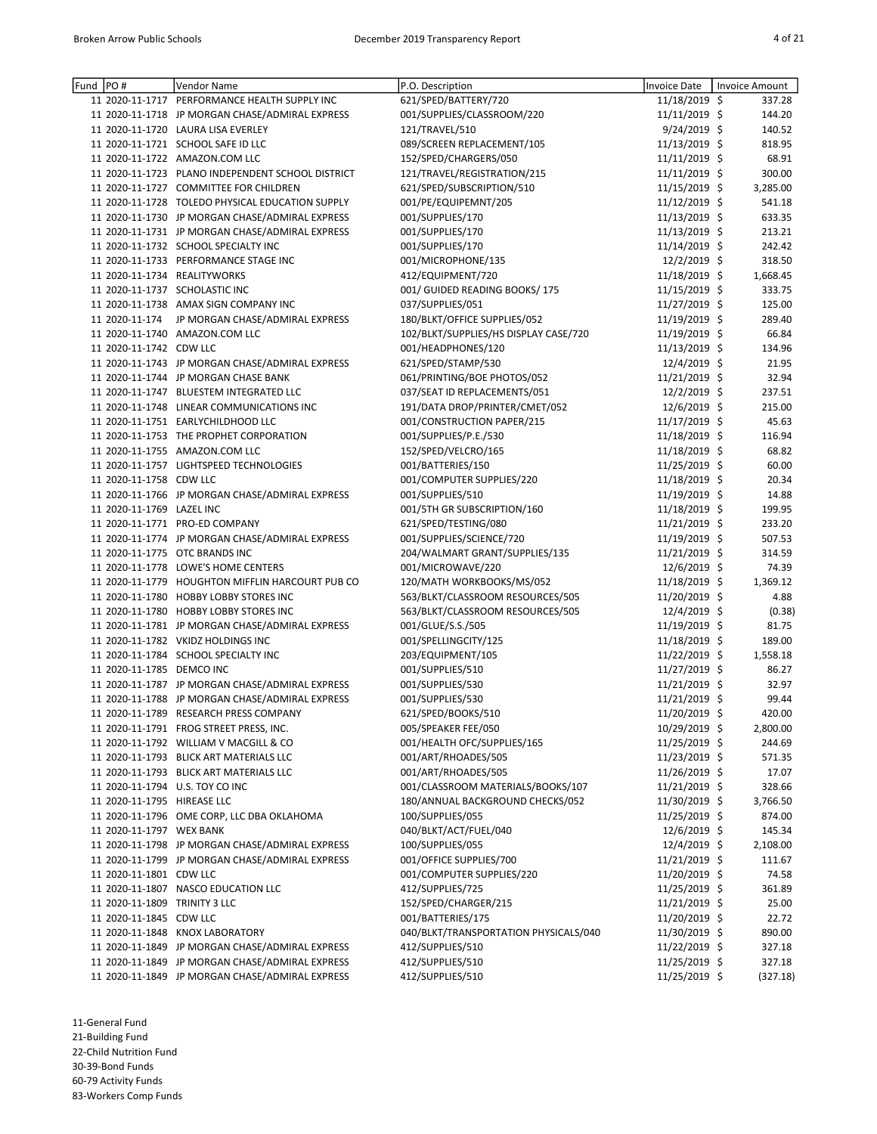| Fund  PO# |                               | Vendor Name                                       | P.O. Description                      | Invoice Date    | Invoice Amount |
|-----------|-------------------------------|---------------------------------------------------|---------------------------------------|-----------------|----------------|
|           |                               | 11 2020-11-1717 PERFORMANCE HEALTH SUPPLY INC     | 621/SPED/BATTERY/720                  | 11/18/2019 \$   | 337.28         |
|           |                               | 11 2020-11-1718 JP MORGAN CHASE/ADMIRAL EXPRESS   | 001/SUPPLIES/CLASSROOM/220            | 11/11/2019 \$   | 144.20         |
|           |                               | 11 2020-11-1720 LAURA LISA EVERLEY                | 121/TRAVEL/510                        | 9/24/2019 \$    | 140.52         |
|           |                               | 11 2020-11-1721 SCHOOL SAFE ID LLC                | 089/SCREEN REPLACEMENT/105            | 11/13/2019 \$   | 818.95         |
|           |                               | 11 2020-11-1722 AMAZON.COM LLC                    | 152/SPED/CHARGERS/050                 | $11/11/2019$ \$ | 68.91          |
|           |                               | 11 2020-11-1723 PLANO INDEPENDENT SCHOOL DISTRICT | 121/TRAVEL/REGISTRATION/215           | 11/11/2019 \$   | 300.00         |
|           |                               | 11 2020-11-1727 COMMITTEE FOR CHILDREN            | 621/SPED/SUBSCRIPTION/510             | 11/15/2019 \$   | 3,285.00       |
|           |                               | 11 2020-11-1728 TOLEDO PHYSICAL EDUCATION SUPPLY  | 001/PE/EQUIPEMNT/205                  | 11/12/2019 \$   | 541.18         |
|           |                               | 11 2020-11-1730 JP MORGAN CHASE/ADMIRAL EXPRESS   | 001/SUPPLIES/170                      | 11/13/2019 \$   | 633.35         |
|           |                               | 11 2020-11-1731 JP MORGAN CHASE/ADMIRAL EXPRESS   | 001/SUPPLIES/170                      | 11/13/2019 \$   | 213.21         |
|           |                               | 11 2020-11-1732 SCHOOL SPECIALTY INC              | 001/SUPPLIES/170                      | 11/14/2019 \$   | 242.42         |
|           |                               | 11 2020-11-1733 PERFORMANCE STAGE INC             | 001/MICROPHONE/135                    | 12/2/2019 \$    | 318.50         |
|           |                               | 11 2020-11-1734 REALITYWORKS                      | 412/EQUIPMENT/720                     | 11/18/2019 \$   | 1,668.45       |
|           |                               | 11 2020-11-1737 SCHOLASTIC INC                    | 001/ GUIDED READING BOOKS/ 175        | 11/15/2019 \$   | 333.75         |
|           |                               | 11 2020-11-1738 AMAX SIGN COMPANY INC             | 037/SUPPLIES/051                      | 11/27/2019 \$   | 125.00         |
|           |                               | 11 2020-11-174 JP MORGAN CHASE/ADMIRAL EXPRESS    | 180/BLKT/OFFICE SUPPLIES/052          | 11/19/2019 \$   | 289.40         |
|           |                               | 11 2020-11-1740 AMAZON.COM LLC                    | 102/BLKT/SUPPLIES/HS DISPLAY CASE/720 | 11/19/2019 \$   | 66.84          |
|           | 11 2020-11-1742 CDW LLC       |                                                   | 001/HEADPHONES/120                    | 11/13/2019 \$   | 134.96         |
|           |                               | 11 2020-11-1743 JP MORGAN CHASE/ADMIRAL EXPRESS   | 621/SPED/STAMP/530                    | 12/4/2019 \$    | 21.95          |
|           |                               | 11 2020-11-1744 JP MORGAN CHASE BANK              | 061/PRINTING/BOE PHOTOS/052           | 11/21/2019 \$   | 32.94          |
|           |                               | 11 2020-11-1747 BLUESTEM INTEGRATED LLC           | 037/SEAT ID REPLACEMENTS/051          | 12/2/2019 \$    | 237.51         |
|           |                               | 11 2020-11-1748 LINEAR COMMUNICATIONS INC         | 191/DATA DROP/PRINTER/CMET/052        | 12/6/2019 \$    | 215.00         |
|           |                               | 11 2020-11-1751 EARLYCHILDHOOD LLC                | 001/CONSTRUCTION PAPER/215            | 11/17/2019 \$   | 45.63          |
|           |                               | 11 2020-11-1753 THE PROPHET CORPORATION           | 001/SUPPLIES/P.E./530                 | 11/18/2019 \$   | 116.94         |
|           |                               | 11 2020-11-1755 AMAZON.COM LLC                    | 152/SPED/VELCRO/165                   | 11/18/2019 \$   | 68.82          |
|           |                               | 11 2020-11-1757 LIGHTSPEED TECHNOLOGIES           | 001/BATTERIES/150                     | 11/25/2019 \$   | 60.00          |
|           | 11 2020-11-1758 CDW LLC       |                                                   | 001/COMPUTER SUPPLIES/220             | 11/18/2019 \$   | 20.34          |
|           |                               | 11 2020-11-1766 JP MORGAN CHASE/ADMIRAL EXPRESS   | 001/SUPPLIES/510                      | 11/19/2019 \$   | 14.88          |
|           | 11 2020-11-1769 LAZEL INC     |                                                   | 001/5TH GR SUBSCRIPTION/160           | 11/18/2019 \$   | 199.95         |
|           |                               | 11 2020-11-1771 PRO-ED COMPANY                    | 621/SPED/TESTING/080                  | 11/21/2019 \$   | 233.20         |
|           |                               | 11 2020-11-1774 JP MORGAN CHASE/ADMIRAL EXPRESS   | 001/SUPPLIES/SCIENCE/720              | 11/19/2019 \$   | 507.53         |
|           |                               | 11 2020-11-1775 OTC BRANDS INC                    | 204/WALMART GRANT/SUPPLIES/135        | 11/21/2019 \$   | 314.59         |
|           |                               | 11 2020-11-1778 LOWE'S HOME CENTERS               | 001/MICROWAVE/220                     | 12/6/2019 \$    | 74.39          |
|           |                               | 11 2020-11-1779 HOUGHTON MIFFLIN HARCOURT PUB CO  | 120/MATH WORKBOOKS/MS/052             | 11/18/2019 \$   | 1,369.12       |
|           |                               | 11 2020-11-1780 HOBBY LOBBY STORES INC            | 563/BLKT/CLASSROOM RESOURCES/505      | 11/20/2019 \$   | 4.88           |
|           |                               | 11 2020-11-1780 HOBBY LOBBY STORES INC            | 563/BLKT/CLASSROOM RESOURCES/505      | 12/4/2019 \$    | (0.38)         |
|           |                               | 11 2020-11-1781 JP MORGAN CHASE/ADMIRAL EXPRESS   | 001/GLUE/S.S./505                     | 11/19/2019 \$   | 81.75          |
|           |                               | 11 2020-11-1782 VKIDZ HOLDINGS INC                | 001/SPELLINGCITY/125                  | 11/18/2019 \$   | 189.00         |
|           |                               | 11 2020-11-1784 SCHOOL SPECIALTY INC              | 203/EQUIPMENT/105                     | 11/22/2019 \$   | 1,558.18       |
|           | 11 2020-11-1785 DEMCO INC     |                                                   | 001/SUPPLIES/510                      | 11/27/2019 \$   | 86.27          |
|           |                               | 11 2020-11-1787 JP MORGAN CHASE/ADMIRAL EXPRESS   | 001/SUPPLIES/530                      | 11/21/2019 \$   | 32.97          |
|           |                               | 11 2020-11-1788 JP MORGAN CHASE/ADMIRAL EXPRESS   | 001/SUPPLIES/530                      | 11/21/2019 \$   | 99.44          |
|           |                               | 11 2020-11-1789 RESEARCH PRESS COMPANY            | 621/SPED/BOOKS/510                    | 11/20/2019 \$   | 420.00         |
|           |                               | 11 2020-11-1791 FROG STREET PRESS, INC.           | 005/SPEAKER FEE/050                   | 10/29/2019 \$   | 2,800.00       |
|           |                               | 11 2020-11-1792 WILLIAM V MACGILL & CO            | 001/HEALTH OFC/SUPPLIES/165           | 11/25/2019 \$   | 244.69         |
|           |                               |                                                   |                                       |                 |                |
|           |                               | 11 2020-11-1793 BLICK ART MATERIALS LLC           | 001/ART/RHOADES/505                   | 11/23/2019 \$   | 571.35         |
|           |                               | 11 2020-11-1793 BLICK ART MATERIALS LLC           | 001/ART/RHOADES/505                   | 11/26/2019 \$   | 17.07          |
|           |                               | 11 2020-11-1794 U.S. TOY CO INC                   | 001/CLASSROOM MATERIALS/BOOKS/107     | 11/21/2019 \$   | 328.66         |
|           | 11 2020-11-1795 HIREASE LLC   |                                                   | 180/ANNUAL BACKGROUND CHECKS/052      | 11/30/2019 \$   | 3,766.50       |
|           |                               | 11 2020-11-1796 OME CORP, LLC DBA OKLAHOMA        | 100/SUPPLIES/055                      | 11/25/2019 \$   | 874.00         |
|           | 11 2020-11-1797 WEX BANK      |                                                   | 040/BLKT/ACT/FUEL/040                 | $12/6/2019$ \$  | 145.34         |
|           |                               | 11 2020-11-1798 JP MORGAN CHASE/ADMIRAL EXPRESS   | 100/SUPPLIES/055                      | 12/4/2019 \$    | 2,108.00       |
|           |                               | 11 2020-11-1799 JP MORGAN CHASE/ADMIRAL EXPRESS   | 001/OFFICE SUPPLIES/700               | 11/21/2019 \$   | 111.67         |
|           | 11 2020-11-1801 CDW LLC       |                                                   | 001/COMPUTER SUPPLIES/220             | 11/20/2019 \$   | 74.58          |
|           |                               | 11 2020-11-1807 NASCO EDUCATION LLC               | 412/SUPPLIES/725                      | 11/25/2019 \$   | 361.89         |
|           | 11 2020-11-1809 TRINITY 3 LLC |                                                   | 152/SPED/CHARGER/215                  | 11/21/2019 \$   | 25.00          |
|           | 11 2020-11-1845 CDW LLC       |                                                   | 001/BATTERIES/175                     | 11/20/2019 \$   | 22.72          |
|           |                               | 11 2020-11-1848 KNOX LABORATORY                   | 040/BLKT/TRANSPORTATION PHYSICALS/040 | 11/30/2019 \$   | 890.00         |
|           |                               | 11 2020-11-1849 JP MORGAN CHASE/ADMIRAL EXPRESS   | 412/SUPPLIES/510                      | 11/22/2019 \$   | 327.18         |
|           |                               | 11 2020-11-1849 JP MORGAN CHASE/ADMIRAL EXPRESS   | 412/SUPPLIES/510                      | 11/25/2019 \$   | 327.18         |
|           |                               | 11 2020-11-1849 JP MORGAN CHASE/ADMIRAL EXPRESS   | 412/SUPPLIES/510                      | 11/25/2019 \$   | (327.18)       |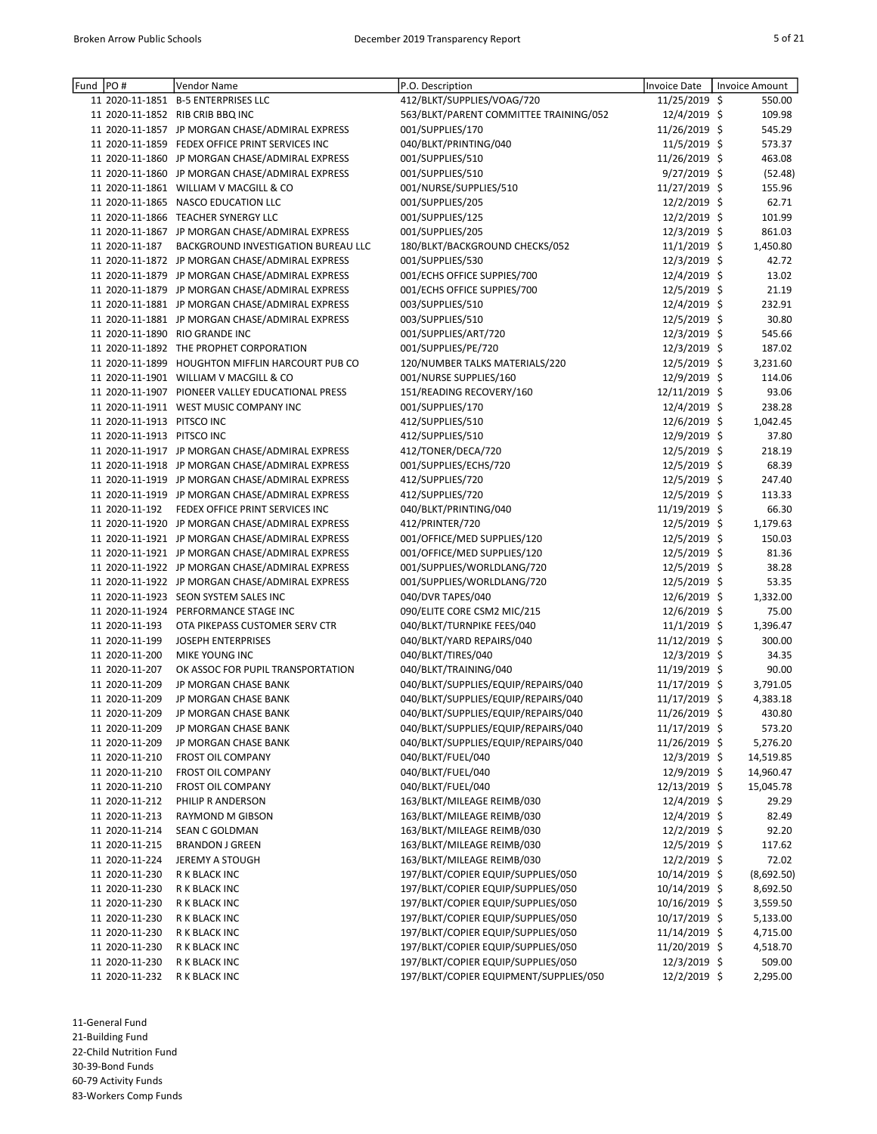| Fund  PO# |                            | Vendor Name                                      | P.O. Description                       | <b>Invoice Date</b> | Invoice Amount |
|-----------|----------------------------|--------------------------------------------------|----------------------------------------|---------------------|----------------|
|           |                            | 11 2020-11-1851 B-5 ENTERPRISES LLC              | 412/BLKT/SUPPLIES/VOAG/720             | 11/25/2019 \$       | 550.00         |
|           |                            | 11 2020-11-1852 RIB CRIB BBQ INC                 | 563/BLKT/PARENT COMMITTEE TRAINING/052 | 12/4/2019 \$        | 109.98         |
|           |                            | 11 2020-11-1857 JP MORGAN CHASE/ADMIRAL EXPRESS  | 001/SUPPLIES/170                       | 11/26/2019 \$       | 545.29         |
|           |                            | 11 2020-11-1859 FEDEX OFFICE PRINT SERVICES INC  | 040/BLKT/PRINTING/040                  | 11/5/2019 \$        | 573.37         |
|           |                            | 11 2020-11-1860 JP MORGAN CHASE/ADMIRAL EXPRESS  | 001/SUPPLIES/510                       | 11/26/2019 \$       | 463.08         |
|           |                            | 11 2020-11-1860 JP MORGAN CHASE/ADMIRAL EXPRESS  | 001/SUPPLIES/510                       | 9/27/2019 \$        | (52.48)        |
|           |                            | 11 2020-11-1861 WILLIAM V MACGILL & CO           | 001/NURSE/SUPPLIES/510                 | 11/27/2019 \$       | 155.96         |
|           |                            | 11 2020-11-1865 NASCO EDUCATION LLC              | 001/SUPPLIES/205                       | 12/2/2019 \$        | 62.71          |
|           |                            | 11 2020-11-1866 TEACHER SYNERGY LLC              | 001/SUPPLIES/125                       | 12/2/2019 \$        | 101.99         |
|           |                            | 11 2020-11-1867 JP MORGAN CHASE/ADMIRAL EXPRESS  | 001/SUPPLIES/205                       | 12/3/2019 \$        | 861.03         |
|           | 11 2020-11-187             | <b>BACKGROUND INVESTIGATION BUREAU LLC</b>       | 180/BLKT/BACKGROUND CHECKS/052         | 11/1/2019 \$        | 1,450.80       |
|           |                            | 11 2020-11-1872 JP MORGAN CHASE/ADMIRAL EXPRESS  | 001/SUPPLIES/530                       | 12/3/2019 \$        | 42.72          |
|           |                            | 11 2020-11-1879 JP MORGAN CHASE/ADMIRAL EXPRESS  | 001/ECHS OFFICE SUPPIES/700            | 12/4/2019 \$        | 13.02          |
|           |                            | 11 2020-11-1879 JP MORGAN CHASE/ADMIRAL EXPRESS  | 001/ECHS OFFICE SUPPIES/700            | 12/5/2019 \$        | 21.19          |
|           |                            | 11 2020-11-1881 JP MORGAN CHASE/ADMIRAL EXPRESS  | 003/SUPPLIES/510                       | 12/4/2019 \$        | 232.91         |
|           |                            | 11 2020-11-1881 JP MORGAN CHASE/ADMIRAL EXPRESS  | 003/SUPPLIES/510                       | 12/5/2019 \$        | 30.80          |
|           |                            | 11 2020-11-1890 RIO GRANDE INC                   | 001/SUPPLIES/ART/720                   | 12/3/2019 \$        | 545.66         |
|           |                            | 11 2020-11-1892 THE PROPHET CORPORATION          | 001/SUPPLIES/PE/720                    | 12/3/2019 \$        | 187.02         |
|           |                            | 11 2020-11-1899 HOUGHTON MIFFLIN HARCOURT PUB CO | 120/NUMBER TALKS MATERIALS/220         | 12/5/2019 \$        | 3,231.60       |
|           |                            | 11 2020-11-1901 WILLIAM V MACGILL & CO           | 001/NURSE SUPPLIES/160                 | 12/9/2019 \$        | 114.06         |
|           |                            | 11 2020-11-1907 PIONEER VALLEY EDUCATIONAL PRESS | 151/READING RECOVERY/160               | 12/11/2019 \$       | 93.06          |
|           |                            | 11 2020-11-1911 WEST MUSIC COMPANY INC           | 001/SUPPLIES/170                       | 12/4/2019 \$        | 238.28         |
|           | 11 2020-11-1913 PITSCO INC |                                                  | 412/SUPPLIES/510                       | 12/6/2019 \$        | 1,042.45       |
|           | 11 2020-11-1913 PITSCO INC |                                                  | 412/SUPPLIES/510                       | 12/9/2019 \$        | 37.80          |
|           |                            | 11 2020-11-1917 JP MORGAN CHASE/ADMIRAL EXPRESS  | 412/TONER/DECA/720                     | 12/5/2019 \$        | 218.19         |
|           |                            | 11 2020-11-1918 JP MORGAN CHASE/ADMIRAL EXPRESS  | 001/SUPPLIES/ECHS/720                  | 12/5/2019 \$        | 68.39          |
|           |                            | 11 2020-11-1919 JP MORGAN CHASE/ADMIRAL EXPRESS  | 412/SUPPLIES/720                       | 12/5/2019 \$        | 247.40         |
|           |                            | 11 2020-11-1919 JP MORGAN CHASE/ADMIRAL EXPRESS  | 412/SUPPLIES/720                       | 12/5/2019 \$        | 113.33         |
|           |                            | 11 2020-11-192 FEDEX OFFICE PRINT SERVICES INC   | 040/BLKT/PRINTING/040                  | 11/19/2019 \$       | 66.30          |
|           |                            | 11 2020-11-1920 JP MORGAN CHASE/ADMIRAL EXPRESS  | 412/PRINTER/720                        | 12/5/2019 \$        | 1,179.63       |
|           |                            | 11 2020-11-1921 JP MORGAN CHASE/ADMIRAL EXPRESS  | 001/OFFICE/MED SUPPLIES/120            | 12/5/2019 \$        | 150.03         |
|           |                            | 11 2020-11-1921 JP MORGAN CHASE/ADMIRAL EXPRESS  | 001/OFFICE/MED SUPPLIES/120            | 12/5/2019 \$        | 81.36          |
|           |                            | 11 2020-11-1922 JP MORGAN CHASE/ADMIRAL EXPRESS  | 001/SUPPLIES/WORLDLANG/720             | 12/5/2019 \$        | 38.28          |
|           |                            | 11 2020-11-1922 JP MORGAN CHASE/ADMIRAL EXPRESS  | 001/SUPPLIES/WORLDLANG/720             | 12/5/2019 \$        | 53.35          |
|           |                            | 11 2020-11-1923 SEON SYSTEM SALES INC            | 040/DVR TAPES/040                      | 12/6/2019 \$        | 1,332.00       |
|           |                            | 11 2020-11-1924 PERFORMANCE STAGE INC            | 090/ELITE CORE CSM2 MIC/215            | 12/6/2019 \$        | 75.00          |
|           | 11 2020-11-193             | OTA PIKEPASS CUSTOMER SERV CTR                   | 040/BLKT/TURNPIKE FEES/040             | 11/1/2019 \$        | 1,396.47       |
|           | 11 2020-11-199             | <b>JOSEPH ENTERPRISES</b>                        | 040/BLKT/YARD REPAIRS/040              | 11/12/2019 \$       | 300.00         |
|           | 11 2020-11-200             | MIKE YOUNG INC                                   | 040/BLKT/TIRES/040                     | 12/3/2019 \$        | 34.35          |
|           | 11 2020-11-207             | OK ASSOC FOR PUPIL TRANSPORTATION                | 040/BLKT/TRAINING/040                  | 11/19/2019 \$       | 90.00          |
|           | 11 2020-11-209             | JP MORGAN CHASE BANK                             | 040/BLKT/SUPPLIES/EQUIP/REPAIRS/040    | 11/17/2019 \$       | 3,791.05       |
|           | 11 2020-11-209             | JP MORGAN CHASE BANK                             | 040/BLKT/SUPPLIES/EQUIP/REPAIRS/040    | 11/17/2019 \$       | 4,383.18       |
|           | 11 2020-11-209             | JP MORGAN CHASE BANK                             | 040/BLKT/SUPPLIES/EQUIP/REPAIRS/040    | 11/26/2019 \$       | 430.80         |
|           | 11 2020-11-209             | JP MORGAN CHASE BANK                             | 040/BLKT/SUPPLIES/EQUIP/REPAIRS/040    | 11/17/2019 \$       | 573.20         |
|           | 11 2020-11-209             | JP MORGAN CHASE BANK                             | 040/BLKT/SUPPLIES/EQUIP/REPAIRS/040    | 11/26/2019 \$       | 5,276.20       |
|           | 11 2020-11-210             | <b>FROST OIL COMPANY</b>                         | 040/BLKT/FUEL/040                      | 12/3/2019 \$        | 14,519.85      |
|           | 11 2020-11-210             | <b>FROST OIL COMPANY</b>                         | 040/BLKT/FUEL/040                      | 12/9/2019 \$        | 14,960.47      |
|           | 11 2020-11-210             | FROST OIL COMPANY                                | 040/BLKT/FUEL/040                      | 12/13/2019 \$       | 15,045.78      |
|           | 11 2020-11-212             | PHILIP R ANDERSON                                | 163/BLKT/MILEAGE REIMB/030             | 12/4/2019 \$        | 29.29          |
|           | 11 2020-11-213             | <b>RAYMOND M GIBSON</b>                          | 163/BLKT/MILEAGE REIMB/030             | 12/4/2019 \$        | 82.49          |
|           | 11 2020-11-214             | SEAN C GOLDMAN                                   | 163/BLKT/MILEAGE REIMB/030             | 12/2/2019 \$        | 92.20          |
|           | 11 2020-11-215             | <b>BRANDON J GREEN</b>                           | 163/BLKT/MILEAGE REIMB/030             | 12/5/2019 \$        | 117.62         |
|           | 11 2020-11-224             | <b>JEREMY A STOUGH</b>                           | 163/BLKT/MILEAGE REIMB/030             | 12/2/2019 \$        | 72.02          |
|           | 11 2020-11-230             | R K BLACK INC                                    | 197/BLKT/COPIER EQUIP/SUPPLIES/050     | 10/14/2019 \$       | (8,692.50)     |
|           | 11 2020-11-230             | R K BLACK INC                                    | 197/BLKT/COPIER EQUIP/SUPPLIES/050     | 10/14/2019 \$       | 8,692.50       |
|           | 11 2020-11-230             | R K BLACK INC                                    | 197/BLKT/COPIER EQUIP/SUPPLIES/050     | 10/16/2019 \$       | 3,559.50       |
|           | 11 2020-11-230             | R K BLACK INC                                    | 197/BLKT/COPIER EQUIP/SUPPLIES/050     | 10/17/2019 \$       | 5,133.00       |
|           | 11 2020-11-230             | R K BLACK INC                                    | 197/BLKT/COPIER EQUIP/SUPPLIES/050     | 11/14/2019 \$       | 4,715.00       |
|           | 11 2020-11-230             | R K BLACK INC                                    | 197/BLKT/COPIER EQUIP/SUPPLIES/050     | 11/20/2019 \$       | 4,518.70       |
|           | 11 2020-11-230             | R K BLACK INC                                    | 197/BLKT/COPIER EQUIP/SUPPLIES/050     | 12/3/2019 \$        | 509.00         |
|           | 11 2020-11-232             | R K BLACK INC                                    | 197/BLKT/COPIER EQUIPMENT/SUPPLIES/050 | 12/2/2019 \$        | 2,295.00       |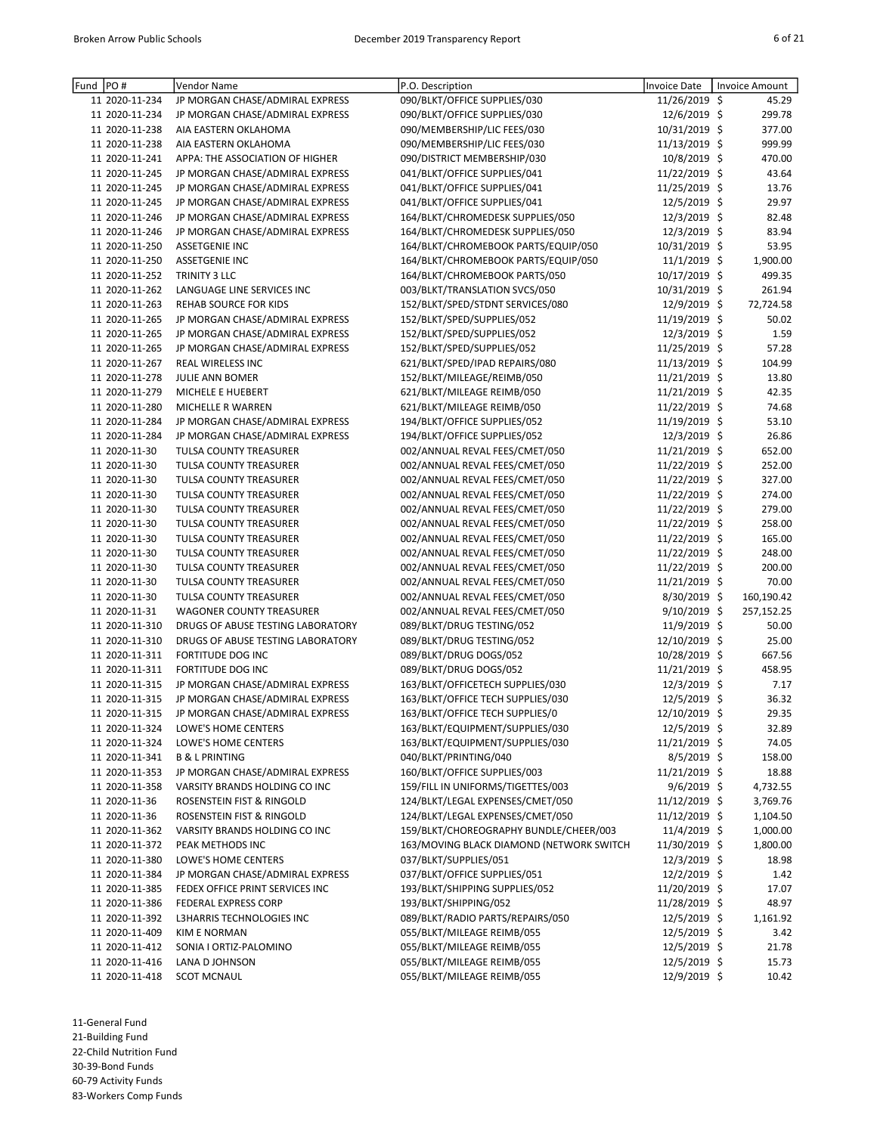| Fund | PO#            | Vendor Name                       | P.O. Description                         | <b>Invoice Date</b> | <b>Invoice Amount</b> |
|------|----------------|-----------------------------------|------------------------------------------|---------------------|-----------------------|
|      | 11 2020-11-234 | JP MORGAN CHASE/ADMIRAL EXPRESS   | 090/BLKT/OFFICE SUPPLIES/030             | 11/26/2019 \$       | 45.29                 |
|      | 11 2020-11-234 | JP MORGAN CHASE/ADMIRAL EXPRESS   | 090/BLKT/OFFICE SUPPLIES/030             | 12/6/2019 \$        | 299.78                |
|      | 11 2020-11-238 | AIA EASTERN OKLAHOMA              | 090/MEMBERSHIP/LIC FEES/030              | 10/31/2019 \$       | 377.00                |
|      | 11 2020-11-238 | AIA EASTERN OKLAHOMA              | 090/MEMBERSHIP/LIC FEES/030              | 11/13/2019 \$       | 999.99                |
|      | 11 2020-11-241 | APPA: THE ASSOCIATION OF HIGHER   | 090/DISTRICT MEMBERSHIP/030              | 10/8/2019 \$        | 470.00                |
|      | 11 2020-11-245 | JP MORGAN CHASE/ADMIRAL EXPRESS   | 041/BLKT/OFFICE SUPPLIES/041             | 11/22/2019 \$       | 43.64                 |
|      | 11 2020-11-245 | JP MORGAN CHASE/ADMIRAL EXPRESS   | 041/BLKT/OFFICE SUPPLIES/041             | 11/25/2019 \$       | 13.76                 |
|      | 11 2020-11-245 | JP MORGAN CHASE/ADMIRAL EXPRESS   | 041/BLKT/OFFICE SUPPLIES/041             | 12/5/2019 \$        | 29.97                 |
|      | 11 2020-11-246 | JP MORGAN CHASE/ADMIRAL EXPRESS   | 164/BLKT/CHROMEDESK SUPPLIES/050         | 12/3/2019 \$        | 82.48                 |
|      | 11 2020-11-246 | JP MORGAN CHASE/ADMIRAL EXPRESS   | 164/BLKT/CHROMEDESK SUPPLIES/050         | 12/3/2019 \$        | 83.94                 |
|      | 11 2020-11-250 | <b>ASSETGENIE INC</b>             | 164/BLKT/CHROMEBOOK PARTS/EQUIP/050      | 10/31/2019 \$       | 53.95                 |
|      | 11 2020-11-250 | <b>ASSETGENIE INC</b>             | 164/BLKT/CHROMEBOOK PARTS/EQUIP/050      | 11/1/2019 \$        | 1,900.00              |
|      | 11 2020-11-252 | TRINITY 3 LLC                     | 164/BLKT/CHROMEBOOK PARTS/050            | 10/17/2019 \$       | 499.35                |
|      | 11 2020-11-262 | LANGUAGE LINE SERVICES INC        | 003/BLKT/TRANSLATION SVCS/050            | 10/31/2019 \$       | 261.94                |
|      | 11 2020-11-263 | REHAB SOURCE FOR KIDS             | 152/BLKT/SPED/STDNT SERVICES/080         | 12/9/2019 \$        | 72,724.58             |
|      | 11 2020-11-265 | JP MORGAN CHASE/ADMIRAL EXPRESS   | 152/BLKT/SPED/SUPPLIES/052               | 11/19/2019 \$       | 50.02                 |
|      | 11 2020-11-265 | JP MORGAN CHASE/ADMIRAL EXPRESS   | 152/BLKT/SPED/SUPPLIES/052               | 12/3/2019 \$        | 1.59                  |
|      | 11 2020-11-265 | JP MORGAN CHASE/ADMIRAL EXPRESS   | 152/BLKT/SPED/SUPPLIES/052               | 11/25/2019 \$       | 57.28                 |
|      | 11 2020-11-267 | REAL WIRELESS INC                 | 621/BLKT/SPED/IPAD REPAIRS/080           | 11/13/2019 \$       | 104.99                |
|      | 11 2020-11-278 | JULIE ANN BOMER                   | 152/BLKT/MILEAGE/REIMB/050               | 11/21/2019 \$       | 13.80                 |
|      | 11 2020-11-279 | MICHELE E HUEBERT                 | 621/BLKT/MILEAGE REIMB/050               | 11/21/2019 \$       | 42.35                 |
|      | 11 2020-11-280 | MICHELLE R WARREN                 | 621/BLKT/MILEAGE REIMB/050               | 11/22/2019 \$       | 74.68                 |
|      | 11 2020-11-284 | JP MORGAN CHASE/ADMIRAL EXPRESS   | 194/BLKT/OFFICE SUPPLIES/052             | 11/19/2019 \$       | 53.10                 |
|      | 11 2020-11-284 | JP MORGAN CHASE/ADMIRAL EXPRESS   | 194/BLKT/OFFICE SUPPLIES/052             | 12/3/2019 \$        | 26.86                 |
|      | 11 2020-11-30  | TULSA COUNTY TREASURER            | 002/ANNUAL REVAL FEES/CMET/050           | 11/21/2019 \$       | 652.00                |
|      | 11 2020-11-30  | TULSA COUNTY TREASURER            | 002/ANNUAL REVAL FEES/CMET/050           | 11/22/2019 \$       | 252.00                |
|      | 11 2020-11-30  | TULSA COUNTY TREASURER            | 002/ANNUAL REVAL FEES/CMET/050           | 11/22/2019 \$       | 327.00                |
|      | 11 2020-11-30  | TULSA COUNTY TREASURER            | 002/ANNUAL REVAL FEES/CMET/050           | 11/22/2019 \$       | 274.00                |
|      | 11 2020-11-30  | TULSA COUNTY TREASURER            | 002/ANNUAL REVAL FEES/CMET/050           | 11/22/2019 \$       | 279.00                |
|      | 11 2020-11-30  | TULSA COUNTY TREASURER            | 002/ANNUAL REVAL FEES/CMET/050           | 11/22/2019 \$       | 258.00                |
|      | 11 2020-11-30  | TULSA COUNTY TREASURER            | 002/ANNUAL REVAL FEES/CMET/050           | 11/22/2019 \$       | 165.00                |
|      | 11 2020-11-30  | TULSA COUNTY TREASURER            | 002/ANNUAL REVAL FEES/CMET/050           | 11/22/2019 \$       | 248.00                |
|      | 11 2020-11-30  | TULSA COUNTY TREASURER            | 002/ANNUAL REVAL FEES/CMET/050           | 11/22/2019 \$       | 200.00                |
|      | 11 2020-11-30  | TULSA COUNTY TREASURER            | 002/ANNUAL REVAL FEES/CMET/050           | 11/21/2019 \$       | 70.00                 |
|      | 11 2020-11-30  | TULSA COUNTY TREASURER            | 002/ANNUAL REVAL FEES/CMET/050           | 8/30/2019 \$        | 160,190.42            |
|      | 11 2020-11-31  | <b>WAGONER COUNTY TREASURER</b>   | 002/ANNUAL REVAL FEES/CMET/050           | $9/10/2019$ \$      | 257,152.25            |
|      | 11 2020-11-310 | DRUGS OF ABUSE TESTING LABORATORY | 089/BLKT/DRUG TESTING/052                | 11/9/2019 \$        | 50.00                 |
|      | 11 2020-11-310 | DRUGS OF ABUSE TESTING LABORATORY | 089/BLKT/DRUG TESTING/052                | 12/10/2019 \$       | 25.00                 |
|      | 11 2020-11-311 | FORTITUDE DOG INC                 | 089/BLKT/DRUG DOGS/052                   | 10/28/2019 \$       | 667.56                |
|      | 11 2020-11-311 | <b>FORTITUDE DOG INC</b>          | 089/BLKT/DRUG DOGS/052                   | 11/21/2019 \$       | 458.95                |
|      | 11 2020-11-315 | JP MORGAN CHASE/ADMIRAL EXPRESS   | 163/BLKT/OFFICETECH SUPPLIES/030         | 12/3/2019 \$        | 7.17                  |
|      | 11 2020-11-315 | JP MORGAN CHASE/ADMIRAL EXPRESS   | 163/BLKT/OFFICE TECH SUPPLIES/030        | 12/5/2019 \$        | 36.32                 |
|      | 11 2020-11-315 | JP MORGAN CHASE/ADMIRAL EXPRESS   | 163/BLKT/OFFICE TECH SUPPLIES/0          | 12/10/2019 \$       | 29.35                 |
|      | 11 2020-11-324 | LOWE'S HOME CENTERS               | 163/BLKT/EQUIPMENT/SUPPLIES/030          | 12/5/2019 \$        | 32.89                 |
|      | 11 2020-11-324 | LOWE'S HOME CENTERS               | 163/BLKT/EQUIPMENT/SUPPLIES/030          | 11/21/2019 \$       | 74.05                 |
|      | 11 2020-11-341 | <b>B &amp; L PRINTING</b>         | 040/BLKT/PRINTING/040                    | 8/5/2019 \$         | 158.00                |
|      | 11 2020-11-353 | JP MORGAN CHASE/ADMIRAL EXPRESS   | 160/BLKT/OFFICE SUPPLIES/003             | 11/21/2019 \$       | 18.88                 |
|      | 11 2020-11-358 | VARSITY BRANDS HOLDING CO INC     | 159/FILL IN UNIFORMS/TIGETTES/003        | $9/6/2019$ \$       | 4,732.55              |
|      | 11 2020-11-36  | ROSENSTEIN FIST & RINGOLD         | 124/BLKT/LEGAL EXPENSES/CMET/050         | 11/12/2019 \$       | 3,769.76              |
|      | 11 2020-11-36  | ROSENSTEIN FIST & RINGOLD         | 124/BLKT/LEGAL EXPENSES/CMET/050         | 11/12/2019 \$       | 1,104.50              |
|      | 11 2020-11-362 | VARSITY BRANDS HOLDING CO INC     | 159/BLKT/CHOREOGRAPHY BUNDLE/CHEER/003   | 11/4/2019 \$        | 1,000.00              |
|      | 11 2020-11-372 | PEAK METHODS INC                  | 163/MOVING BLACK DIAMOND (NETWORK SWITCH | 11/30/2019 \$       | 1,800.00              |
|      | 11 2020-11-380 | LOWE'S HOME CENTERS               | 037/BLKT/SUPPLIES/051                    | 12/3/2019 \$        | 18.98                 |
|      | 11 2020-11-384 | JP MORGAN CHASE/ADMIRAL EXPRESS   | 037/BLKT/OFFICE SUPPLIES/051             | $12/2/2019$ \$      | 1.42                  |
|      | 11 2020-11-385 | FEDEX OFFICE PRINT SERVICES INC   | 193/BLKT/SHIPPING SUPPLIES/052           | 11/20/2019 \$       | 17.07                 |
|      | 11 2020-11-386 | FEDERAL EXPRESS CORP              | 193/BLKT/SHIPPING/052                    | 11/28/2019 \$       | 48.97                 |
|      | 11 2020-11-392 | L3HARRIS TECHNOLOGIES INC         | 089/BLKT/RADIO PARTS/REPAIRS/050         | 12/5/2019 \$        | 1,161.92              |
|      | 11 2020-11-409 | KIM E NORMAN                      | 055/BLKT/MILEAGE REIMB/055               | 12/5/2019 \$        | 3.42                  |
|      | 11 2020-11-412 | SONIA I ORTIZ-PALOMINO            | 055/BLKT/MILEAGE REIMB/055               | 12/5/2019 \$        | 21.78                 |
|      | 11 2020-11-416 | LANA D JOHNSON                    | 055/BLKT/MILEAGE REIMB/055               | 12/5/2019 \$        | 15.73                 |
|      | 11 2020-11-418 | <b>SCOT MCNAUL</b>                | 055/BLKT/MILEAGE REIMB/055               | 12/9/2019 \$        | 10.42                 |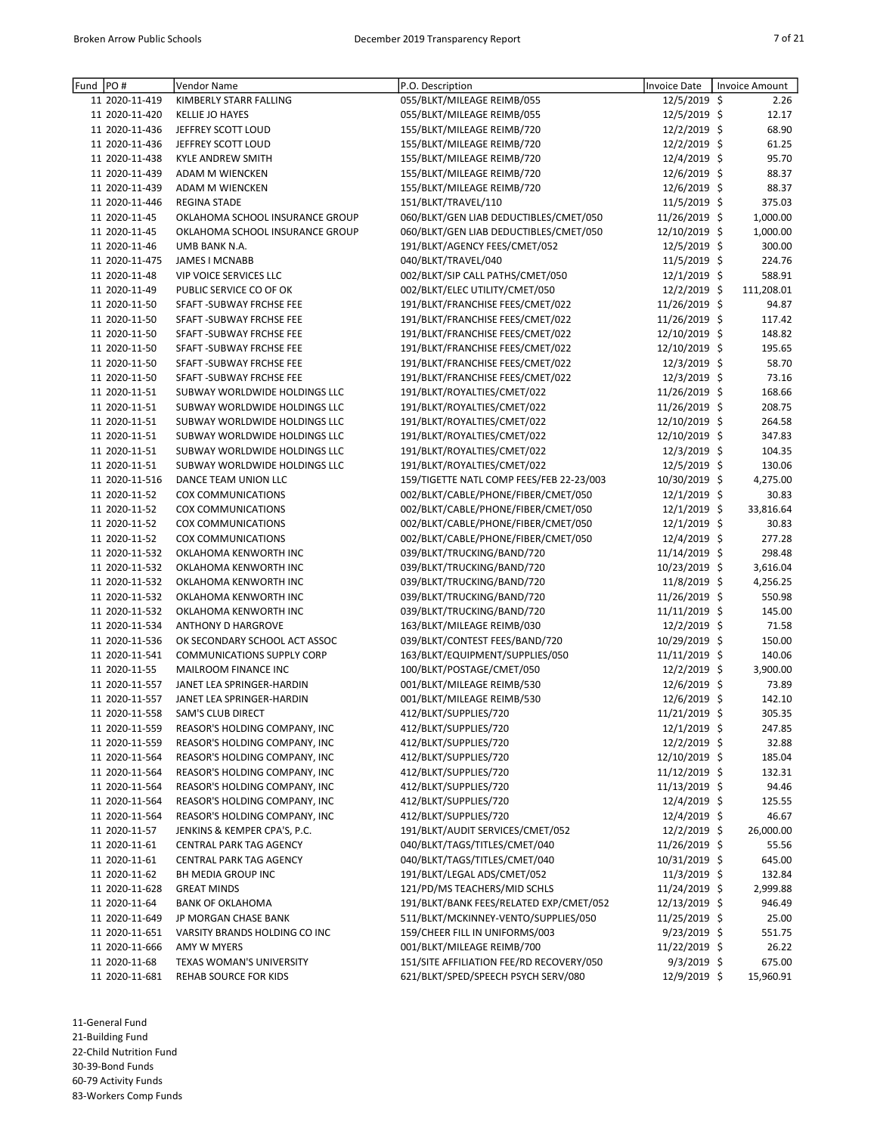| Fund | PO#            | Vendor Name                       | P.O. Description                         | <b>Invoice Date</b> | <b>Invoice Amount</b> |
|------|----------------|-----------------------------------|------------------------------------------|---------------------|-----------------------|
|      | 11 2020-11-419 | KIMBERLY STARR FALLING            | 055/BLKT/MILEAGE REIMB/055               | 12/5/2019 \$        | 2.26                  |
|      | 11 2020-11-420 | <b>KELLIE JO HAYES</b>            | 055/BLKT/MILEAGE REIMB/055               | 12/5/2019 \$        | 12.17                 |
|      | 11 2020-11-436 | JEFFREY SCOTT LOUD                | 155/BLKT/MILEAGE REIMB/720               | 12/2/2019 \$        | 68.90                 |
|      | 11 2020-11-436 | JEFFREY SCOTT LOUD                | 155/BLKT/MILEAGE REIMB/720               | 12/2/2019 \$        | 61.25                 |
|      | 11 2020-11-438 | <b>KYLE ANDREW SMITH</b>          | 155/BLKT/MILEAGE REIMB/720               | 12/4/2019 \$        | 95.70                 |
|      | 11 2020-11-439 | ADAM M WIENCKEN                   | 155/BLKT/MILEAGE REIMB/720               | 12/6/2019 \$        | 88.37                 |
|      | 11 2020-11-439 | ADAM M WIENCKEN                   | 155/BLKT/MILEAGE REIMB/720               | 12/6/2019 \$        | 88.37                 |
|      | 11 2020-11-446 | <b>REGINA STADE</b>               | 151/BLKT/TRAVEL/110                      | 11/5/2019 \$        | 375.03                |
|      | 11 2020-11-45  | OKLAHOMA SCHOOL INSURANCE GROUP   | 060/BLKT/GEN LIAB DEDUCTIBLES/CMET/050   | 11/26/2019 \$       | 1,000.00              |
|      | 11 2020-11-45  | OKLAHOMA SCHOOL INSURANCE GROUP   | 060/BLKT/GEN LIAB DEDUCTIBLES/CMET/050   | 12/10/2019 \$       | 1,000.00              |
|      | 11 2020-11-46  | UMB BANK N.A.                     | 191/BLKT/AGENCY FEES/CMET/052            | 12/5/2019 \$        | 300.00                |
|      | 11 2020-11-475 | JAMES I MCNABB                    | 040/BLKT/TRAVEL/040                      | 11/5/2019 \$        | 224.76                |
|      | 11 2020-11-48  | VIP VOICE SERVICES LLC            | 002/BLKT/SIP CALL PATHS/CMET/050         | 12/1/2019 \$        | 588.91                |
|      | 11 2020-11-49  | PUBLIC SERVICE CO OF OK           | 002/BLKT/ELEC UTILITY/CMET/050           | $12/2/2019$ \$      | 111,208.01            |
|      | 11 2020-11-50  | SFAFT -SUBWAY FRCHSE FEE          | 191/BLKT/FRANCHISE FEES/CMET/022         | 11/26/2019 \$       | 94.87                 |
|      | 11 2020-11-50  | SFAFT - SUBWAY FRCHSE FEE         | 191/BLKT/FRANCHISE FEES/CMET/022         | 11/26/2019 \$       | 117.42                |
|      | 11 2020-11-50  | SFAFT - SUBWAY FRCHSE FEE         | 191/BLKT/FRANCHISE FEES/CMET/022         | 12/10/2019 \$       | 148.82                |
|      | 11 2020-11-50  | SFAFT - SUBWAY FRCHSE FEE         | 191/BLKT/FRANCHISE FEES/CMET/022         | 12/10/2019 \$       | 195.65                |
|      | 11 2020-11-50  | SFAFT - SUBWAY FRCHSE FEE         | 191/BLKT/FRANCHISE FEES/CMET/022         | 12/3/2019 \$        | 58.70                 |
|      | 11 2020-11-50  | SFAFT - SUBWAY FRCHSE FEE         | 191/BLKT/FRANCHISE FEES/CMET/022         | 12/3/2019 \$        | 73.16                 |
|      | 11 2020-11-51  | SUBWAY WORLDWIDE HOLDINGS LLC     | 191/BLKT/ROYALTIES/CMET/022              | 11/26/2019 \$       | 168.66                |
|      | 11 2020-11-51  | SUBWAY WORLDWIDE HOLDINGS LLC     | 191/BLKT/ROYALTIES/CMET/022              | 11/26/2019 \$       | 208.75                |
|      | 11 2020-11-51  | SUBWAY WORLDWIDE HOLDINGS LLC     | 191/BLKT/ROYALTIES/CMET/022              | 12/10/2019 \$       | 264.58                |
|      | 11 2020-11-51  | SUBWAY WORLDWIDE HOLDINGS LLC     | 191/BLKT/ROYALTIES/CMET/022              | 12/10/2019 \$       | 347.83                |
|      | 11 2020-11-51  | SUBWAY WORLDWIDE HOLDINGS LLC     | 191/BLKT/ROYALTIES/CMET/022              | 12/3/2019 \$        | 104.35                |
|      | 11 2020-11-51  | SUBWAY WORLDWIDE HOLDINGS LLC     | 191/BLKT/ROYALTIES/CMET/022              | 12/5/2019 \$        | 130.06                |
|      | 11 2020-11-516 | DANCE TEAM UNION LLC              | 159/TIGETTE NATL COMP FEES/FEB 22-23/003 | 10/30/2019 \$       | 4,275.00              |
|      | 11 2020-11-52  | COX COMMUNICATIONS                | 002/BLKT/CABLE/PHONE/FIBER/CMET/050      | 12/1/2019 \$        | 30.83                 |
|      | 11 2020-11-52  | COX COMMUNICATIONS                | 002/BLKT/CABLE/PHONE/FIBER/CMET/050      | $12/1/2019$ \$      | 33,816.64             |
|      | 11 2020-11-52  | COX COMMUNICATIONS                | 002/BLKT/CABLE/PHONE/FIBER/CMET/050      | 12/1/2019 \$        | 30.83                 |
|      | 11 2020-11-52  | COX COMMUNICATIONS                | 002/BLKT/CABLE/PHONE/FIBER/CMET/050      | 12/4/2019 \$        | 277.28                |
|      | 11 2020-11-532 | OKLAHOMA KENWORTH INC             | 039/BLKT/TRUCKING/BAND/720               | 11/14/2019 \$       | 298.48                |
|      | 11 2020-11-532 | OKLAHOMA KENWORTH INC             | 039/BLKT/TRUCKING/BAND/720               | 10/23/2019 \$       | 3,616.04              |
|      | 11 2020-11-532 | OKLAHOMA KENWORTH INC             | 039/BLKT/TRUCKING/BAND/720               | 11/8/2019 \$        | 4,256.25              |
|      | 11 2020-11-532 | OKLAHOMA KENWORTH INC             | 039/BLKT/TRUCKING/BAND/720               | 11/26/2019 \$       | 550.98                |
|      | 11 2020-11-532 | OKLAHOMA KENWORTH INC             | 039/BLKT/TRUCKING/BAND/720               | 11/11/2019 \$       | 145.00                |
|      | 11 2020-11-534 | <b>ANTHONY D HARGROVE</b>         | 163/BLKT/MILEAGE REIMB/030               | 12/2/2019 \$        | 71.58                 |
|      | 11 2020-11-536 | OK SECONDARY SCHOOL ACT ASSOC     | 039/BLKT/CONTEST FEES/BAND/720           | 10/29/2019 \$       | 150.00                |
|      | 11 2020-11-541 | <b>COMMUNICATIONS SUPPLY CORP</b> | 163/BLKT/EQUIPMENT/SUPPLIES/050          | 11/11/2019 \$       | 140.06                |
|      | 11 2020-11-55  | MAILROOM FINANCE INC              | 100/BLKT/POSTAGE/CMET/050                | 12/2/2019 \$        | 3,900.00              |
|      | 11 2020-11-557 | JANET LEA SPRINGER-HARDIN         | 001/BLKT/MILEAGE REIMB/530               | 12/6/2019 \$        | 73.89                 |
|      | 11 2020-11-557 | JANET LEA SPRINGER-HARDIN         | 001/BLKT/MILEAGE REIMB/530               | 12/6/2019 \$        | 142.10                |
|      | 11 2020-11-558 | SAM'S CLUB DIRECT                 | 412/BLKT/SUPPLIES/720                    | 11/21/2019 \$       | 305.35                |
|      | 11 2020-11-559 | REASOR'S HOLDING COMPANY, INC     | 412/BLKT/SUPPLIES/720                    | $12/1/2019$ \$      | 247.85                |
|      | 11 2020-11-559 | REASOR'S HOLDING COMPANY, INC     | 412/BLKT/SUPPLIES/720                    | 12/2/2019 \$        | 32.88                 |
|      | 11 2020-11-564 | REASOR'S HOLDING COMPANY, INC     | 412/BLKT/SUPPLIES/720                    | 12/10/2019 \$       | 185.04                |
|      | 11 2020-11-564 | REASOR'S HOLDING COMPANY, INC     | 412/BLKT/SUPPLIES/720                    | 11/12/2019 \$       | 132.31                |
|      | 11 2020-11-564 | REASOR'S HOLDING COMPANY, INC     | 412/BLKT/SUPPLIES/720                    | 11/13/2019 \$       | 94.46                 |
|      | 11 2020-11-564 | REASOR'S HOLDING COMPANY, INC     | 412/BLKT/SUPPLIES/720                    | 12/4/2019 \$        | 125.55                |
|      | 11 2020-11-564 | REASOR'S HOLDING COMPANY, INC     | 412/BLKT/SUPPLIES/720                    | 12/4/2019 \$        | 46.67                 |
|      | 11 2020-11-57  | JENKINS & KEMPER CPA'S, P.C.      | 191/BLKT/AUDIT SERVICES/CMET/052         | $12/2/2019$ \$      | 26,000.00             |
|      | 11 2020-11-61  | CENTRAL PARK TAG AGENCY           | 040/BLKT/TAGS/TITLES/CMET/040            | 11/26/2019 \$       | 55.56                 |
|      | 11 2020-11-61  | CENTRAL PARK TAG AGENCY           | 040/BLKT/TAGS/TITLES/CMET/040            | 10/31/2019 \$       | 645.00                |
|      | 11 2020-11-62  | BH MEDIA GROUP INC                | 191/BLKT/LEGAL ADS/CMET/052              | 11/3/2019 \$        | 132.84                |
|      | 11 2020-11-628 | <b>GREAT MINDS</b>                | 121/PD/MS TEACHERS/MID SCHLS             | 11/24/2019 \$       | 2,999.88              |
|      | 11 2020-11-64  | <b>BANK OF OKLAHOMA</b>           | 191/BLKT/BANK FEES/RELATED EXP/CMET/052  | 12/13/2019 \$       | 946.49                |
|      | 11 2020-11-649 | JP MORGAN CHASE BANK              | 511/BLKT/MCKINNEY-VENTO/SUPPLIES/050     | 11/25/2019 \$       | 25.00                 |
|      | 11 2020-11-651 | VARSITY BRANDS HOLDING CO INC     | 159/CHEER FILL IN UNIFORMS/003           | $9/23/2019$ \$      | 551.75                |
|      | 11 2020-11-666 | AMY W MYERS                       | 001/BLKT/MILEAGE REIMB/700               | 11/22/2019 \$       | 26.22                 |
|      | 11 2020-11-68  | TEXAS WOMAN'S UNIVERSITY          | 151/SITE AFFILIATION FEE/RD RECOVERY/050 | $9/3/2019$ \$       | 675.00                |
|      | 11 2020-11-681 | REHAB SOURCE FOR KIDS             | 621/BLKT/SPED/SPEECH PSYCH SERV/080      | 12/9/2019 \$        | 15,960.91             |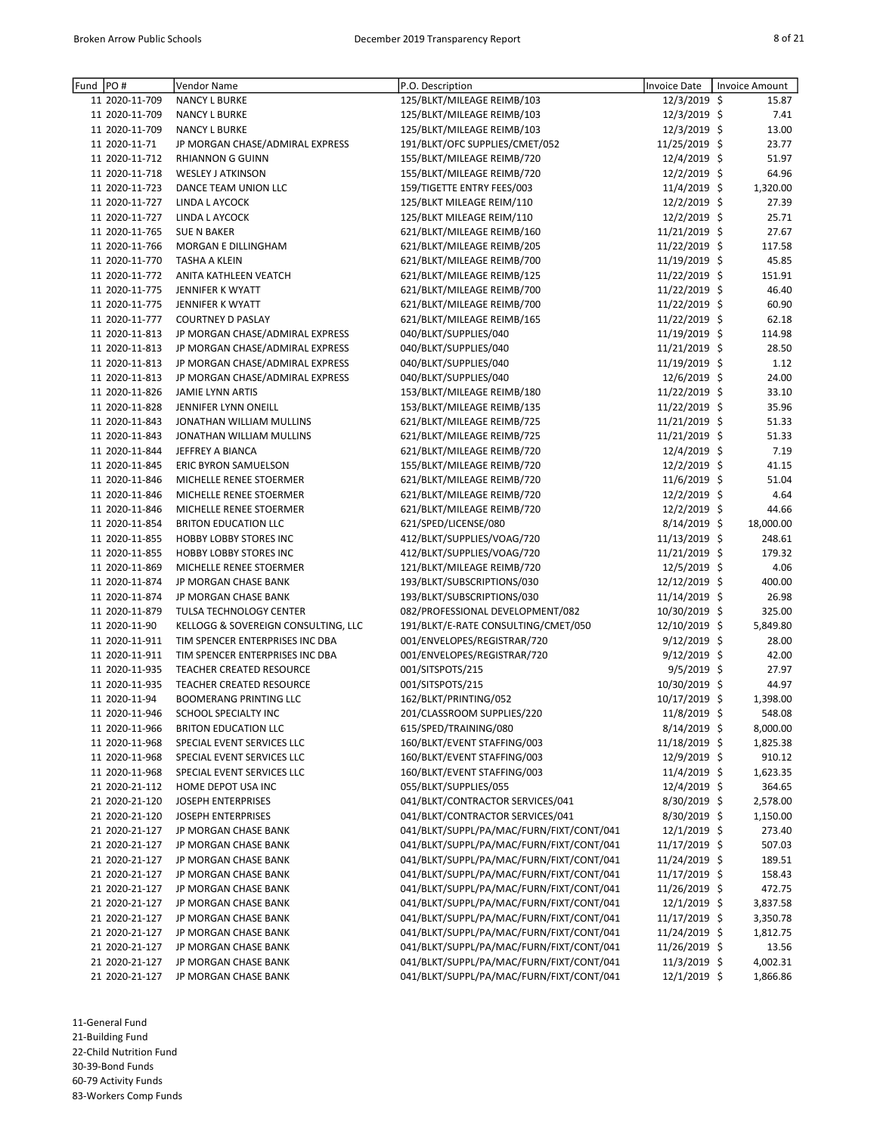| Fund | PO#            | Vendor Name                         | P.O. Description                         | Invoice Date   | <b>Invoice Amount</b> |
|------|----------------|-------------------------------------|------------------------------------------|----------------|-----------------------|
|      | 11 2020-11-709 | <b>NANCY L BURKE</b>                | 125/BLKT/MILEAGE REIMB/103               | 12/3/2019 \$   | 15.87                 |
|      | 11 2020-11-709 | <b>NANCY L BURKE</b>                | 125/BLKT/MILEAGE REIMB/103               | 12/3/2019 \$   | 7.41                  |
|      | 11 2020-11-709 | <b>NANCY L BURKE</b>                | 125/BLKT/MILEAGE REIMB/103               | 12/3/2019 \$   | 13.00                 |
|      | 11 2020-11-71  | JP MORGAN CHASE/ADMIRAL EXPRESS     | 191/BLKT/OFC SUPPLIES/CMET/052           | 11/25/2019 \$  | 23.77                 |
|      | 11 2020-11-712 | <b>RHIANNON G GUINN</b>             | 155/BLKT/MILEAGE REIMB/720               | 12/4/2019 \$   | 51.97                 |
|      | 11 2020-11-718 | <b>WESLEY J ATKINSON</b>            | 155/BLKT/MILEAGE REIMB/720               | 12/2/2019 \$   | 64.96                 |
|      | 11 2020-11-723 | DANCE TEAM UNION LLC                | 159/TIGETTE ENTRY FEES/003               | 11/4/2019 \$   | 1,320.00              |
|      | 11 2020-11-727 | LINDA L AYCOCK                      | 125/BLKT MILEAGE REIM/110                | 12/2/2019 \$   | 27.39                 |
|      | 11 2020-11-727 | LINDA L AYCOCK                      | 125/BLKT MILEAGE REIM/110                | 12/2/2019 \$   | 25.71                 |
|      | 11 2020-11-765 | <b>SUE N BAKER</b>                  | 621/BLKT/MILEAGE REIMB/160               | 11/21/2019 \$  | 27.67                 |
|      | 11 2020-11-766 | MORGAN E DILLINGHAM                 | 621/BLKT/MILEAGE REIMB/205               | 11/22/2019 \$  | 117.58                |
|      | 11 2020-11-770 | <b>TASHA A KLEIN</b>                | 621/BLKT/MILEAGE REIMB/700               | 11/19/2019 \$  | 45.85                 |
|      | 11 2020-11-772 | ANITA KATHLEEN VEATCH               | 621/BLKT/MILEAGE REIMB/125               | 11/22/2019 \$  | 151.91                |
|      | 11 2020-11-775 | JENNIFER K WYATT                    | 621/BLKT/MILEAGE REIMB/700               | 11/22/2019 \$  | 46.40                 |
|      | 11 2020-11-775 | JENNIFER K WYATT                    | 621/BLKT/MILEAGE REIMB/700               | 11/22/2019 \$  | 60.90                 |
|      | 11 2020-11-777 |                                     |                                          |                |                       |
|      |                | <b>COURTNEY D PASLAY</b>            | 621/BLKT/MILEAGE REIMB/165               | 11/22/2019 \$  | 62.18                 |
|      | 11 2020-11-813 | JP MORGAN CHASE/ADMIRAL EXPRESS     | 040/BLKT/SUPPLIES/040                    | 11/19/2019 \$  | 114.98                |
|      | 11 2020-11-813 | JP MORGAN CHASE/ADMIRAL EXPRESS     | 040/BLKT/SUPPLIES/040                    | 11/21/2019 \$  | 28.50                 |
|      | 11 2020-11-813 | JP MORGAN CHASE/ADMIRAL EXPRESS     | 040/BLKT/SUPPLIES/040                    | 11/19/2019 \$  | 1.12                  |
|      | 11 2020-11-813 | JP MORGAN CHASE/ADMIRAL EXPRESS     | 040/BLKT/SUPPLIES/040                    | 12/6/2019 \$   | 24.00                 |
|      | 11 2020-11-826 | <b>JAMIE LYNN ARTIS</b>             | 153/BLKT/MILEAGE REIMB/180               | 11/22/2019 \$  | 33.10                 |
|      | 11 2020-11-828 | JENNIFER LYNN ONEILL                | 153/BLKT/MILEAGE REIMB/135               | 11/22/2019 \$  | 35.96                 |
|      | 11 2020-11-843 | JONATHAN WILLIAM MULLINS            | 621/BLKT/MILEAGE REIMB/725               | 11/21/2019 \$  | 51.33                 |
|      | 11 2020-11-843 | JONATHAN WILLIAM MULLINS            | 621/BLKT/MILEAGE REIMB/725               | 11/21/2019 \$  | 51.33                 |
|      | 11 2020-11-844 | JEFFREY A BIANCA                    | 621/BLKT/MILEAGE REIMB/720               | 12/4/2019 \$   | 7.19                  |
|      | 11 2020-11-845 | <b>ERIC BYRON SAMUELSON</b>         | 155/BLKT/MILEAGE REIMB/720               | 12/2/2019 \$   | 41.15                 |
|      | 11 2020-11-846 | MICHELLE RENEE STOERMER             | 621/BLKT/MILEAGE REIMB/720               | 11/6/2019 \$   | 51.04                 |
|      | 11 2020-11-846 | MICHELLE RENEE STOERMER             | 621/BLKT/MILEAGE REIMB/720               | 12/2/2019 \$   | 4.64                  |
|      | 11 2020-11-846 | MICHELLE RENEE STOERMER             | 621/BLKT/MILEAGE REIMB/720               | 12/2/2019 \$   | 44.66                 |
|      | 11 2020-11-854 | <b>BRITON EDUCATION LLC</b>         | 621/SPED/LICENSE/080                     | 8/14/2019 \$   | 18,000.00             |
|      | 11 2020-11-855 | HOBBY LOBBY STORES INC              | 412/BLKT/SUPPLIES/VOAG/720               | 11/13/2019 \$  | 248.61                |
|      | 11 2020-11-855 | <b>HOBBY LOBBY STORES INC</b>       | 412/BLKT/SUPPLIES/VOAG/720               | 11/21/2019 \$  | 179.32                |
|      | 11 2020-11-869 | MICHELLE RENEE STOERMER             | 121/BLKT/MILEAGE REIMB/720               | 12/5/2019 \$   | 4.06                  |
|      | 11 2020-11-874 | JP MORGAN CHASE BANK                | 193/BLKT/SUBSCRIPTIONS/030               | 12/12/2019 \$  | 400.00                |
|      | 11 2020-11-874 | JP MORGAN CHASE BANK                | 193/BLKT/SUBSCRIPTIONS/030               | 11/14/2019 \$  | 26.98                 |
|      | 11 2020-11-879 | TULSA TECHNOLOGY CENTER             | 082/PROFESSIONAL DEVELOPMENT/082         | 10/30/2019 \$  | 325.00                |
|      | 11 2020-11-90  | KELLOGG & SOVEREIGN CONSULTING, LLC | 191/BLKT/E-RATE CONSULTING/CMET/050      | 12/10/2019 \$  | 5,849.80              |
|      | 11 2020-11-911 | TIM SPENCER ENTERPRISES INC DBA     | 001/ENVELOPES/REGISTRAR/720              | $9/12/2019$ \$ | 28.00                 |
|      | 11 2020-11-911 | TIM SPENCER ENTERPRISES INC DBA     | 001/ENVELOPES/REGISTRAR/720              | $9/12/2019$ \$ | 42.00                 |
|      | 11 2020-11-935 | TEACHER CREATED RESOURCE            |                                          |                | 27.97                 |
|      |                |                                     | 001/SITSPOTS/215                         | $9/5/2019$ \$  |                       |
|      | 11 2020-11-935 | TEACHER CREATED RESOURCE            | 001/SITSPOTS/215                         | 10/30/2019 \$  | 44.97                 |
|      | 11 2020-11-94  | <b>BOOMERANG PRINTING LLC</b>       | 162/BLKT/PRINTING/052                    | 10/17/2019 \$  | 1,398.00              |
|      | 11 2020-11-946 | SCHOOL SPECIALTY INC                | 201/CLASSROOM SUPPLIES/220               | 11/8/2019 \$   | 548.08                |
|      | 11 2020-11-966 | <b>BRITON EDUCATION LLC</b>         | 615/SPED/TRAINING/080                    | $8/14/2019$ \$ | 8,000.00              |
|      | 11 2020-11-968 | SPECIAL EVENT SERVICES LLC          | 160/BLKT/EVENT STAFFING/003              | 11/18/2019 \$  | 1,825.38              |
|      | 11 2020-11-968 | SPECIAL EVENT SERVICES LLC          | 160/BLKT/EVENT STAFFING/003              | 12/9/2019 \$   | 910.12                |
|      | 11 2020-11-968 | SPECIAL EVENT SERVICES LLC          | 160/BLKT/EVENT STAFFING/003              | 11/4/2019 \$   | 1,623.35              |
|      | 21 2020-21-112 | HOME DEPOT USA INC                  | 055/BLKT/SUPPLIES/055                    | 12/4/2019 \$   | 364.65                |
|      | 21 2020-21-120 | JOSEPH ENTERPRISES                  | 041/BLKT/CONTRACTOR SERVICES/041         | 8/30/2019 \$   | 2,578.00              |
|      | 21 2020-21-120 | <b>JOSEPH ENTERPRISES</b>           | 041/BLKT/CONTRACTOR SERVICES/041         | 8/30/2019 \$   | 1,150.00              |
|      | 21 2020-21-127 | JP MORGAN CHASE BANK                | 041/BLKT/SUPPL/PA/MAC/FURN/FIXT/CONT/041 | 12/1/2019 \$   | 273.40                |
|      | 21 2020-21-127 | JP MORGAN CHASE BANK                | 041/BLKT/SUPPL/PA/MAC/FURN/FIXT/CONT/041 | 11/17/2019 \$  | 507.03                |
|      | 21 2020-21-127 | JP MORGAN CHASE BANK                | 041/BLKT/SUPPL/PA/MAC/FURN/FIXT/CONT/041 | 11/24/2019 \$  | 189.51                |
|      | 21 2020-21-127 | JP MORGAN CHASE BANK                | 041/BLKT/SUPPL/PA/MAC/FURN/FIXT/CONT/041 | 11/17/2019 \$  | 158.43                |
|      | 21 2020-21-127 | JP MORGAN CHASE BANK                | 041/BLKT/SUPPL/PA/MAC/FURN/FIXT/CONT/041 | 11/26/2019 \$  | 472.75                |
|      | 21 2020-21-127 | JP MORGAN CHASE BANK                | 041/BLKT/SUPPL/PA/MAC/FURN/FIXT/CONT/041 | 12/1/2019 \$   | 3,837.58              |
|      | 21 2020-21-127 | JP MORGAN CHASE BANK                | 041/BLKT/SUPPL/PA/MAC/FURN/FIXT/CONT/041 | 11/17/2019 \$  | 3,350.78              |
|      | 21 2020-21-127 | JP MORGAN CHASE BANK                | 041/BLKT/SUPPL/PA/MAC/FURN/FIXT/CONT/041 | 11/24/2019 \$  | 1,812.75              |
|      | 21 2020-21-127 | JP MORGAN CHASE BANK                | 041/BLKT/SUPPL/PA/MAC/FURN/FIXT/CONT/041 | 11/26/2019 \$  | 13.56                 |
|      | 21 2020-21-127 | JP MORGAN CHASE BANK                | 041/BLKT/SUPPL/PA/MAC/FURN/FIXT/CONT/041 | 11/3/2019 \$   | 4,002.31              |
|      | 21 2020-21-127 | JP MORGAN CHASE BANK                | 041/BLKT/SUPPL/PA/MAC/FURN/FIXT/CONT/041 | 12/1/2019 \$   | 1,866.86              |
|      |                |                                     |                                          |                |                       |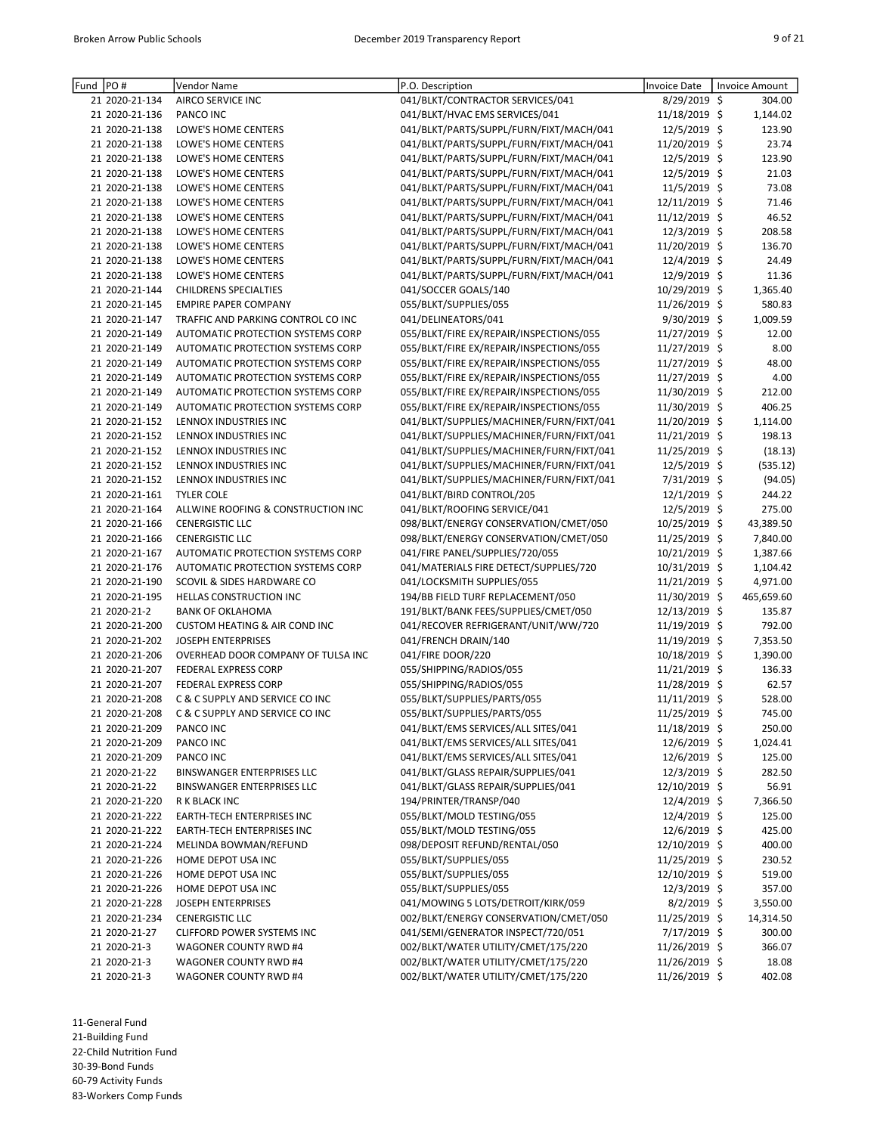| Fund | PO#            | Vendor Name                              | P.O. Description                         | <b>Invoice Date</b> | <b>Invoice Amount</b> |
|------|----------------|------------------------------------------|------------------------------------------|---------------------|-----------------------|
|      | 21 2020-21-134 | AIRCO SERVICE INC                        | 041/BLKT/CONTRACTOR SERVICES/041         | 8/29/2019 \$        | 304.00                |
|      | 21 2020-21-136 | PANCO INC                                | 041/BLKT/HVAC EMS SERVICES/041           | 11/18/2019 \$       | 1,144.02              |
|      | 21 2020-21-138 | LOWE'S HOME CENTERS                      | 041/BLKT/PARTS/SUPPL/FURN/FIXT/MACH/041  | 12/5/2019 \$        | 123.90                |
|      | 21 2020-21-138 | LOWE'S HOME CENTERS                      | 041/BLKT/PARTS/SUPPL/FURN/FIXT/MACH/041  | 11/20/2019 \$       | 23.74                 |
|      | 21 2020-21-138 | LOWE'S HOME CENTERS                      | 041/BLKT/PARTS/SUPPL/FURN/FIXT/MACH/041  | 12/5/2019 \$        | 123.90                |
|      | 21 2020-21-138 | LOWE'S HOME CENTERS                      | 041/BLKT/PARTS/SUPPL/FURN/FIXT/MACH/041  | 12/5/2019 \$        | 21.03                 |
|      | 21 2020-21-138 | LOWE'S HOME CENTERS                      | 041/BLKT/PARTS/SUPPL/FURN/FIXT/MACH/041  | 11/5/2019 \$        | 73.08                 |
|      | 21 2020-21-138 | LOWE'S HOME CENTERS                      | 041/BLKT/PARTS/SUPPL/FURN/FIXT/MACH/041  | 12/11/2019 \$       | 71.46                 |
|      | 21 2020-21-138 | LOWE'S HOME CENTERS                      | 041/BLKT/PARTS/SUPPL/FURN/FIXT/MACH/041  | 11/12/2019 \$       | 46.52                 |
|      |                |                                          | 041/BLKT/PARTS/SUPPL/FURN/FIXT/MACH/041  |                     |                       |
|      | 21 2020-21-138 | LOWE'S HOME CENTERS                      |                                          | 12/3/2019 \$        | 208.58                |
|      | 21 2020-21-138 | LOWE'S HOME CENTERS                      | 041/BLKT/PARTS/SUPPL/FURN/FIXT/MACH/041  | 11/20/2019 \$       | 136.70                |
|      | 21 2020-21-138 | LOWE'S HOME CENTERS                      | 041/BLKT/PARTS/SUPPL/FURN/FIXT/MACH/041  | 12/4/2019 \$        | 24.49                 |
|      | 21 2020-21-138 | LOWE'S HOME CENTERS                      | 041/BLKT/PARTS/SUPPL/FURN/FIXT/MACH/041  | 12/9/2019 \$        | 11.36                 |
|      | 21 2020-21-144 | <b>CHILDRENS SPECIALTIES</b>             | 041/SOCCER GOALS/140                     | 10/29/2019 \$       | 1,365.40              |
|      | 21 2020-21-145 | <b>EMPIRE PAPER COMPANY</b>              | 055/BLKT/SUPPLIES/055                    | 11/26/2019 \$       | 580.83                |
|      | 21 2020-21-147 | TRAFFIC AND PARKING CONTROL CO INC       | 041/DELINEATORS/041                      | $9/30/2019$ \$      | 1,009.59              |
|      | 21 2020-21-149 | AUTOMATIC PROTECTION SYSTEMS CORP        | 055/BLKT/FIRE EX/REPAIR/INSPECTIONS/055  | 11/27/2019 \$       | 12.00                 |
|      | 21 2020-21-149 | AUTOMATIC PROTECTION SYSTEMS CORP        | 055/BLKT/FIRE EX/REPAIR/INSPECTIONS/055  | 11/27/2019 \$       | 8.00                  |
|      | 21 2020-21-149 | AUTOMATIC PROTECTION SYSTEMS CORP        | 055/BLKT/FIRE EX/REPAIR/INSPECTIONS/055  | 11/27/2019 \$       | 48.00                 |
|      | 21 2020-21-149 | AUTOMATIC PROTECTION SYSTEMS CORP        | 055/BLKT/FIRE EX/REPAIR/INSPECTIONS/055  | 11/27/2019 \$       | 4.00                  |
|      | 21 2020-21-149 | AUTOMATIC PROTECTION SYSTEMS CORP        | 055/BLKT/FIRE EX/REPAIR/INSPECTIONS/055  | 11/30/2019 \$       | 212.00                |
|      | 21 2020-21-149 | AUTOMATIC PROTECTION SYSTEMS CORP        | 055/BLKT/FIRE EX/REPAIR/INSPECTIONS/055  | 11/30/2019 \$       | 406.25                |
|      | 21 2020-21-152 | LENNOX INDUSTRIES INC                    | 041/BLKT/SUPPLIES/MACHINER/FURN/FIXT/041 | 11/20/2019 \$       | 1,114.00              |
|      | 21 2020-21-152 | LENNOX INDUSTRIES INC                    | 041/BLKT/SUPPLIES/MACHINER/FURN/FIXT/041 | 11/21/2019 \$       | 198.13                |
|      | 21 2020-21-152 | LENNOX INDUSTRIES INC                    | 041/BLKT/SUPPLIES/MACHINER/FURN/FIXT/041 | 11/25/2019 \$       | (18.13)               |
|      | 21 2020-21-152 | <b>LENNOX INDUSTRIES INC</b>             | 041/BLKT/SUPPLIES/MACHINER/FURN/FIXT/041 | 12/5/2019 \$        | (535.12)              |
|      |                |                                          |                                          |                     |                       |
|      | 21 2020-21-152 | LENNOX INDUSTRIES INC                    | 041/BLKT/SUPPLIES/MACHINER/FURN/FIXT/041 | 7/31/2019 \$        | (94.05)               |
|      | 21 2020-21-161 | <b>TYLER COLE</b>                        | 041/BLKT/BIRD CONTROL/205                | 12/1/2019 \$        | 244.22                |
|      | 21 2020-21-164 | ALLWINE ROOFING & CONSTRUCTION INC       | 041/BLKT/ROOFING SERVICE/041             | 12/5/2019 \$        | 275.00                |
|      | 21 2020-21-166 | <b>CENERGISTIC LLC</b>                   | 098/BLKT/ENERGY CONSERVATION/CMET/050    | 10/25/2019 \$       | 43,389.50             |
|      | 21 2020-21-166 | <b>CENERGISTIC LLC</b>                   | 098/BLKT/ENERGY CONSERVATION/CMET/050    | 11/25/2019 \$       | 7,840.00              |
|      | 21 2020-21-167 | AUTOMATIC PROTECTION SYSTEMS CORP        | 041/FIRE PANEL/SUPPLIES/720/055          | 10/21/2019 \$       | 1,387.66              |
|      | 21 2020-21-176 | AUTOMATIC PROTECTION SYSTEMS CORP        | 041/MATERIALS FIRE DETECT/SUPPLIES/720   | 10/31/2019 \$       | 1,104.42              |
|      | 21 2020-21-190 | SCOVIL & SIDES HARDWARE CO               | 041/LOCKSMITH SUPPLIES/055               | 11/21/2019 \$       | 4,971.00              |
|      | 21 2020-21-195 | HELLAS CONSTRUCTION INC                  | 194/BB FIELD TURF REPLACEMENT/050        | 11/30/2019 \$       | 465,659.60            |
|      | 21 2020-21-2   | <b>BANK OF OKLAHOMA</b>                  | 191/BLKT/BANK FEES/SUPPLIES/CMET/050     | 12/13/2019 \$       | 135.87                |
|      | 21 2020-21-200 | <b>CUSTOM HEATING &amp; AIR COND INC</b> | 041/RECOVER REFRIGERANT/UNIT/WW/720      | 11/19/2019 \$       | 792.00                |
|      | 21 2020-21-202 | <b>JOSEPH ENTERPRISES</b>                | 041/FRENCH DRAIN/140                     | 11/19/2019 \$       | 7,353.50              |
|      | 21 2020-21-206 | OVERHEAD DOOR COMPANY OF TULSA INC       | 041/FIRE DOOR/220                        | 10/18/2019 \$       | 1,390.00              |
|      | 21 2020-21-207 | FEDERAL EXPRESS CORP                     | 055/SHIPPING/RADIOS/055                  | 11/21/2019 \$       | 136.33                |
|      | 21 2020-21-207 | <b>FEDERAL EXPRESS CORP</b>              | 055/SHIPPING/RADIOS/055                  | 11/28/2019 \$       | 62.57                 |
|      | 21 2020-21-208 | C & C SUPPLY AND SERVICE CO INC          | 055/BLKT/SUPPLIES/PARTS/055              | 11/11/2019 \$       | 528.00                |
|      | 21 2020-21-208 | C & C SUPPLY AND SERVICE CO INC          | 055/BLKT/SUPPLIES/PARTS/055              | 11/25/2019 \$       | 745.00                |
|      | 21 2020-21-209 | PANCO INC                                | 041/BLKT/EMS SERVICES/ALL SITES/041      | 11/18/2019 \$       | 250.00                |
|      |                |                                          | 041/BLKT/EMS SERVICES/ALL SITES/041      | 12/6/2019 \$        |                       |
|      | 21 2020-21-209 | PANCO INC                                |                                          |                     | 1,024.41              |
|      | 21 2020-21-209 | PANCO INC                                | 041/BLKT/EMS SERVICES/ALL SITES/041      | 12/6/2019 \$        | 125.00                |
|      | 21 2020-21-22  | BINSWANGER ENTERPRISES LLC               | 041/BLKT/GLASS REPAIR/SUPPLIES/041       | 12/3/2019 \$        | 282.50                |
|      | 21 2020-21-22  | BINSWANGER ENTERPRISES LLC               | 041/BLKT/GLASS REPAIR/SUPPLIES/041       | 12/10/2019 \$       | 56.91                 |
|      | 21 2020-21-220 | R K BLACK INC                            | 194/PRINTER/TRANSP/040                   | 12/4/2019 \$        | 7,366.50              |
|      | 21 2020-21-222 | EARTH-TECH ENTERPRISES INC               | 055/BLKT/MOLD TESTING/055                | 12/4/2019 \$        | 125.00                |
|      | 21 2020-21-222 | EARTH-TECH ENTERPRISES INC               | 055/BLKT/MOLD TESTING/055                | 12/6/2019 \$        | 425.00                |
|      | 21 2020-21-224 | MELINDA BOWMAN/REFUND                    | 098/DEPOSIT REFUND/RENTAL/050            | 12/10/2019 \$       | 400.00                |
|      | 21 2020-21-226 | HOME DEPOT USA INC                       | 055/BLKT/SUPPLIES/055                    | 11/25/2019 \$       | 230.52                |
|      | 21 2020-21-226 | HOME DEPOT USA INC                       | 055/BLKT/SUPPLIES/055                    | 12/10/2019 \$       | 519.00                |
|      | 21 2020-21-226 | HOME DEPOT USA INC                       | 055/BLKT/SUPPLIES/055                    | $12/3/2019$ \$      | 357.00                |
|      | 21 2020-21-228 | JOSEPH ENTERPRISES                       | 041/MOWING 5 LOTS/DETROIT/KIRK/059       | $8/2/2019$ \$       | 3,550.00              |
|      | 21 2020-21-234 | <b>CENERGISTIC LLC</b>                   | 002/BLKT/ENERGY CONSERVATION/CMET/050    | 11/25/2019 \$       | 14,314.50             |
|      | 21 2020-21-27  | CLIFFORD POWER SYSTEMS INC               | 041/SEMI/GENERATOR INSPECT/720/051       | 7/17/2019 \$        | 300.00                |
|      | 21 2020-21-3   | WAGONER COUNTY RWD #4                    | 002/BLKT/WATER UTILITY/CMET/175/220      | 11/26/2019 \$       | 366.07                |
|      | 21 2020-21-3   | WAGONER COUNTY RWD #4                    | 002/BLKT/WATER UTILITY/CMET/175/220      | 11/26/2019 \$       | 18.08                 |
|      | 21 2020-21-3   | WAGONER COUNTY RWD #4                    | 002/BLKT/WATER UTILITY/CMET/175/220      | 11/26/2019 \$       | 402.08                |
|      |                |                                          |                                          |                     |                       |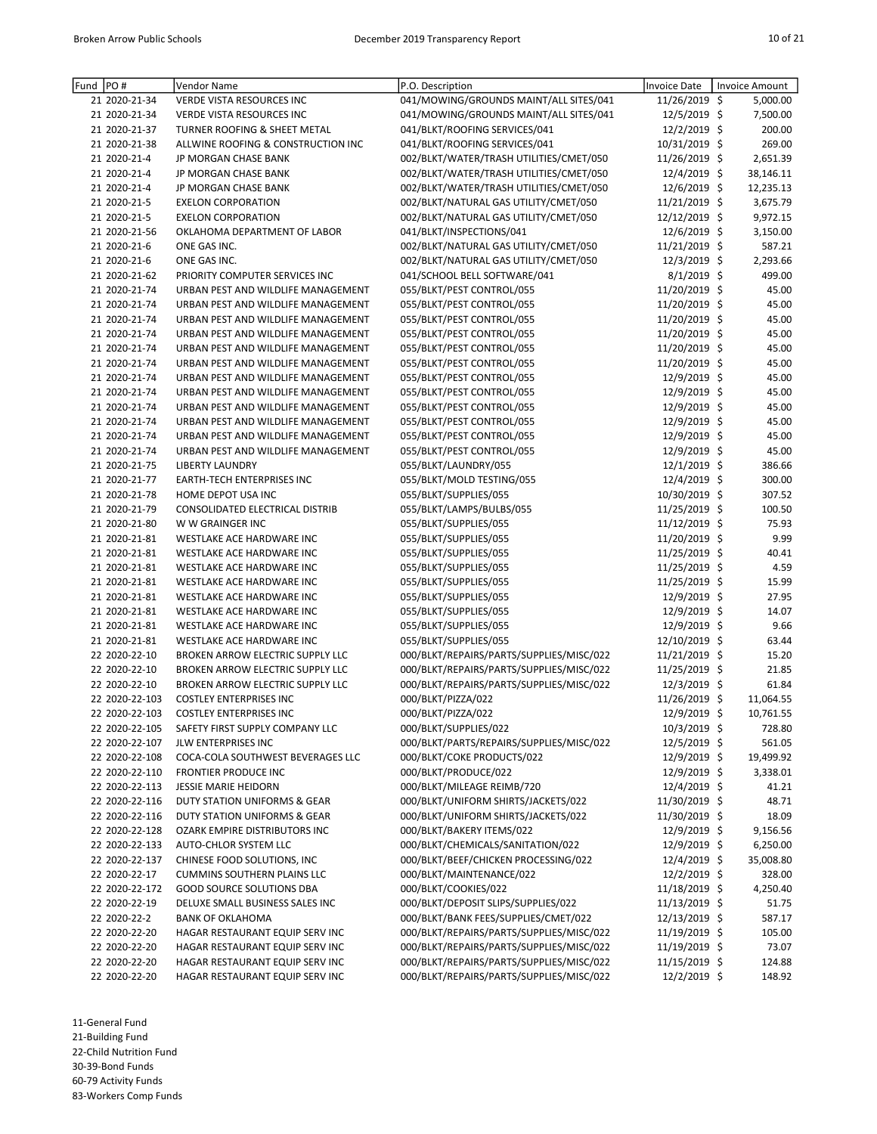| Fund PO# |                | Vendor Name                        | P.O. Description                         | Invoice Date   | <b>Invoice Amount</b> |
|----------|----------------|------------------------------------|------------------------------------------|----------------|-----------------------|
|          | 21 2020-21-34  | VERDE VISTA RESOURCES INC          | 041/MOWING/GROUNDS MAINT/ALL SITES/041   | 11/26/2019 \$  | 5,000.00              |
|          | 21 2020-21-34  | VERDE VISTA RESOURCES INC          | 041/MOWING/GROUNDS MAINT/ALL SITES/041   | 12/5/2019 \$   | 7,500.00              |
|          | 21 2020-21-37  | TURNER ROOFING & SHEET METAL       | 041/BLKT/ROOFING SERVICES/041            | 12/2/2019 \$   | 200.00                |
|          | 21 2020-21-38  | ALLWINE ROOFING & CONSTRUCTION INC | 041/BLKT/ROOFING SERVICES/041            | 10/31/2019 \$  | 269.00                |
|          | 21 2020-21-4   | JP MORGAN CHASE BANK               | 002/BLKT/WATER/TRASH UTILITIES/CMET/050  | 11/26/2019 \$  | 2,651.39              |
|          | 21 2020-21-4   | JP MORGAN CHASE BANK               | 002/BLKT/WATER/TRASH UTILITIES/CMET/050  | 12/4/2019 \$   | 38,146.11             |
|          | 21 2020-21-4   | JP MORGAN CHASE BANK               | 002/BLKT/WATER/TRASH UTILITIES/CMET/050  | 12/6/2019 \$   | 12,235.13             |
|          | 21 2020-21-5   | <b>EXELON CORPORATION</b>          | 002/BLKT/NATURAL GAS UTILITY/CMET/050    | 11/21/2019 \$  | 3,675.79              |
|          | 21 2020-21-5   | <b>EXELON CORPORATION</b>          | 002/BLKT/NATURAL GAS UTILITY/CMET/050    | 12/12/2019 \$  | 9,972.15              |
|          | 21 2020-21-56  | OKLAHOMA DEPARTMENT OF LABOR       | 041/BLKT/INSPECTIONS/041                 | 12/6/2019 \$   | 3,150.00              |
|          | 21 2020-21-6   | ONE GAS INC.                       | 002/BLKT/NATURAL GAS UTILITY/CMET/050    | 11/21/2019 \$  | 587.21                |
|          | 21 2020-21-6   | ONE GAS INC.                       | 002/BLKT/NATURAL GAS UTILITY/CMET/050    | 12/3/2019 \$   | 2,293.66              |
|          | 21 2020-21-62  | PRIORITY COMPUTER SERVICES INC     | 041/SCHOOL BELL SOFTWARE/041             | 8/1/2019 \$    | 499.00                |
|          | 21 2020-21-74  | URBAN PEST AND WILDLIFE MANAGEMENT | 055/BLKT/PEST CONTROL/055                | 11/20/2019 \$  | 45.00                 |
|          | 21 2020-21-74  | URBAN PEST AND WILDLIFE MANAGEMENT | 055/BLKT/PEST CONTROL/055                | 11/20/2019 \$  | 45.00                 |
|          | 21 2020-21-74  | URBAN PEST AND WILDLIFE MANAGEMENT | 055/BLKT/PEST CONTROL/055                | 11/20/2019 \$  | 45.00                 |
|          | 21 2020-21-74  | URBAN PEST AND WILDLIFE MANAGEMENT | 055/BLKT/PEST CONTROL/055                | 11/20/2019 \$  | 45.00                 |
|          | 21 2020-21-74  | URBAN PEST AND WILDLIFE MANAGEMENT | 055/BLKT/PEST CONTROL/055                | 11/20/2019 \$  | 45.00                 |
|          | 21 2020-21-74  | URBAN PEST AND WILDLIFE MANAGEMENT | 055/BLKT/PEST CONTROL/055                | 11/20/2019 \$  | 45.00                 |
|          | 21 2020-21-74  | URBAN PEST AND WILDLIFE MANAGEMENT | 055/BLKT/PEST CONTROL/055                | 12/9/2019 \$   | 45.00                 |
|          | 21 2020-21-74  | URBAN PEST AND WILDLIFE MANAGEMENT | 055/BLKT/PEST CONTROL/055                | 12/9/2019 \$   | 45.00                 |
|          | 21 2020-21-74  | URBAN PEST AND WILDLIFE MANAGEMENT | 055/BLKT/PEST CONTROL/055                | 12/9/2019 \$   | 45.00                 |
|          | 21 2020-21-74  | URBAN PEST AND WILDLIFE MANAGEMENT | 055/BLKT/PEST CONTROL/055                | 12/9/2019 \$   | 45.00                 |
|          | 21 2020-21-74  | URBAN PEST AND WILDLIFE MANAGEMENT | 055/BLKT/PEST CONTROL/055                | 12/9/2019 \$   | 45.00                 |
|          | 21 2020-21-74  | URBAN PEST AND WILDLIFE MANAGEMENT | 055/BLKT/PEST CONTROL/055                | 12/9/2019 \$   | 45.00                 |
|          | 21 2020-21-75  | <b>LIBERTY LAUNDRY</b>             | 055/BLKT/LAUNDRY/055                     | $12/1/2019$ \$ | 386.66                |
|          | 21 2020-21-77  | <b>EARTH-TECH ENTERPRISES INC</b>  | 055/BLKT/MOLD TESTING/055                | 12/4/2019 \$   | 300.00                |
|          | 21 2020-21-78  | HOME DEPOT USA INC                 | 055/BLKT/SUPPLIES/055                    | 10/30/2019 \$  | 307.52                |
|          | 21 2020-21-79  | CONSOLIDATED ELECTRICAL DISTRIB    | 055/BLKT/LAMPS/BULBS/055                 | 11/25/2019 \$  | 100.50                |
|          | 21 2020-21-80  | W W GRAINGER INC                   | 055/BLKT/SUPPLIES/055                    | 11/12/2019 \$  | 75.93                 |
|          | 21 2020-21-81  | WESTLAKE ACE HARDWARE INC          | 055/BLKT/SUPPLIES/055                    | 11/20/2019 \$  | 9.99                  |
|          | 21 2020-21-81  | WESTLAKE ACE HARDWARE INC          | 055/BLKT/SUPPLIES/055                    | 11/25/2019 \$  | 40.41                 |
|          | 21 2020-21-81  | WESTLAKE ACE HARDWARE INC          | 055/BLKT/SUPPLIES/055                    | 11/25/2019 \$  | 4.59                  |
|          | 21 2020-21-81  | WESTLAKE ACE HARDWARE INC          | 055/BLKT/SUPPLIES/055                    | 11/25/2019 \$  | 15.99                 |
|          | 21 2020-21-81  | WESTLAKE ACE HARDWARE INC          | 055/BLKT/SUPPLIES/055                    | 12/9/2019 \$   | 27.95                 |
|          | 21 2020-21-81  | WESTLAKE ACE HARDWARE INC          | 055/BLKT/SUPPLIES/055                    | 12/9/2019 \$   | 14.07                 |
|          | 21 2020-21-81  | WESTLAKE ACE HARDWARE INC          | 055/BLKT/SUPPLIES/055                    | 12/9/2019 \$   | 9.66                  |
|          | 21 2020-21-81  | WESTLAKE ACE HARDWARE INC          | 055/BLKT/SUPPLIES/055                    | 12/10/2019 \$  | 63.44                 |
|          | 22 2020-22-10  | BROKEN ARROW ELECTRIC SUPPLY LLC   | 000/BLKT/REPAIRS/PARTS/SUPPLIES/MISC/022 | 11/21/2019 \$  | 15.20                 |
|          | 22 2020-22-10  | BROKEN ARROW ELECTRIC SUPPLY LLC   | 000/BLKT/REPAIRS/PARTS/SUPPLIES/MISC/022 | 11/25/2019 \$  | 21.85                 |
|          | 22 2020-22-10  | BROKEN ARROW ELECTRIC SUPPLY LLC   | 000/BLKT/REPAIRS/PARTS/SUPPLIES/MISC/022 | 12/3/2019 \$   | 61.84                 |
|          | 22 2020-22-103 | <b>COSTLEY ENTERPRISES INC</b>     | 000/BLKT/PIZZA/022                       | 11/26/2019 \$  | 11,064.55             |
|          | 22 2020-22-103 | <b>COSTLEY ENTERPRISES INC</b>     | 000/BLKT/PIZZA/022                       | 12/9/2019 \$   | 10,761.55             |
|          | 22 2020-22-105 | SAFETY FIRST SUPPLY COMPANY LLC    | 000/BLKT/SUPPLIES/022                    | $10/3/2019$ \$ | 728.80                |
|          | 22 2020-22-107 | JLW ENTERPRISES INC                | 000/BLKT/PARTS/REPAIRS/SUPPLIES/MISC/022 | 12/5/2019 \$   | 561.05                |
|          | 22 2020-22-108 | COCA-COLA SOUTHWEST BEVERAGES LLC  | 000/BLKT/COKE PRODUCTS/022               | 12/9/2019 \$   | 19,499.92             |
|          | 22 2020-22-110 | <b>FRONTIER PRODUCE INC</b>        | 000/BLKT/PRODUCE/022                     | 12/9/2019 \$   | 3,338.01              |
|          | 22 2020-22-113 | <b>JESSIE MARIE HEIDORN</b>        | 000/BLKT/MILEAGE REIMB/720               | 12/4/2019 \$   | 41.21                 |
|          | 22 2020-22-116 | DUTY STATION UNIFORMS & GEAR       | 000/BLKT/UNIFORM SHIRTS/JACKETS/022      | 11/30/2019 \$  | 48.71                 |
|          | 22 2020-22-116 | DUTY STATION UNIFORMS & GEAR       | 000/BLKT/UNIFORM SHIRTS/JACKETS/022      | 11/30/2019 \$  | 18.09                 |
|          | 22 2020-22-128 | OZARK EMPIRE DISTRIBUTORS INC      | 000/BLKT/BAKERY ITEMS/022                | 12/9/2019 \$   | 9,156.56              |
|          | 22 2020-22-133 | AUTO-CHLOR SYSTEM LLC              | 000/BLKT/CHEMICALS/SANITATION/022        | 12/9/2019 \$   | 6,250.00              |
|          | 22 2020-22-137 | CHINESE FOOD SOLUTIONS, INC        | 000/BLKT/BEEF/CHICKEN PROCESSING/022     | 12/4/2019 \$   | 35,008.80             |
|          | 22 2020-22-17  | <b>CUMMINS SOUTHERN PLAINS LLC</b> | 000/BLKT/MAINTENANCE/022                 | 12/2/2019 \$   | 328.00                |
|          | 22 2020-22-172 | <b>GOOD SOURCE SOLUTIONS DBA</b>   | 000/BLKT/COOKIES/022                     | 11/18/2019 \$  | 4,250.40              |
|          | 22 2020-22-19  | DELUXE SMALL BUSINESS SALES INC    | 000/BLKT/DEPOSIT SLIPS/SUPPLIES/022      | 11/13/2019 \$  | 51.75                 |
|          | 22 2020-22-2   | <b>BANK OF OKLAHOMA</b>            | 000/BLKT/BANK FEES/SUPPLIES/CMET/022     | 12/13/2019 \$  | 587.17                |
|          | 22 2020-22-20  | HAGAR RESTAURANT EQUIP SERV INC    | 000/BLKT/REPAIRS/PARTS/SUPPLIES/MISC/022 | 11/19/2019 \$  | 105.00                |
|          | 22 2020-22-20  | HAGAR RESTAURANT EQUIP SERV INC    | 000/BLKT/REPAIRS/PARTS/SUPPLIES/MISC/022 | 11/19/2019 \$  | 73.07                 |
|          | 22 2020-22-20  | HAGAR RESTAURANT EQUIP SERV INC    | 000/BLKT/REPAIRS/PARTS/SUPPLIES/MISC/022 | 11/15/2019 \$  | 124.88                |
|          | 22 2020-22-20  | HAGAR RESTAURANT EQUIP SERV INC    | 000/BLKT/REPAIRS/PARTS/SUPPLIES/MISC/022 | 12/2/2019 \$   | 148.92                |

11-General Fund

21-Building Fund

22-Child Nutrition Fund

30-39-Bond Funds

60-79 Activity Funds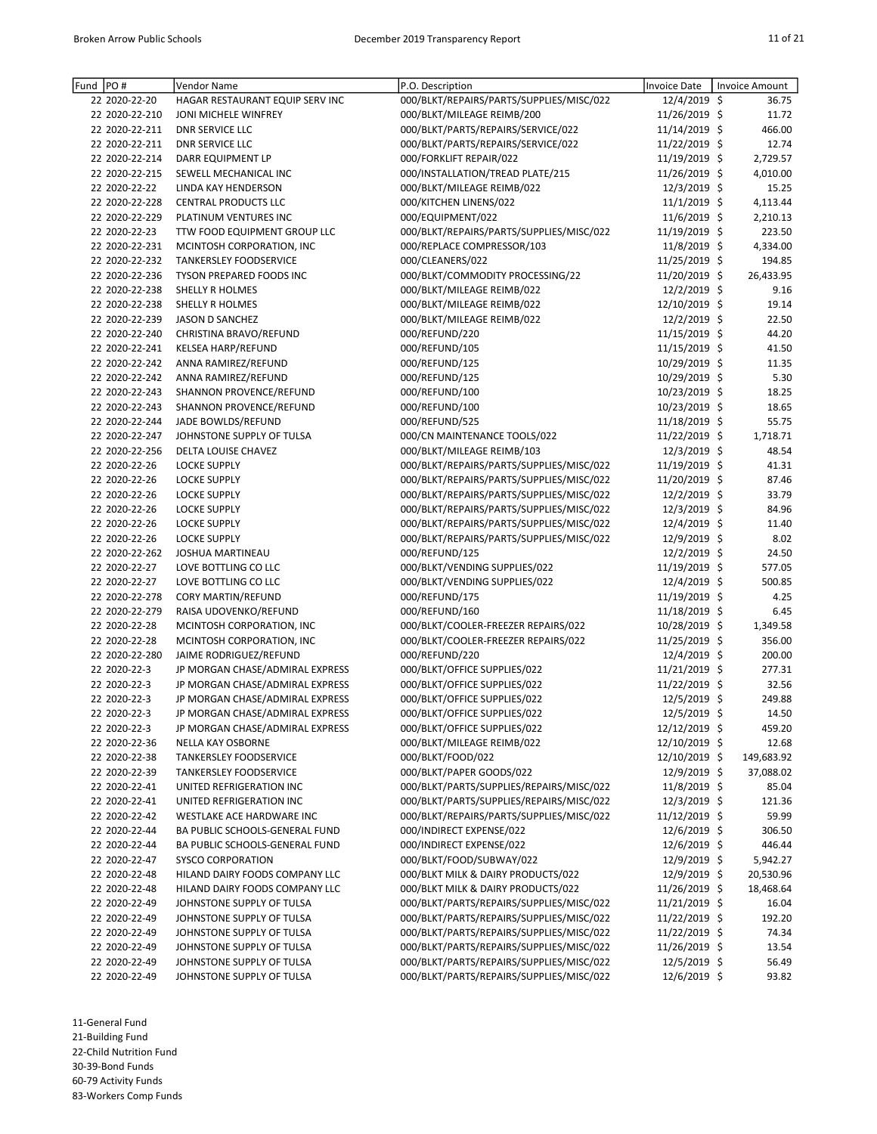| PO#<br>Fund    | Vendor Name                     | P.O. Description                         | Invoice Date   | Invoice Amount |
|----------------|---------------------------------|------------------------------------------|----------------|----------------|
| 22 2020-22-20  | HAGAR RESTAURANT EQUIP SERV INC | 000/BLKT/REPAIRS/PARTS/SUPPLIES/MISC/022 | 12/4/2019 \$   | 36.75          |
| 22 2020-22-210 | JONI MICHELE WINFREY            | 000/BLKT/MILEAGE REIMB/200               | 11/26/2019 \$  | 11.72          |
| 22 2020-22-211 | <b>DNR SERVICE LLC</b>          | 000/BLKT/PARTS/REPAIRS/SERVICE/022       | 11/14/2019 \$  | 466.00         |
| 22 2020-22-211 | <b>DNR SERVICE LLC</b>          | 000/BLKT/PARTS/REPAIRS/SERVICE/022       | 11/22/2019 \$  | 12.74          |
| 22 2020-22-214 | DARR EQUIPMENT LP               | 000/FORKLIFT REPAIR/022                  | 11/19/2019 \$  | 2,729.57       |
| 22 2020-22-215 | SEWELL MECHANICAL INC           | 000/INSTALLATION/TREAD PLATE/215         | 11/26/2019 \$  | 4,010.00       |
| 22 2020-22-22  | LINDA KAY HENDERSON             | 000/BLKT/MILEAGE REIMB/022               | 12/3/2019 \$   | 15.25          |
| 22 2020-22-228 | <b>CENTRAL PRODUCTS LLC</b>     | 000/KITCHEN LINENS/022                   | 11/1/2019 \$   | 4,113.44       |
| 22 2020-22-229 | PLATINUM VENTURES INC           | 000/EQUIPMENT/022                        | 11/6/2019 \$   | 2,210.13       |
| 22 2020-22-23  | TTW FOOD EQUIPMENT GROUP LLC    | 000/BLKT/REPAIRS/PARTS/SUPPLIES/MISC/022 | 11/19/2019 \$  | 223.50         |
| 22 2020-22-231 | MCINTOSH CORPORATION, INC       | 000/REPLACE COMPRESSOR/103               | 11/8/2019 \$   | 4,334.00       |
| 22 2020-22-232 | TANKERSLEY FOODSERVICE          | 000/CLEANERS/022                         | 11/25/2019 \$  | 194.85         |
| 22 2020-22-236 | TYSON PREPARED FOODS INC        | 000/BLKT/COMMODITY PROCESSING/22         | 11/20/2019 \$  | 26,433.95      |
|                |                                 |                                          |                |                |
| 22 2020-22-238 | SHELLY R HOLMES                 | 000/BLKT/MILEAGE REIMB/022               | 12/2/2019 \$   | 9.16           |
| 22 2020-22-238 | SHELLY R HOLMES                 | 000/BLKT/MILEAGE REIMB/022               | 12/10/2019 \$  | 19.14          |
| 22 2020-22-239 | JASON D SANCHEZ                 | 000/BLKT/MILEAGE REIMB/022               | 12/2/2019 \$   | 22.50          |
| 22 2020-22-240 | CHRISTINA BRAVO/REFUND          | 000/REFUND/220                           | 11/15/2019 \$  | 44.20          |
| 22 2020-22-241 | KELSEA HARP/REFUND              | 000/REFUND/105                           | 11/15/2019 \$  | 41.50          |
| 22 2020-22-242 | ANNA RAMIREZ/REFUND             | 000/REFUND/125                           | 10/29/2019 \$  | 11.35          |
| 22 2020-22-242 | ANNA RAMIREZ/REFUND             | 000/REFUND/125                           | 10/29/2019 \$  | 5.30           |
| 22 2020-22-243 | SHANNON PROVENCE/REFUND         | 000/REFUND/100                           | 10/23/2019 \$  | 18.25          |
| 22 2020-22-243 | SHANNON PROVENCE/REFUND         | 000/REFUND/100                           | 10/23/2019 \$  | 18.65          |
| 22 2020-22-244 | JADE BOWLDS/REFUND              | 000/REFUND/525                           | 11/18/2019 \$  | 55.75          |
| 22 2020-22-247 | JOHNSTONE SUPPLY OF TULSA       | 000/CN MAINTENANCE TOOLS/022             | 11/22/2019 \$  | 1,718.71       |
| 22 2020-22-256 | DELTA LOUISE CHAVEZ             | 000/BLKT/MILEAGE REIMB/103               | 12/3/2019 \$   | 48.54          |
| 22 2020-22-26  | <b>LOCKE SUPPLY</b>             | 000/BLKT/REPAIRS/PARTS/SUPPLIES/MISC/022 | 11/19/2019 \$  | 41.31          |
| 22 2020-22-26  | <b>LOCKE SUPPLY</b>             | 000/BLKT/REPAIRS/PARTS/SUPPLIES/MISC/022 | 11/20/2019 \$  | 87.46          |
| 22 2020-22-26  | <b>LOCKE SUPPLY</b>             | 000/BLKT/REPAIRS/PARTS/SUPPLIES/MISC/022 | 12/2/2019 \$   | 33.79          |
| 22 2020-22-26  | <b>LOCKE SUPPLY</b>             | 000/BLKT/REPAIRS/PARTS/SUPPLIES/MISC/022 | 12/3/2019 \$   | 84.96          |
| 22 2020-22-26  | <b>LOCKE SUPPLY</b>             |                                          |                | 11.40          |
|                |                                 | 000/BLKT/REPAIRS/PARTS/SUPPLIES/MISC/022 | 12/4/2019 \$   |                |
| 22 2020-22-26  | <b>LOCKE SUPPLY</b>             | 000/BLKT/REPAIRS/PARTS/SUPPLIES/MISC/022 | 12/9/2019 \$   | 8.02           |
| 22 2020-22-262 | JOSHUA MARTINEAU                | 000/REFUND/125                           | $12/2/2019$ \$ | 24.50          |
| 22 2020-22-27  | LOVE BOTTLING CO LLC            | 000/BLKT/VENDING SUPPLIES/022            | 11/19/2019 \$  | 577.05         |
| 22 2020-22-27  | LOVE BOTTLING CO LLC            | 000/BLKT/VENDING SUPPLIES/022            | 12/4/2019 \$   | 500.85         |
| 22 2020-22-278 | CORY MARTIN/REFUND              | 000/REFUND/175                           | 11/19/2019 \$  | 4.25           |
| 22 2020-22-279 | RAISA UDOVENKO/REFUND           | 000/REFUND/160                           | 11/18/2019 \$  | 6.45           |
| 22 2020-22-28  | MCINTOSH CORPORATION, INC       | 000/BLKT/COOLER-FREEZER REPAIRS/022      | 10/28/2019 \$  | 1,349.58       |
| 22 2020-22-28  | MCINTOSH CORPORATION, INC       | 000/BLKT/COOLER-FREEZER REPAIRS/022      | 11/25/2019 \$  | 356.00         |
| 22 2020-22-280 | JAIME RODRIGUEZ/REFUND          | 000/REFUND/220                           | 12/4/2019 \$   | 200.00         |
| 22 2020-22-3   | JP MORGAN CHASE/ADMIRAL EXPRESS | 000/BLKT/OFFICE SUPPLIES/022             | 11/21/2019 \$  | 277.31         |
| 22 2020-22-3   | JP MORGAN CHASE/ADMIRAL EXPRESS | 000/BLKT/OFFICE SUPPLIES/022             | 11/22/2019 \$  | 32.56          |
| 22 2020-22-3   | JP MORGAN CHASE/ADMIRAL EXPRESS | 000/BLKT/OFFICE SUPPLIES/022             | 12/5/2019 \$   | 249.88         |
| 22 2020-22-3   | JP MORGAN CHASE/ADMIRAL EXPRESS | 000/BLKT/OFFICE SUPPLIES/022             | 12/5/2019 \$   | 14.50          |
| 22 2020-22-3   | JP MORGAN CHASE/ADMIRAL EXPRESS | 000/BLKT/OFFICE SUPPLIES/022             | 12/12/2019 \$  | 459.20         |
| 22 2020-22-36  | NELLA KAY OSBORNE               | 000/BLKT/MILEAGE REIMB/022               | 12/10/2019 \$  | 12.68          |
| 22 2020-22-38  | TANKERSLEY FOODSERVICE          | 000/BLKT/FOOD/022                        | 12/10/2019 \$  | 149,683.92     |
| 22 2020-22-39  | TANKERSLEY FOODSERVICE          | 000/BLKT/PAPER GOODS/022                 | 12/9/2019 \$   | 37,088.02      |
| 22 2020-22-41  | UNITED REFRIGERATION INC        | 000/BLKT/PARTS/SUPPLIES/REPAIRS/MISC/022 | 11/8/2019 \$   | 85.04          |
| 22 2020-22-41  | UNITED REFRIGERATION INC        | 000/BLKT/PARTS/SUPPLIES/REPAIRS/MISC/022 | 12/3/2019 \$   | 121.36         |
|                |                                 |                                          |                |                |
| 22 2020-22-42  | WESTLAKE ACE HARDWARE INC       | 000/BLKT/REPAIRS/PARTS/SUPPLIES/MISC/022 | 11/12/2019 \$  | 59.99          |
| 22 2020-22-44  | BA PUBLIC SCHOOLS-GENERAL FUND  | 000/INDIRECT EXPENSE/022                 | 12/6/2019 \$   | 306.50         |
| 22 2020-22-44  | BA PUBLIC SCHOOLS-GENERAL FUND  | 000/INDIRECT EXPENSE/022                 | $12/6/2019$ \$ | 446.44         |
| 22 2020-22-47  | <b>SYSCO CORPORATION</b>        | 000/BLKT/FOOD/SUBWAY/022                 | 12/9/2019 \$   | 5,942.27       |
| 22 2020-22-48  | HILAND DAIRY FOODS COMPANY LLC  | 000/BLKT MILK & DAIRY PRODUCTS/022       | 12/9/2019 \$   | 20,530.96      |
| 22 2020-22-48  | HILAND DAIRY FOODS COMPANY LLC  | 000/BLKT MILK & DAIRY PRODUCTS/022       | 11/26/2019 \$  | 18,468.64      |
| 22 2020-22-49  | JOHNSTONE SUPPLY OF TULSA       | 000/BLKT/PARTS/REPAIRS/SUPPLIES/MISC/022 | 11/21/2019 \$  | 16.04          |
| 22 2020-22-49  | JOHNSTONE SUPPLY OF TULSA       | 000/BLKT/PARTS/REPAIRS/SUPPLIES/MISC/022 | 11/22/2019 \$  | 192.20         |
| 22 2020-22-49  | JOHNSTONE SUPPLY OF TULSA       | 000/BLKT/PARTS/REPAIRS/SUPPLIES/MISC/022 | 11/22/2019 \$  | 74.34          |
| 22 2020-22-49  | JOHNSTONE SUPPLY OF TULSA       | 000/BLKT/PARTS/REPAIRS/SUPPLIES/MISC/022 | 11/26/2019 \$  | 13.54          |
| 22 2020-22-49  | JOHNSTONE SUPPLY OF TULSA       | 000/BLKT/PARTS/REPAIRS/SUPPLIES/MISC/022 | 12/5/2019 \$   | 56.49          |
| 22 2020-22-49  | JOHNSTONE SUPPLY OF TULSA       | 000/BLKT/PARTS/REPAIRS/SUPPLIES/MISC/022 | 12/6/2019 \$   | 93.82          |

11-General Fund

21-Building Fund

22-Child Nutrition Fund

30-39-Bond Funds

60-79 Activity Funds 83-Workers Comp Funds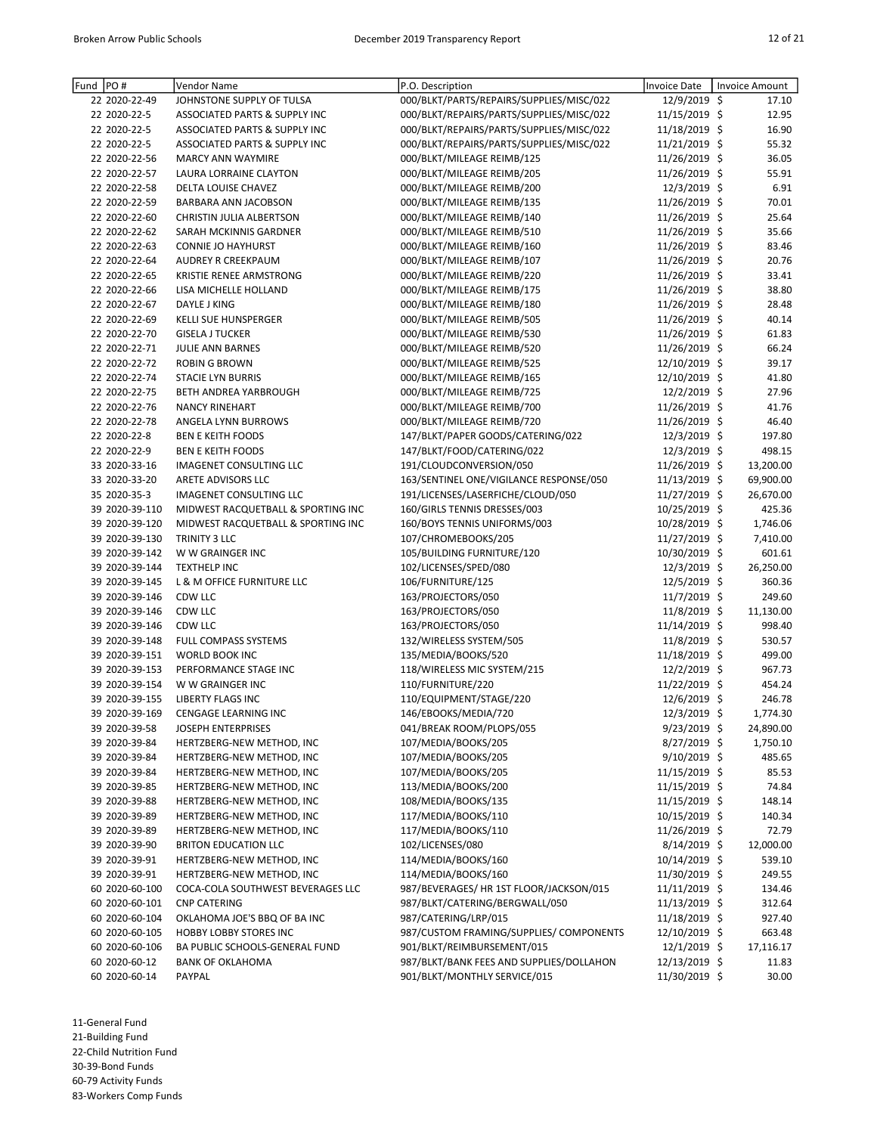| Fund | PO#            | Vendor Name                              | P.O. Description                         | Invoice Date   | Invoice Amount |      |
|------|----------------|------------------------------------------|------------------------------------------|----------------|----------------|------|
|      | 22 2020-22-49  | JOHNSTONE SUPPLY OF TULSA                | 000/BLKT/PARTS/REPAIRS/SUPPLIES/MISC/022 | 12/9/2019 \$   | 17.10          |      |
|      | 22 2020-22-5   | ASSOCIATED PARTS & SUPPLY INC            | 000/BLKT/REPAIRS/PARTS/SUPPLIES/MISC/022 | 11/15/2019 \$  | 12.95          |      |
|      | 22 2020-22-5   | ASSOCIATED PARTS & SUPPLY INC            | 000/BLKT/REPAIRS/PARTS/SUPPLIES/MISC/022 | 11/18/2019 \$  | 16.90          |      |
|      | 22 2020-22-5   | <b>ASSOCIATED PARTS &amp; SUPPLY INC</b> | 000/BLKT/REPAIRS/PARTS/SUPPLIES/MISC/022 | 11/21/2019 \$  | 55.32          |      |
|      | 22 2020-22-56  | <b>MARCY ANN WAYMIRE</b>                 | 000/BLKT/MILEAGE REIMB/125               | 11/26/2019 \$  | 36.05          |      |
|      | 22 2020-22-57  | LAURA LORRAINE CLAYTON                   | 000/BLKT/MILEAGE REIMB/205               | 11/26/2019 \$  | 55.91          |      |
|      | 22 2020-22-58  | DELTA LOUISE CHAVEZ                      | 000/BLKT/MILEAGE REIMB/200               | 12/3/2019 \$   |                | 6.91 |
|      | 22 2020-22-59  | BARBARA ANN JACOBSON                     | 000/BLKT/MILEAGE REIMB/135               | 11/26/2019 \$  | 70.01          |      |
|      | 22 2020-22-60  | CHRISTIN JULIA ALBERTSON                 | 000/BLKT/MILEAGE REIMB/140               | 11/26/2019 \$  | 25.64          |      |
|      | 22 2020-22-62  | SARAH MCKINNIS GARDNER                   | 000/BLKT/MILEAGE REIMB/510               | 11/26/2019 \$  | 35.66          |      |
|      | 22 2020-22-63  | <b>CONNIE JO HAYHURST</b>                | 000/BLKT/MILEAGE REIMB/160               | 11/26/2019 \$  | 83.46          |      |
|      | 22 2020-22-64  | AUDREY R CREEKPAUM                       | 000/BLKT/MILEAGE REIMB/107               | 11/26/2019 \$  | 20.76          |      |
|      | 22 2020-22-65  | KRISTIE RENEE ARMSTRONG                  | 000/BLKT/MILEAGE REIMB/220               | 11/26/2019 \$  | 33.41          |      |
|      | 22 2020-22-66  | LISA MICHELLE HOLLAND                    | 000/BLKT/MILEAGE REIMB/175               | 11/26/2019 \$  | 38.80          |      |
|      | 22 2020-22-67  | DAYLE J KING                             | 000/BLKT/MILEAGE REIMB/180               | 11/26/2019 \$  | 28.48          |      |
|      | 22 2020-22-69  | <b>KELLI SUE HUNSPERGER</b>              | 000/BLKT/MILEAGE REIMB/505               | 11/26/2019 \$  | 40.14          |      |
|      | 22 2020-22-70  | <b>GISELA J TUCKER</b>                   | 000/BLKT/MILEAGE REIMB/530               | 11/26/2019 \$  | 61.83          |      |
|      | 22 2020-22-71  | JULIE ANN BARNES                         | 000/BLKT/MILEAGE REIMB/520               | 11/26/2019 \$  | 66.24          |      |
|      | 22 2020-22-72  | <b>ROBIN G BROWN</b>                     | 000/BLKT/MILEAGE REIMB/525               | 12/10/2019 \$  | 39.17          |      |
|      | 22 2020-22-74  | <b>STACIE LYN BURRIS</b>                 | 000/BLKT/MILEAGE REIMB/165               | 12/10/2019 \$  | 41.80          |      |
|      | 22 2020-22-75  | BETH ANDREA YARBROUGH                    | 000/BLKT/MILEAGE REIMB/725               | 12/2/2019 \$   | 27.96          |      |
|      | 22 2020-22-76  | <b>NANCY RINEHART</b>                    | 000/BLKT/MILEAGE REIMB/700               | 11/26/2019 \$  | 41.76          |      |
|      | 22 2020-22-78  | ANGELA LYNN BURROWS                      | 000/BLKT/MILEAGE REIMB/720               | 11/26/2019 \$  | 46.40          |      |
|      | 22 2020-22-8   | <b>BEN E KEITH FOODS</b>                 | 147/BLKT/PAPER GOODS/CATERING/022        | 12/3/2019 \$   | 197.80         |      |
|      | 22 2020-22-9   | <b>BEN E KEITH FOODS</b>                 | 147/BLKT/FOOD/CATERING/022               | $12/3/2019$ \$ | 498.15         |      |
|      | 33 2020-33-16  | IMAGENET CONSULTING LLC                  | 191/CLOUDCONVERSION/050                  | 11/26/2019 \$  | 13,200.00      |      |
|      | 33 2020-33-20  | ARETE ADVISORS LLC                       | 163/SENTINEL ONE/VIGILANCE RESPONSE/050  | 11/13/2019 \$  | 69,900.00      |      |
|      | 35 2020-35-3   | <b>IMAGENET CONSULTING LLC</b>           | 191/LICENSES/LASERFICHE/CLOUD/050        | 11/27/2019 \$  | 26,670.00      |      |
|      | 39 2020-39-110 | MIDWEST RACQUETBALL & SPORTING INC       | 160/GIRLS TENNIS DRESSES/003             | 10/25/2019 \$  | 425.36         |      |
|      | 39 2020-39-120 | MIDWEST RACQUETBALL & SPORTING INC       | 160/BOYS TENNIS UNIFORMS/003             | 10/28/2019 \$  | 1,746.06       |      |
|      | 39 2020-39-130 | TRINITY 3 LLC                            | 107/CHROMEBOOKS/205                      | 11/27/2019 \$  | 7,410.00       |      |
|      | 39 2020-39-142 | W W GRAINGER INC                         | 105/BUILDING FURNITURE/120               | 10/30/2019 \$  | 601.61         |      |
|      | 39 2020-39-144 | <b>TEXTHELP INC</b>                      | 102/LICENSES/SPED/080                    | 12/3/2019 \$   | 26,250.00      |      |
|      | 39 2020-39-145 | L & M OFFICE FURNITURE LLC               | 106/FURNITURE/125                        | 12/5/2019 \$   | 360.36         |      |
|      | 39 2020-39-146 | CDW LLC                                  | 163/PROJECTORS/050                       | $11/7/2019$ \$ | 249.60         |      |
|      | 39 2020-39-146 | CDW LLC                                  | 163/PROJECTORS/050                       | 11/8/2019 \$   | 11,130.00      |      |
|      | 39 2020-39-146 | CDW LLC                                  | 163/PROJECTORS/050                       | 11/14/2019 \$  | 998.40         |      |
|      | 39 2020-39-148 | FULL COMPASS SYSTEMS                     | 132/WIRELESS SYSTEM/505                  | 11/8/2019 \$   | 530.57         |      |
|      | 39 2020-39-151 | WORLD BOOK INC                           | 135/MEDIA/BOOKS/520                      | 11/18/2019 \$  | 499.00         |      |
|      | 39 2020-39-153 | PERFORMANCE STAGE INC                    | 118/WIRELESS MIC SYSTEM/215              | 12/2/2019 \$   | 967.73         |      |
|      | 39 2020-39-154 | W W GRAINGER INC                         | 110/FURNITURE/220                        | 11/22/2019 \$  | 454.24         |      |
|      | 39 2020-39-155 | <b>LIBERTY FLAGS INC</b>                 | 110/EQUIPMENT/STAGE/220                  | 12/6/2019 \$   | 246.78         |      |
|      | 39 2020-39-169 | CENGAGE LEARNING INC                     | 146/EBOOKS/MEDIA/720                     | 12/3/2019 \$   | 1,774.30       |      |
|      | 39 2020-39-58  | <b>JOSEPH ENTERPRISES</b>                | 041/BREAK ROOM/PLOPS/055                 | $9/23/2019$ \$ | 24,890.00      |      |
|      | 39 2020-39-84  | HERTZBERG-NEW METHOD, INC                | 107/MEDIA/BOOKS/205                      | 8/27/2019 \$   | 1,750.10       |      |
|      | 39 2020-39-84  | HERTZBERG-NEW METHOD, INC                | 107/MEDIA/BOOKS/205                      | $9/10/2019$ \$ | 485.65         |      |
|      | 39 2020-39-84  | HERTZBERG-NEW METHOD, INC                | 107/MEDIA/BOOKS/205                      | 11/15/2019 \$  | 85.53          |      |
|      | 39 2020-39-85  | HERTZBERG-NEW METHOD, INC                | 113/MEDIA/BOOKS/200                      | 11/15/2019 \$  | 74.84          |      |
|      | 39 2020-39-88  | HERTZBERG-NEW METHOD, INC                | 108/MEDIA/BOOKS/135                      | 11/15/2019 \$  | 148.14         |      |
|      | 39 2020-39-89  | HERTZBERG-NEW METHOD, INC                | 117/MEDIA/BOOKS/110                      | 10/15/2019 \$  | 140.34         |      |
|      | 39 2020-39-89  | HERTZBERG-NEW METHOD, INC                | 117/MEDIA/BOOKS/110                      | 11/26/2019 \$  | 72.79          |      |
|      | 39 2020-39-90  | <b>BRITON EDUCATION LLC</b>              | 102/LICENSES/080                         | $8/14/2019$ \$ | 12,000.00      |      |
|      | 39 2020-39-91  | HERTZBERG-NEW METHOD, INC                | 114/MEDIA/BOOKS/160                      | 10/14/2019 \$  | 539.10         |      |
|      | 39 2020-39-91  | HERTZBERG-NEW METHOD, INC                | 114/MEDIA/BOOKS/160                      | 11/30/2019 \$  | 249.55         |      |
|      | 60 2020-60-100 | COCA-COLA SOUTHWEST BEVERAGES LLC        | 987/BEVERAGES/ HR 1ST FLOOR/JACKSON/015  | 11/11/2019 \$  | 134.46         |      |
|      | 60 2020-60-101 | <b>CNP CATERING</b>                      | 987/BLKT/CATERING/BERGWALL/050           | 11/13/2019 \$  | 312.64         |      |
|      | 60 2020-60-104 | OKLAHOMA JOE'S BBQ OF BA INC             | 987/CATERING/LRP/015                     | 11/18/2019 \$  | 927.40         |      |
|      | 60 2020-60-105 | <b>HOBBY LOBBY STORES INC</b>            | 987/CUSTOM FRAMING/SUPPLIES/ COMPONENTS  | 12/10/2019 \$  | 663.48         |      |
|      | 60 2020-60-106 | BA PUBLIC SCHOOLS-GENERAL FUND           | 901/BLKT/REIMBURSEMENT/015               | 12/1/2019 \$   | 17,116.17      |      |
|      | 60 2020-60-12  | <b>BANK OF OKLAHOMA</b>                  | 987/BLKT/BANK FEES AND SUPPLIES/DOLLAHON | 12/13/2019 \$  | 11.83          |      |
|      | 60 2020-60-14  | PAYPAL                                   | 901/BLKT/MONTHLY SERVICE/015             | 11/30/2019 \$  | 30.00          |      |

11-General Fund 21-Building Fund

22-Child Nutrition Fund 30-39-Bond Funds

60-79 Activity Funds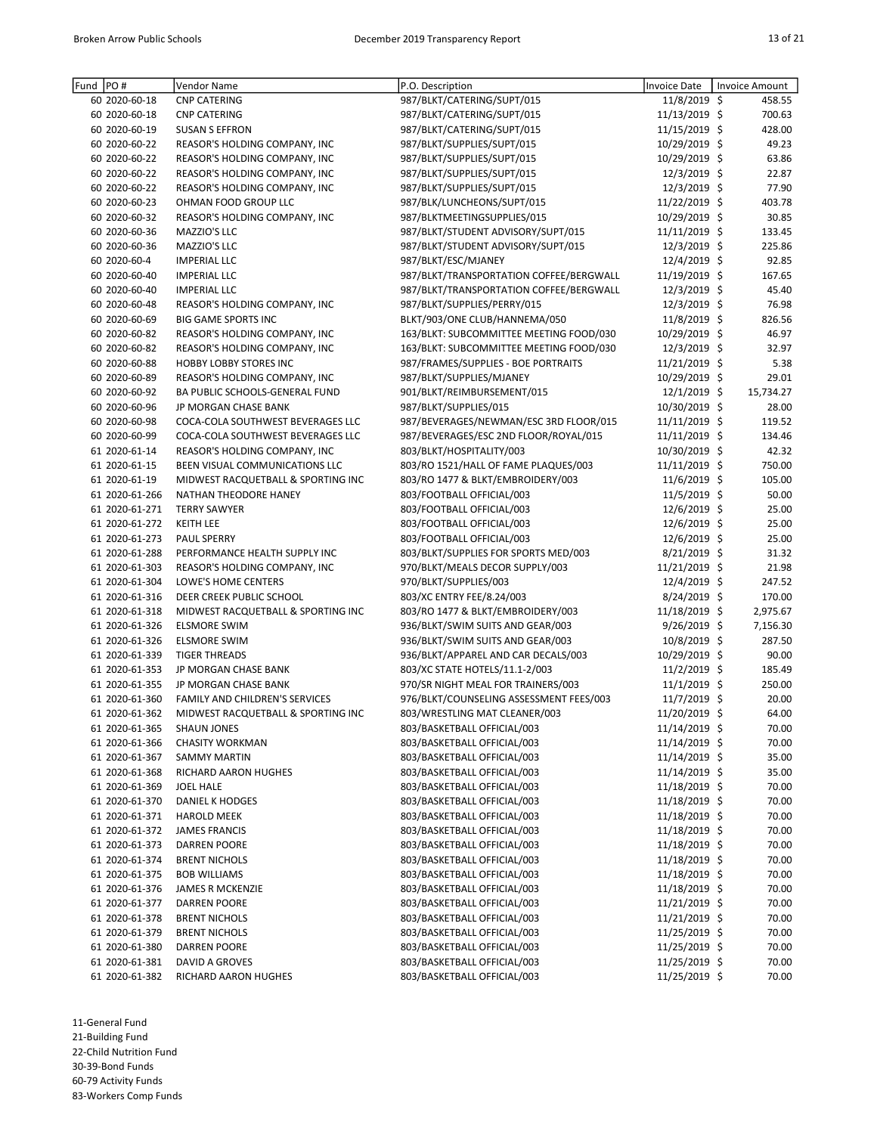| PO#<br>Fund    | Vendor Name                        | P.O. Description                        | Invoice Date   | <b>Invoice Amount</b> |
|----------------|------------------------------------|-----------------------------------------|----------------|-----------------------|
| 60 2020-60-18  | <b>CNP CATERING</b>                | 987/BLKT/CATERING/SUPT/015              | 11/8/2019 \$   | 458.55                |
| 60 2020-60-18  | <b>CNP CATERING</b>                | 987/BLKT/CATERING/SUPT/015              | 11/13/2019 \$  | 700.63                |
| 60 2020-60-19  | <b>SUSAN S EFFRON</b>              | 987/BLKT/CATERING/SUPT/015              | 11/15/2019 \$  | 428.00                |
| 60 2020-60-22  | REASOR'S HOLDING COMPANY, INC      | 987/BLKT/SUPPLIES/SUPT/015              | 10/29/2019 \$  | 49.23                 |
| 60 2020-60-22  | REASOR'S HOLDING COMPANY, INC      | 987/BLKT/SUPPLIES/SUPT/015              | 10/29/2019 \$  | 63.86                 |
| 60 2020-60-22  | REASOR'S HOLDING COMPANY, INC      | 987/BLKT/SUPPLIES/SUPT/015              | 12/3/2019 \$   | 22.87                 |
| 60 2020-60-22  | REASOR'S HOLDING COMPANY, INC      | 987/BLKT/SUPPLIES/SUPT/015              | 12/3/2019 \$   | 77.90                 |
| 60 2020-60-23  | OHMAN FOOD GROUP LLC               | 987/BLK/LUNCHEONS/SUPT/015              | 11/22/2019 \$  | 403.78                |
| 60 2020-60-32  | REASOR'S HOLDING COMPANY, INC      | 987/BLKTMEETINGSUPPLIES/015             | 10/29/2019 \$  | 30.85                 |
| 60 2020-60-36  | MAZZIO'S LLC                       | 987/BLKT/STUDENT ADVISORY/SUPT/015      | 11/11/2019 \$  | 133.45                |
| 60 2020-60-36  | MAZZIO'S LLC                       | 987/BLKT/STUDENT ADVISORY/SUPT/015      | $12/3/2019$ \$ | 225.86                |
| 60 2020-60-4   | <b>IMPERIAL LLC</b>                | 987/BLKT/ESC/MJANEY                     | 12/4/2019 \$   | 92.85                 |
| 60 2020-60-40  | <b>IMPERIAL LLC</b>                | 987/BLKT/TRANSPORTATION COFFEE/BERGWALL | 11/19/2019 \$  | 167.65                |
| 60 2020-60-40  | <b>IMPERIAL LLC</b>                | 987/BLKT/TRANSPORTATION COFFEE/BERGWALL | 12/3/2019 \$   | 45.40                 |
| 60 2020-60-48  | REASOR'S HOLDING COMPANY, INC      | 987/BLKT/SUPPLIES/PERRY/015             | 12/3/2019 \$   | 76.98                 |
| 60 2020-60-69  | <b>BIG GAME SPORTS INC</b>         | BLKT/903/ONE CLUB/HANNEMA/050           | 11/8/2019 \$   | 826.56                |
| 60 2020-60-82  | REASOR'S HOLDING COMPANY, INC      | 163/BLKT: SUBCOMMITTEE MEETING FOOD/030 | 10/29/2019 \$  | 46.97                 |
| 60 2020-60-82  | REASOR'S HOLDING COMPANY, INC      | 163/BLKT: SUBCOMMITTEE MEETING FOOD/030 | 12/3/2019 \$   | 32.97                 |
| 60 2020-60-88  | <b>HOBBY LOBBY STORES INC</b>      | 987/FRAMES/SUPPLIES - BOE PORTRAITS     | 11/21/2019 \$  | 5.38                  |
| 60 2020-60-89  | REASOR'S HOLDING COMPANY, INC      | 987/BLKT/SUPPLIES/MJANEY                | 10/29/2019 \$  | 29.01                 |
| 60 2020-60-92  | BA PUBLIC SCHOOLS-GENERAL FUND     | 901/BLKT/REIMBURSEMENT/015              | $12/1/2019$ \$ | 15,734.27             |
| 60 2020-60-96  | JP MORGAN CHASE BANK               | 987/BLKT/SUPPLIES/015                   | 10/30/2019 \$  | 28.00                 |
| 60 2020-60-98  | COCA-COLA SOUTHWEST BEVERAGES LLC  | 987/BEVERAGES/NEWMAN/ESC 3RD FLOOR/015  | 11/11/2019 \$  | 119.52                |
| 60 2020-60-99  | COCA-COLA SOUTHWEST BEVERAGES LLC  | 987/BEVERAGES/ESC 2ND FLOOR/ROYAL/015   | 11/11/2019 \$  | 134.46                |
| 61 2020-61-14  | REASOR'S HOLDING COMPANY, INC      | 803/BLKT/HOSPITALITY/003                | 10/30/2019 \$  | 42.32                 |
| 61 2020-61-15  | BEEN VISUAL COMMUNICATIONS LLC     | 803/RO 1521/HALL OF FAME PLAQUES/003    | 11/11/2019 \$  | 750.00                |
| 61 2020-61-19  | MIDWEST RACQUETBALL & SPORTING INC | 803/RO 1477 & BLKT/EMBROIDERY/003       | 11/6/2019 \$   | 105.00                |
| 61 2020-61-266 | NATHAN THEODORE HANEY              | 803/FOOTBALL OFFICIAL/003               | 11/5/2019 \$   | 50.00                 |
| 61 2020-61-271 | <b>TERRY SAWYER</b>                | 803/FOOTBALL OFFICIAL/003               | 12/6/2019 \$   | 25.00                 |
| 61 2020-61-272 | <b>KEITH LEE</b>                   | 803/FOOTBALL OFFICIAL/003               | 12/6/2019 \$   | 25.00                 |
| 61 2020-61-273 | <b>PAUL SPERRY</b>                 | 803/FOOTBALL OFFICIAL/003               | 12/6/2019 \$   | 25.00                 |
| 61 2020-61-288 | PERFORMANCE HEALTH SUPPLY INC      | 803/BLKT/SUPPLIES FOR SPORTS MED/003    | 8/21/2019 \$   | 31.32                 |
| 61 2020-61-303 | REASOR'S HOLDING COMPANY, INC      | 970/BLKT/MEALS DECOR SUPPLY/003         | 11/21/2019 \$  | 21.98                 |
| 61 2020-61-304 | LOWE'S HOME CENTERS                | 970/BLKT/SUPPLIES/003                   | 12/4/2019 \$   | 247.52                |
| 61 2020-61-316 | DEER CREEK PUBLIC SCHOOL           | 803/XC ENTRY FEE/8.24/003               | 8/24/2019 \$   | 170.00                |
| 61 2020-61-318 | MIDWEST RACQUETBALL & SPORTING INC | 803/RO 1477 & BLKT/EMBROIDERY/003       | 11/18/2019 \$  | 2,975.67              |
| 61 2020-61-326 | <b>ELSMORE SWIM</b>                | 936/BLKT/SWIM SUITS AND GEAR/003        | $9/26/2019$ \$ | 7,156.30              |
| 61 2020-61-326 | <b>ELSMORE SWIM</b>                | 936/BLKT/SWIM SUITS AND GEAR/003        | 10/8/2019 \$   | 287.50                |
| 61 2020-61-339 | <b>TIGER THREADS</b>               | 936/BLKT/APPAREL AND CAR DECALS/003     | 10/29/2019 \$  | 90.00                 |
| 61 2020-61-353 | JP MORGAN CHASE BANK               | 803/XC STATE HOTELS/11.1-2/003          | $11/2/2019$ \$ | 185.49                |
| 61 2020-61-355 | JP MORGAN CHASE BANK               | 970/SR NIGHT MEAL FOR TRAINERS/003      | 11/1/2019 \$   | 250.00                |
| 61 2020-61-360 | FAMILY AND CHILDREN'S SERVICES     | 976/BLKT/COUNSELING ASSESSMENT FEES/003 | 11/7/2019 \$   | 20.00                 |
| 61 2020-61-362 | MIDWEST RACQUETBALL & SPORTING INC | 803/WRESTLING MAT CLEANER/003           | 11/20/2019 \$  | 64.00                 |
| 61 2020-61-365 | <b>SHAUN JONES</b>                 | 803/BASKETBALL OFFICIAL/003             | 11/14/2019 \$  | 70.00                 |
| 61 2020-61-366 | <b>CHASITY WORKMAN</b>             | 803/BASKETBALL OFFICIAL/003             | 11/14/2019 \$  | 70.00                 |
| 61 2020-61-367 | <b>SAMMY MARTIN</b>                | 803/BASKETBALL OFFICIAL/003             | 11/14/2019 \$  | 35.00                 |
| 61 2020-61-368 | RICHARD AARON HUGHES               | 803/BASKETBALL OFFICIAL/003             | 11/14/2019 \$  | 35.00                 |
| 61 2020-61-369 | <b>JOEL HALE</b>                   | 803/BASKETBALL OFFICIAL/003             | 11/18/2019 \$  | 70.00                 |
| 61 2020-61-370 | DANIEL K HODGES                    | 803/BASKETBALL OFFICIAL/003             | 11/18/2019 \$  | 70.00                 |
| 61 2020-61-371 | HAROLD MEEK                        | 803/BASKETBALL OFFICIAL/003             | 11/18/2019 \$  | 70.00                 |
| 61 2020-61-372 | <b>JAMES FRANCIS</b>               | 803/BASKETBALL OFFICIAL/003             | 11/18/2019 \$  | 70.00                 |
| 61 2020-61-373 | <b>DARREN POORE</b>                | 803/BASKETBALL OFFICIAL/003             | 11/18/2019 \$  | 70.00                 |
| 61 2020-61-374 | <b>BRENT NICHOLS</b>               | 803/BASKETBALL OFFICIAL/003             | 11/18/2019 \$  | 70.00                 |
| 61 2020-61-375 | <b>BOB WILLIAMS</b>                | 803/BASKETBALL OFFICIAL/003             | 11/18/2019 \$  | 70.00                 |
| 61 2020-61-376 | <b>JAMES R MCKENZIE</b>            | 803/BASKETBALL OFFICIAL/003             | 11/18/2019 \$  | 70.00                 |
| 61 2020-61-377 | <b>DARREN POORE</b>                | 803/BASKETBALL OFFICIAL/003             | 11/21/2019 \$  | 70.00                 |
| 61 2020-61-378 | <b>BRENT NICHOLS</b>               | 803/BASKETBALL OFFICIAL/003             | 11/21/2019 \$  | 70.00                 |
| 61 2020-61-379 | <b>BRENT NICHOLS</b>               | 803/BASKETBALL OFFICIAL/003             | 11/25/2019 \$  | 70.00                 |
| 61 2020-61-380 | DARREN POORE                       | 803/BASKETBALL OFFICIAL/003             | 11/25/2019 \$  | 70.00                 |
| 61 2020-61-381 | DAVID A GROVES                     | 803/BASKETBALL OFFICIAL/003             | 11/25/2019 \$  | 70.00                 |
| 61 2020-61-382 | RICHARD AARON HUGHES               | 803/BASKETBALL OFFICIAL/003             | 11/25/2019 \$  | 70.00                 |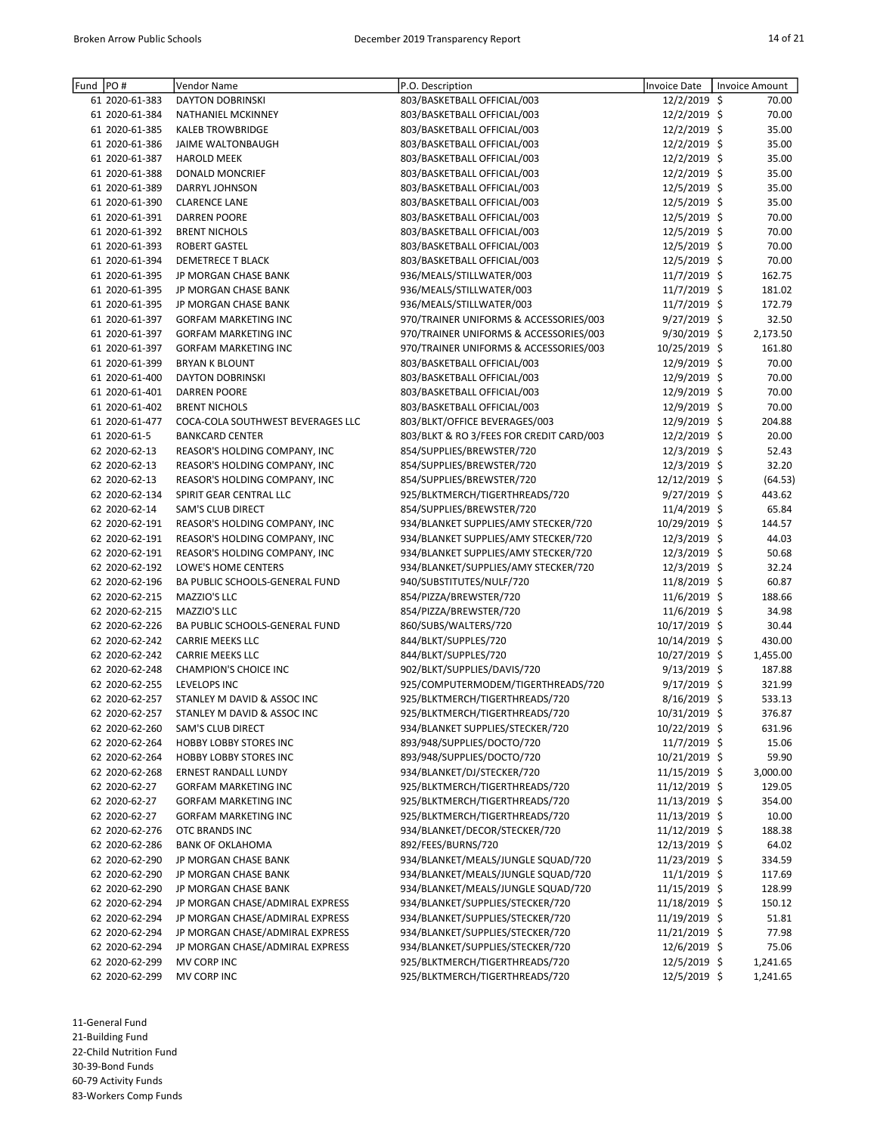| Fund | PO#            | Vendor Name                       | P.O. Description                         | <b>Invoice Date</b> | Invoice Amount |
|------|----------------|-----------------------------------|------------------------------------------|---------------------|----------------|
|      | 61 2020-61-383 | <b>DAYTON DOBRINSKI</b>           | 803/BASKETBALL OFFICIAL/003              | 12/2/2019 \$        | 70.00          |
|      | 61 2020-61-384 | NATHANIEL MCKINNEY                | 803/BASKETBALL OFFICIAL/003              | 12/2/2019 \$        | 70.00          |
|      | 61 2020-61-385 | <b>KALEB TROWBRIDGE</b>           | 803/BASKETBALL OFFICIAL/003              | 12/2/2019 \$        | 35.00          |
|      | 61 2020-61-386 | JAIME WALTONBAUGH                 | 803/BASKETBALL OFFICIAL/003              | 12/2/2019 \$        | 35.00          |
|      | 61 2020-61-387 | <b>HAROLD MEEK</b>                | 803/BASKETBALL OFFICIAL/003              | 12/2/2019 \$        | 35.00          |
|      | 61 2020-61-388 | <b>DONALD MONCRIEF</b>            | 803/BASKETBALL OFFICIAL/003              | 12/2/2019 \$        | 35.00          |
|      | 61 2020-61-389 | DARRYL JOHNSON                    | 803/BASKETBALL OFFICIAL/003              | 12/5/2019 \$        | 35.00          |
|      | 61 2020-61-390 | <b>CLARENCE LANE</b>              | 803/BASKETBALL OFFICIAL/003              | 12/5/2019 \$        | 35.00          |
|      | 61 2020-61-391 | <b>DARREN POORE</b>               | 803/BASKETBALL OFFICIAL/003              | 12/5/2019 \$        | 70.00          |
|      | 61 2020-61-392 | <b>BRENT NICHOLS</b>              | 803/BASKETBALL OFFICIAL/003              | 12/5/2019 \$        | 70.00          |
|      | 61 2020-61-393 | <b>ROBERT GASTEL</b>              | 803/BASKETBALL OFFICIAL/003              | 12/5/2019 \$        | 70.00          |
|      |                |                                   |                                          |                     |                |
|      | 61 2020-61-394 | <b>DEMETRECE T BLACK</b>          | 803/BASKETBALL OFFICIAL/003              | 12/5/2019 \$        | 70.00          |
|      | 61 2020-61-395 | JP MORGAN CHASE BANK              | 936/MEALS/STILLWATER/003                 | 11/7/2019 \$        | 162.75         |
|      | 61 2020-61-395 | JP MORGAN CHASE BANK              | 936/MEALS/STILLWATER/003                 | 11/7/2019 \$        | 181.02         |
|      | 61 2020-61-395 | JP MORGAN CHASE BANK              | 936/MEALS/STILLWATER/003                 | 11/7/2019 \$        | 172.79         |
|      | 61 2020-61-397 | <b>GORFAM MARKETING INC</b>       | 970/TRAINER UNIFORMS & ACCESSORIES/003   | 9/27/2019 \$        | 32.50          |
|      | 61 2020-61-397 | <b>GORFAM MARKETING INC</b>       | 970/TRAINER UNIFORMS & ACCESSORIES/003   | 9/30/2019 \$        | 2,173.50       |
|      | 61 2020-61-397 | <b>GORFAM MARKETING INC</b>       | 970/TRAINER UNIFORMS & ACCESSORIES/003   | 10/25/2019 \$       | 161.80         |
|      | 61 2020-61-399 | <b>BRYAN K BLOUNT</b>             | 803/BASKETBALL OFFICIAL/003              | 12/9/2019 \$        | 70.00          |
|      | 61 2020-61-400 | DAYTON DOBRINSKI                  | 803/BASKETBALL OFFICIAL/003              | 12/9/2019 \$        | 70.00          |
|      | 61 2020-61-401 | <b>DARREN POORE</b>               | 803/BASKETBALL OFFICIAL/003              | 12/9/2019 \$        | 70.00          |
|      | 61 2020-61-402 | <b>BRENT NICHOLS</b>              | 803/BASKETBALL OFFICIAL/003              | 12/9/2019 \$        | 70.00          |
|      | 61 2020-61-477 | COCA-COLA SOUTHWEST BEVERAGES LLC | 803/BLKT/OFFICE BEVERAGES/003            | 12/9/2019 \$        | 204.88         |
|      | 61 2020-61-5   | <b>BANKCARD CENTER</b>            | 803/BLKT & RO 3/FEES FOR CREDIT CARD/003 | 12/2/2019 \$        | 20.00          |
|      | 62 2020-62-13  | REASOR'S HOLDING COMPANY, INC     | 854/SUPPLIES/BREWSTER/720                | 12/3/2019 \$        | 52.43          |
|      | 62 2020-62-13  | REASOR'S HOLDING COMPANY, INC     | 854/SUPPLIES/BREWSTER/720                | 12/3/2019 \$        | 32.20          |
|      | 62 2020-62-13  | REASOR'S HOLDING COMPANY, INC     | 854/SUPPLIES/BREWSTER/720                | 12/12/2019 \$       | (64.53)        |
|      | 62 2020-62-134 | SPIRIT GEAR CENTRAL LLC           | 925/BLKTMERCH/TIGERTHREADS/720           | 9/27/2019 \$        | 443.62         |
|      | 62 2020-62-14  | SAM'S CLUB DIRECT                 | 854/SUPPLIES/BREWSTER/720                | 11/4/2019 \$        | 65.84          |
|      | 62 2020-62-191 |                                   |                                          | 10/29/2019 \$       |                |
|      |                | REASOR'S HOLDING COMPANY, INC     | 934/BLANKET SUPPLIES/AMY STECKER/720     |                     | 144.57         |
|      | 62 2020-62-191 | REASOR'S HOLDING COMPANY, INC     | 934/BLANKET SUPPLIES/AMY STECKER/720     | 12/3/2019 \$        | 44.03          |
|      | 62 2020-62-191 | REASOR'S HOLDING COMPANY, INC     | 934/BLANKET SUPPLIES/AMY STECKER/720     | 12/3/2019 \$        | 50.68          |
|      | 62 2020-62-192 | LOWE'S HOME CENTERS               | 934/BLANKET/SUPPLIES/AMY STECKER/720     | 12/3/2019 \$        | 32.24          |
|      | 62 2020-62-196 | BA PUBLIC SCHOOLS-GENERAL FUND    | 940/SUBSTITUTES/NULF/720                 | 11/8/2019 \$        | 60.87          |
|      | 62 2020-62-215 | MAZZIO'S LLC                      | 854/PIZZA/BREWSTER/720                   | $11/6/2019$ \$      | 188.66         |
|      | 62 2020-62-215 | MAZZIO'S LLC                      | 854/PIZZA/BREWSTER/720                   | 11/6/2019 \$        | 34.98          |
|      | 62 2020-62-226 | BA PUBLIC SCHOOLS-GENERAL FUND    | 860/SUBS/WALTERS/720                     | 10/17/2019 \$       | 30.44          |
|      | 62 2020-62-242 | <b>CARRIE MEEKS LLC</b>           | 844/BLKT/SUPPLES/720                     | 10/14/2019 \$       | 430.00         |
|      | 62 2020-62-242 | <b>CARRIE MEEKS LLC</b>           | 844/BLKT/SUPPLES/720                     | 10/27/2019 \$       | 1,455.00       |
|      | 62 2020-62-248 | CHAMPION'S CHOICE INC             | 902/BLKT/SUPPLIES/DAVIS/720              | $9/13/2019$ \$      | 187.88         |
|      | 62 2020-62-255 | LEVELOPS INC                      | 925/COMPUTERMODEM/TIGERTHREADS/720       | 9/17/2019 \$        | 321.99         |
|      | 62 2020-62-257 | STANLEY M DAVID & ASSOC INC       | 925/BLKTMERCH/TIGERTHREADS/720           | 8/16/2019 \$        | 533.13         |
|      | 62 2020-62-257 | STANLEY M DAVID & ASSOC INC       | 925/BLKTMERCH/TIGERTHREADS/720           | 10/31/2019 \$       | 376.87         |
|      | 62 2020-62-260 | SAM'S CLUB DIRECT                 | 934/BLANKET SUPPLIES/STECKER/720         | 10/22/2019 \$       | 631.96         |
|      | 62 2020-62-264 | <b>HOBBY LOBBY STORES INC</b>     | 893/948/SUPPLIES/DOCTO/720               | $11/7/2019$ \$      | 15.06          |
|      | 62 2020-62-264 | HOBBY LOBBY STORES INC            | 893/948/SUPPLIES/DOCTO/720               | 10/21/2019 \$       | 59.90          |
|      | 62 2020-62-268 | ERNEST RANDALL LUNDY              | 934/BLANKET/DJ/STECKER/720               | 11/15/2019 \$       | 3,000.00       |
|      | 62 2020-62-27  | <b>GORFAM MARKETING INC</b>       | 925/BLKTMERCH/TIGERTHREADS/720           | 11/12/2019 \$       | 129.05         |
|      | 62 2020-62-27  | <b>GORFAM MARKETING INC</b>       | 925/BLKTMERCH/TIGERTHREADS/720           | 11/13/2019 \$       | 354.00         |
|      | 62 2020-62-27  | GORFAM MARKETING INC              | 925/BLKTMERCH/TIGERTHREADS/720           |                     |                |
|      |                |                                   |                                          | 11/13/2019 \$       | 10.00          |
|      | 62 2020-62-276 | OTC BRANDS INC                    | 934/BLANKET/DECOR/STECKER/720            | 11/12/2019 \$       | 188.38         |
|      | 62 2020-62-286 | <b>BANK OF OKLAHOMA</b>           | 892/FEES/BURNS/720                       | 12/13/2019 \$       | 64.02          |
|      | 62 2020-62-290 | JP MORGAN CHASE BANK              | 934/BLANKET/MEALS/JUNGLE SQUAD/720       | 11/23/2019 \$       | 334.59         |
|      | 62 2020-62-290 | JP MORGAN CHASE BANK              | 934/BLANKET/MEALS/JUNGLE SQUAD/720       | $11/1/2019$ \$      | 117.69         |
|      | 62 2020-62-290 | JP MORGAN CHASE BANK              | 934/BLANKET/MEALS/JUNGLE SQUAD/720       | 11/15/2019 \$       | 128.99         |
|      | 62 2020-62-294 | JP MORGAN CHASE/ADMIRAL EXPRESS   | 934/BLANKET/SUPPLIES/STECKER/720         | 11/18/2019 \$       | 150.12         |
|      | 62 2020-62-294 | JP MORGAN CHASE/ADMIRAL EXPRESS   | 934/BLANKET/SUPPLIES/STECKER/720         | 11/19/2019 \$       | 51.81          |
|      | 62 2020-62-294 | JP MORGAN CHASE/ADMIRAL EXPRESS   | 934/BLANKET/SUPPLIES/STECKER/720         | 11/21/2019 \$       | 77.98          |
|      | 62 2020-62-294 | JP MORGAN CHASE/ADMIRAL EXPRESS   | 934/BLANKET/SUPPLIES/STECKER/720         | $12/6/2019$ \$      | 75.06          |
|      | 62 2020-62-299 | MV CORP INC                       | 925/BLKTMERCH/TIGERTHREADS/720           | 12/5/2019 \$        | 1,241.65       |
|      | 62 2020-62-299 | MV CORP INC                       | 925/BLKTMERCH/TIGERTHREADS/720           | 12/5/2019 \$        | 1,241.65       |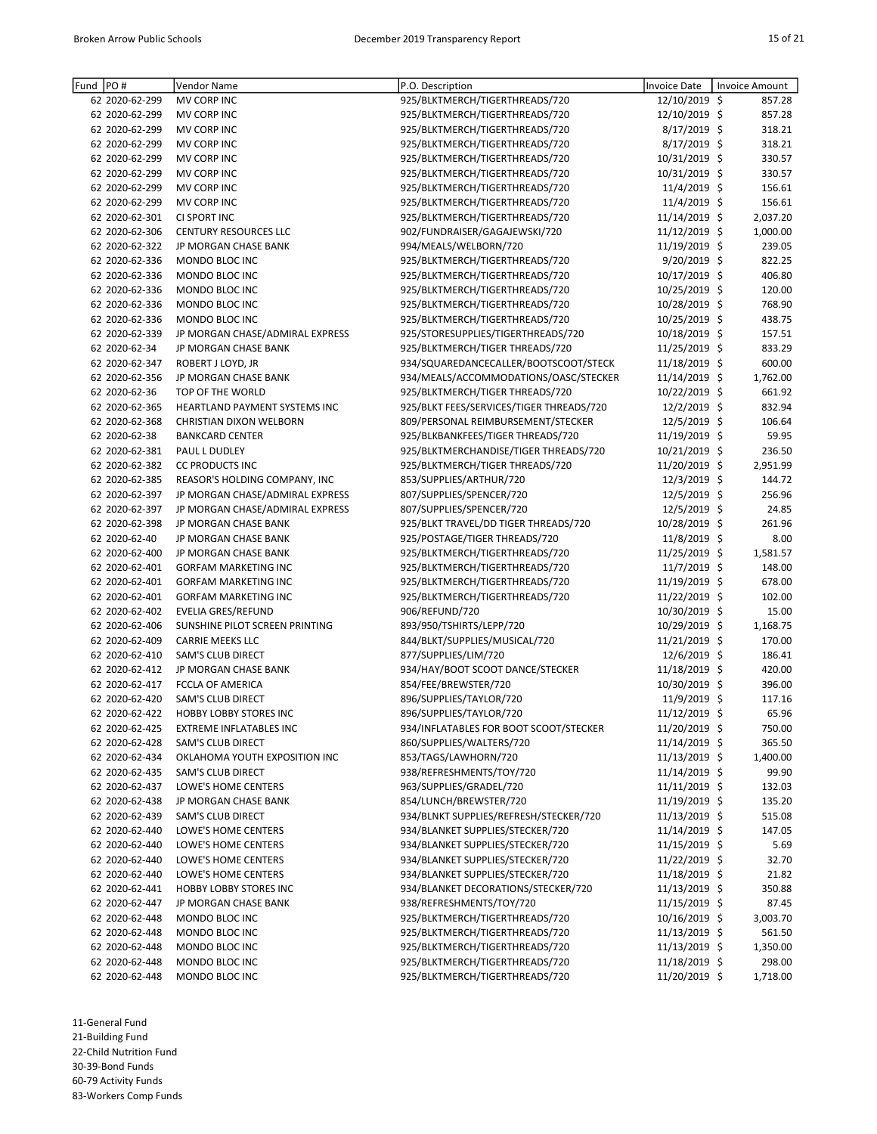| PO#<br>Fund    | Vendor Name                     | P.O. Description                         | Invoice Date    | Invoice Amount |
|----------------|---------------------------------|------------------------------------------|-----------------|----------------|
| 62 2020-62-299 | MV CORP INC                     | 925/BLKTMERCH/TIGERTHREADS/720           | 12/10/2019 \$   | 857.28         |
| 62 2020-62-299 | MV CORP INC                     | 925/BLKTMERCH/TIGERTHREADS/720           | 12/10/2019 \$   | 857.28         |
| 62 2020-62-299 | MV CORP INC                     | 925/BLKTMERCH/TIGERTHREADS/720           | 8/17/2019 \$    | 318.21         |
| 62 2020-62-299 | MV CORP INC                     | 925/BLKTMERCH/TIGERTHREADS/720           | 8/17/2019 \$    | 318.21         |
| 62 2020-62-299 | MV CORP INC                     | 925/BLKTMERCH/TIGERTHREADS/720           | 10/31/2019 \$   | 330.57         |
| 62 2020-62-299 | MV CORP INC                     | 925/BLKTMERCH/TIGERTHREADS/720           | 10/31/2019 \$   | 330.57         |
| 62 2020-62-299 | MV CORP INC                     | 925/BLKTMERCH/TIGERTHREADS/720           | 11/4/2019 \$    | 156.61         |
| 62 2020-62-299 | MV CORP INC                     | 925/BLKTMERCH/TIGERTHREADS/720           | 11/4/2019 \$    | 156.61         |
| 62 2020-62-301 | CI SPORT INC                    | 925/BLKTMERCH/TIGERTHREADS/720           | 11/14/2019 \$   | 2,037.20       |
| 62 2020-62-306 | <b>CENTURY RESOURCES LLC</b>    | 902/FUNDRAISER/GAGAJEWSKI/720            | 11/12/2019 \$   | 1,000.00       |
| 62 2020-62-322 | JP MORGAN CHASE BANK            | 994/MEALS/WELBORN/720                    | 11/19/2019 \$   | 239.05         |
| 62 2020-62-336 | MONDO BLOC INC                  | 925/BLKTMERCH/TIGERTHREADS/720           | $9/20/2019$ \$  | 822.25         |
| 62 2020-62-336 | MONDO BLOC INC                  | 925/BLKTMERCH/TIGERTHREADS/720           | 10/17/2019 \$   | 406.80         |
| 62 2020-62-336 | MONDO BLOC INC                  | 925/BLKTMERCH/TIGERTHREADS/720           | 10/25/2019 \$   | 120.00         |
| 62 2020-62-336 | MONDO BLOC INC                  | 925/BLKTMERCH/TIGERTHREADS/720           | 10/28/2019 \$   | 768.90         |
| 62 2020-62-336 | MONDO BLOC INC                  | 925/BLKTMERCH/TIGERTHREADS/720           | 10/25/2019 \$   | 438.75         |
| 62 2020-62-339 | JP MORGAN CHASE/ADMIRAL EXPRESS | 925/STORESUPPLIES/TIGERTHREADS/720       | 10/18/2019 \$   | 157.51         |
| 62 2020-62-34  | JP MORGAN CHASE BANK            | 925/BLKTMERCH/TIGER THREADS/720          | 11/25/2019 \$   | 833.29         |
| 62 2020-62-347 | ROBERT J LOYD, JR               | 934/SQUAREDANCECALLER/BOOTSCOOT/STECK    | 11/18/2019 \$   | 600.00         |
| 62 2020-62-356 | JP MORGAN CHASE BANK            | 934/MEALS/ACCOMMODATIONS/OASC/STECKER    | 11/14/2019 \$   | 1,762.00       |
| 62 2020-62-36  | TOP OF THE WORLD                | 925/BLKTMERCH/TIGER THREADS/720          | 10/22/2019 \$   | 661.92         |
| 62 2020-62-365 | HEARTLAND PAYMENT SYSTEMS INC   | 925/BLKT FEES/SERVICES/TIGER THREADS/720 | 12/2/2019 \$    | 832.94         |
| 62 2020-62-368 | CHRISTIAN DIXON WELBORN         | 809/PERSONAL REIMBURSEMENT/STECKER       | 12/5/2019 \$    | 106.64         |
| 62 2020-62-38  | <b>BANKCARD CENTER</b>          | 925/BLKBANKFEES/TIGER THREADS/720        | 11/19/2019 \$   | 59.95          |
| 62 2020-62-381 | PAUL L DUDLEY                   | 925/BLKTMERCHANDISE/TIGER THREADS/720    | 10/21/2019 \$   | 236.50         |
| 62 2020-62-382 | <b>CC PRODUCTS INC</b>          | 925/BLKTMERCH/TIGER THREADS/720          | 11/20/2019 \$   | 2,951.99       |
| 62 2020-62-385 | REASOR'S HOLDING COMPANY, INC   | 853/SUPPLIES/ARTHUR/720                  | 12/3/2019 \$    | 144.72         |
| 62 2020-62-397 | JP MORGAN CHASE/ADMIRAL EXPRESS | 807/SUPPLIES/SPENCER/720                 | 12/5/2019 \$    | 256.96         |
| 62 2020-62-397 | JP MORGAN CHASE/ADMIRAL EXPRESS | 807/SUPPLIES/SPENCER/720                 | 12/5/2019 \$    | 24.85          |
| 62 2020-62-398 | JP MORGAN CHASE BANK            | 925/BLKT TRAVEL/DD TIGER THREADS/720     | 10/28/2019 \$   | 261.96         |
| 62 2020-62-40  | JP MORGAN CHASE BANK            | 925/POSTAGE/TIGER THREADS/720            | 11/8/2019 \$    | 8.00           |
| 62 2020-62-400 | JP MORGAN CHASE BANK            | 925/BLKTMERCH/TIGERTHREADS/720           | 11/25/2019 \$   | 1,581.57       |
| 62 2020-62-401 | <b>GORFAM MARKETING INC</b>     | 925/BLKTMERCH/TIGERTHREADS/720           | 11/7/2019 \$    | 148.00         |
| 62 2020-62-401 | <b>GORFAM MARKETING INC</b>     | 925/BLKTMERCH/TIGERTHREADS/720           | 11/19/2019 \$   | 678.00         |
| 62 2020-62-401 | <b>GORFAM MARKETING INC</b>     | 925/BLKTMERCH/TIGERTHREADS/720           | 11/22/2019 \$   | 102.00         |
| 62 2020-62-402 | <b>EVELIA GRES/REFUND</b>       | 906/REFUND/720                           | 10/30/2019 \$   | 15.00          |
| 62 2020-62-406 | SUNSHINE PILOT SCREEN PRINTING  | 893/950/TSHIRTS/LEPP/720                 | 10/29/2019 \$   | 1,168.75       |
| 62 2020-62-409 | <b>CARRIE MEEKS LLC</b>         | 844/BLKT/SUPPLIES/MUSICAL/720            | 11/21/2019 \$   | 170.00         |
| 62 2020-62-410 | <b>SAM'S CLUB DIRECT</b>        | 877/SUPPLIES/LIM/720                     | 12/6/2019 \$    | 186.41         |
| 62 2020-62-412 | JP MORGAN CHASE BANK            | 934/HAY/BOOT SCOOT DANCE/STECKER         | 11/18/2019 \$   | 420.00         |
| 62 2020-62-417 | <b>FCCLA OF AMERICA</b>         | 854/FEE/BREWSTER/720                     | 10/30/2019 \$   | 396.00         |
| 62 2020-62-420 | <b>SAM'S CLUB DIRECT</b>        | 896/SUPPLIES/TAYLOR/720                  | 11/9/2019 \$    | 117.16         |
| 62 2020-62-422 | HOBBY LOBBY STORES INC          | 896/SUPPLIES/TAYLOR/720                  | 11/12/2019 \$   | 65.96          |
| 62 2020-62-425 | <b>EXTREME INFLATABLES INC</b>  | 934/INFLATABLES FOR BOOT SCOOT/STECKER   | 11/20/2019 \$   | 750.00         |
| 62 2020-62-428 | SAM'S CLUB DIRECT               | 860/SUPPLIES/WALTERS/720                 | 11/14/2019 \$   | 365.50         |
| 62 2020-62-434 | OKLAHOMA YOUTH EXPOSITION INC   | 853/TAGS/LAWHORN/720                     | 11/13/2019 \$   | 1,400.00       |
| 62 2020-62-435 | SAM'S CLUB DIRECT               | 938/REFRESHMENTS/TOY/720                 | 11/14/2019 \$   | 99.90          |
| 62 2020-62-437 | LOWE'S HOME CENTERS             | 963/SUPPLIES/GRADEL/720                  | $11/11/2019$ \$ | 132.03         |
| 62 2020-62-438 | JP MORGAN CHASE BANK            | 854/LUNCH/BREWSTER/720                   | 11/19/2019 \$   | 135.20         |
| 62 2020-62-439 | SAM'S CLUB DIRECT               | 934/BLNKT SUPPLIES/REFRESH/STECKER/720   | 11/13/2019 \$   | 515.08         |
| 62 2020-62-440 | LOWE'S HOME CENTERS             | 934/BLANKET SUPPLIES/STECKER/720         | 11/14/2019 \$   | 147.05         |
| 62 2020-62-440 | LOWE'S HOME CENTERS             | 934/BLANKET SUPPLIES/STECKER/720         | 11/15/2019 \$   | 5.69           |
| 62 2020-62-440 | LOWE'S HOME CENTERS             | 934/BLANKET SUPPLIES/STECKER/720         | 11/22/2019 \$   | 32.70          |
| 62 2020-62-440 | LOWE'S HOME CENTERS             | 934/BLANKET SUPPLIES/STECKER/720         | 11/18/2019 \$   | 21.82          |
| 62 2020-62-441 | <b>HOBBY LOBBY STORES INC</b>   | 934/BLANKET DECORATIONS/STECKER/720      | 11/13/2019 \$   | 350.88         |
| 62 2020-62-447 | JP MORGAN CHASE BANK            | 938/REFRESHMENTS/TOY/720                 | 11/15/2019 \$   | 87.45          |
| 62 2020-62-448 | MONDO BLOC INC                  | 925/BLKTMERCH/TIGERTHREADS/720           | 10/16/2019 \$   | 3,003.70       |
| 62 2020-62-448 | MONDO BLOC INC                  | 925/BLKTMERCH/TIGERTHREADS/720           | 11/13/2019 \$   | 561.50         |
| 62 2020-62-448 | MONDO BLOC INC                  | 925/BLKTMERCH/TIGERTHREADS/720           | 11/13/2019 \$   | 1,350.00       |
| 62 2020-62-448 | MONDO BLOC INC                  | 925/BLKTMERCH/TIGERTHREADS/720           | 11/18/2019 \$   | 298.00         |
| 62 2020-62-448 | MONDO BLOC INC                  | 925/BLKTMERCH/TIGERTHREADS/720           | 11/20/2019 \$   | 1,718.00       |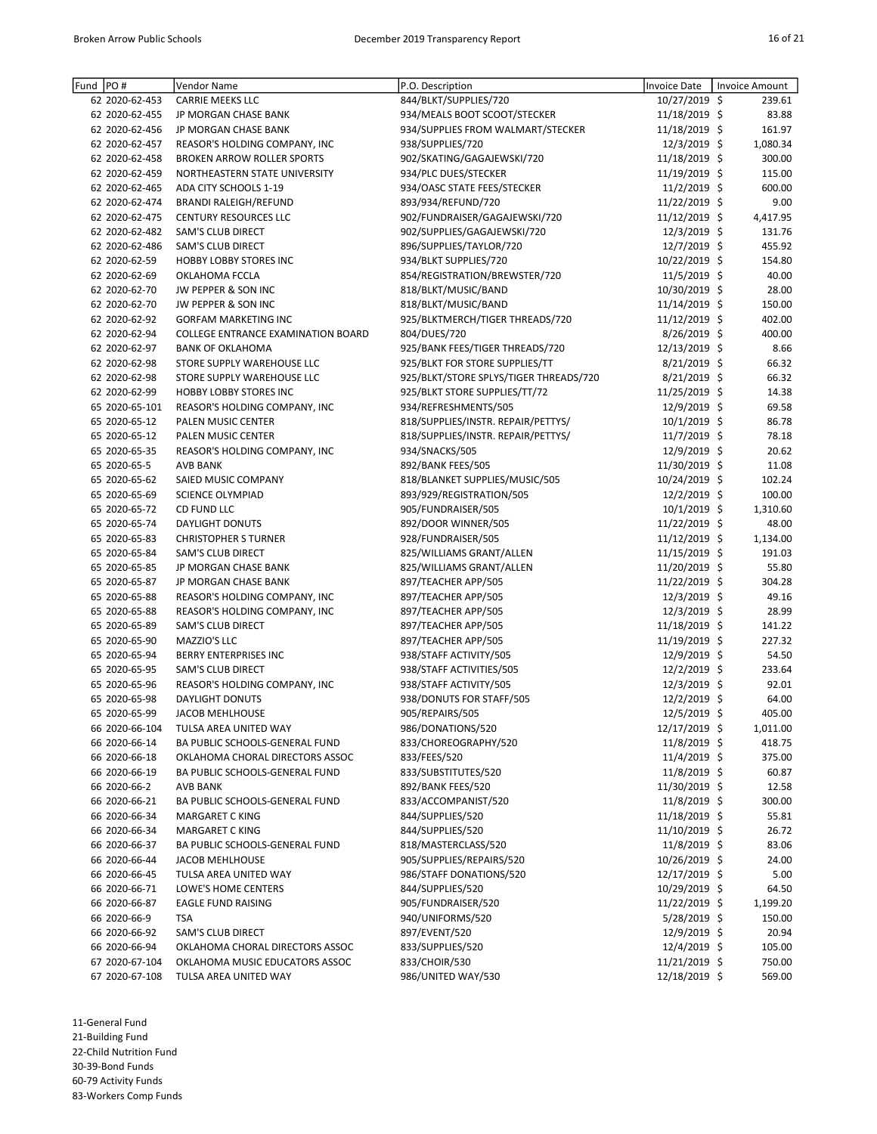| Fund | PO#            | Vendor Name                        | P.O. Description                       | Invoice Date   | <b>Invoice Amount</b> |
|------|----------------|------------------------------------|----------------------------------------|----------------|-----------------------|
|      | 62 2020-62-453 | <b>CARRIE MEEKS LLC</b>            | 844/BLKT/SUPPLIES/720                  | 10/27/2019 \$  | 239.61                |
|      | 62 2020-62-455 | JP MORGAN CHASE BANK               | 934/MEALS BOOT SCOOT/STECKER           | 11/18/2019 \$  | 83.88                 |
|      | 62 2020-62-456 | JP MORGAN CHASE BANK               | 934/SUPPLIES FROM WALMART/STECKER      | 11/18/2019 \$  | 161.97                |
|      | 62 2020-62-457 | REASOR'S HOLDING COMPANY, INC      | 938/SUPPLIES/720                       | 12/3/2019 \$   | 1,080.34              |
|      | 62 2020-62-458 | <b>BROKEN ARROW ROLLER SPORTS</b>  | 902/SKATING/GAGAJEWSKI/720             | 11/18/2019 \$  | 300.00                |
|      | 62 2020-62-459 | NORTHEASTERN STATE UNIVERSITY      | 934/PLC DUES/STECKER                   | 11/19/2019 \$  | 115.00                |
|      | 62 2020-62-465 | ADA CITY SCHOOLS 1-19              | 934/OASC STATE FEES/STECKER            | 11/2/2019 \$   | 600.00                |
|      | 62 2020-62-474 | <b>BRANDI RALEIGH/REFUND</b>       | 893/934/REFUND/720                     | 11/22/2019 \$  | 9.00                  |
|      | 62 2020-62-475 | <b>CENTURY RESOURCES LLC</b>       | 902/FUNDRAISER/GAGAJEWSKI/720          | 11/12/2019 \$  | 4,417.95              |
|      | 62 2020-62-482 | SAM'S CLUB DIRECT                  | 902/SUPPLIES/GAGAJEWSKI/720            | 12/3/2019 \$   | 131.76                |
|      | 62 2020-62-486 | SAM'S CLUB DIRECT                  | 896/SUPPLIES/TAYLOR/720                | 12/7/2019 \$   | 455.92                |
|      | 62 2020-62-59  | HOBBY LOBBY STORES INC             | 934/BLKT SUPPLIES/720                  | 10/22/2019 \$  | 154.80                |
|      | 62 2020-62-69  | OKLAHOMA FCCLA                     | 854/REGISTRATION/BREWSTER/720          | 11/5/2019 \$   | 40.00                 |
|      | 62 2020-62-70  | JW PEPPER & SON INC                | 818/BLKT/MUSIC/BAND                    | 10/30/2019 \$  | 28.00                 |
|      | 62 2020-62-70  | JW PEPPER & SON INC                | 818/BLKT/MUSIC/BAND                    | 11/14/2019 \$  | 150.00                |
|      | 62 2020-62-92  | <b>GORFAM MARKETING INC</b>        | 925/BLKTMERCH/TIGER THREADS/720        | 11/12/2019 \$  | 402.00                |
|      | 62 2020-62-94  | COLLEGE ENTRANCE EXAMINATION BOARD | 804/DUES/720                           | 8/26/2019 \$   | 400.00                |
|      | 62 2020-62-97  | <b>BANK OF OKLAHOMA</b>            | 925/BANK FEES/TIGER THREADS/720        | 12/13/2019 \$  | 8.66                  |
|      | 62 2020-62-98  | STORE SUPPLY WAREHOUSE LLC         | 925/BLKT FOR STORE SUPPLIES/TT         | $8/21/2019$ \$ | 66.32                 |
|      | 62 2020-62-98  | STORE SUPPLY WAREHOUSE LLC         | 925/BLKT/STORE SPLYS/TIGER THREADS/720 | 8/21/2019 \$   | 66.32                 |
|      | 62 2020-62-99  | <b>HOBBY LOBBY STORES INC</b>      | 925/BLKT STORE SUPPLIES/TT/72          | 11/25/2019 \$  | 14.38                 |
|      | 65 2020-65-101 | REASOR'S HOLDING COMPANY, INC      | 934/REFRESHMENTS/505                   | 12/9/2019 \$   | 69.58                 |
|      | 65 2020-65-12  | PALEN MUSIC CENTER                 | 818/SUPPLIES/INSTR. REPAIR/PETTYS/     | $10/1/2019$ \$ | 86.78                 |
|      | 65 2020-65-12  | PALEN MUSIC CENTER                 | 818/SUPPLIES/INSTR. REPAIR/PETTYS/     | 11/7/2019 \$   | 78.18                 |
|      | 65 2020-65-35  | REASOR'S HOLDING COMPANY, INC      | 934/SNACKS/505                         | 12/9/2019 \$   | 20.62                 |
|      | 65 2020-65-5   | <b>AVB BANK</b>                    | 892/BANK FEES/505                      | 11/30/2019 \$  | 11.08                 |
|      | 65 2020-65-62  | SAIED MUSIC COMPANY                |                                        | 10/24/2019 \$  | 102.24                |
|      |                |                                    | 818/BLANKET SUPPLIES/MUSIC/505         |                |                       |
|      | 65 2020-65-69  | <b>SCIENCE OLYMPIAD</b>            | 893/929/REGISTRATION/505               | $12/2/2019$ \$ | 100.00                |
|      | 65 2020-65-72  | CD FUND LLC                        | 905/FUNDRAISER/505                     | $10/1/2019$ \$ | 1,310.60              |
|      | 65 2020-65-74  | <b>DAYLIGHT DONUTS</b>             | 892/DOOR WINNER/505                    | 11/22/2019 \$  | 48.00                 |
|      | 65 2020-65-83  | <b>CHRISTOPHER S TURNER</b>        | 928/FUNDRAISER/505                     | 11/12/2019 \$  | 1,134.00              |
|      | 65 2020-65-84  | SAM'S CLUB DIRECT                  | 825/WILLIAMS GRANT/ALLEN               | 11/15/2019 \$  | 191.03                |
|      | 65 2020-65-85  | JP MORGAN CHASE BANK               | 825/WILLIAMS GRANT/ALLEN               | 11/20/2019 \$  | 55.80                 |
|      | 65 2020-65-87  | JP MORGAN CHASE BANK               | 897/TEACHER APP/505                    | 11/22/2019 \$  | 304.28                |
|      | 65 2020-65-88  | REASOR'S HOLDING COMPANY, INC      | 897/TEACHER APP/505                    | $12/3/2019$ \$ | 49.16                 |
|      | 65 2020-65-88  | REASOR'S HOLDING COMPANY, INC      | 897/TEACHER APP/505                    | 12/3/2019 \$   | 28.99                 |
|      | 65 2020-65-89  | SAM'S CLUB DIRECT                  | 897/TEACHER APP/505                    | 11/18/2019 \$  | 141.22                |
|      | 65 2020-65-90  | MAZZIO'S LLC                       | 897/TEACHER APP/505                    | 11/19/2019 \$  | 227.32                |
|      | 65 2020-65-94  | <b>BERRY ENTERPRISES INC</b>       | 938/STAFF ACTIVITY/505                 | 12/9/2019 \$   | 54.50                 |
|      | 65 2020-65-95  | <b>SAM'S CLUB DIRECT</b>           | 938/STAFF ACTIVITIES/505               | 12/2/2019 \$   | 233.64                |
|      | 65 2020-65-96  | REASOR'S HOLDING COMPANY, INC      | 938/STAFF ACTIVITY/505                 | 12/3/2019 \$   | 92.01                 |
|      | 65 2020-65-98  | <b>DAYLIGHT DONUTS</b>             | 938/DONUTS FOR STAFF/505               | 12/2/2019 \$   | 64.00                 |
|      | 65 2020-65-99  | <b>JACOB MEHLHOUSE</b>             | 905/REPAIRS/505                        | 12/5/2019 \$   | 405.00                |
|      | 66 2020-66-104 | TULSA AREA UNITED WAY              | 986/DONATIONS/520                      | 12/17/2019 \$  | 1,011.00              |
|      | 66 2020-66-14  | BA PUBLIC SCHOOLS-GENERAL FUND     | 833/CHOREOGRAPHY/520                   | 11/8/2019 \$   | 418.75                |
|      | 66 2020-66-18  | OKLAHOMA CHORAL DIRECTORS ASSOC    | 833/FEES/520                           | 11/4/2019 \$   | 375.00                |
|      | 66 2020-66-19  | BA PUBLIC SCHOOLS-GENERAL FUND     | 833/SUBSTITUTES/520                    | 11/8/2019 \$   | 60.87                 |
|      | 66 2020-66-2   | AVB BANK                           | 892/BANK FEES/520                      | 11/30/2019 \$  | 12.58                 |
|      | 66 2020-66-21  | BA PUBLIC SCHOOLS-GENERAL FUND     | 833/ACCOMPANIST/520                    | 11/8/2019 \$   | 300.00                |
|      | 66 2020-66-34  | MARGARET C KING                    | 844/SUPPLIES/520                       | 11/18/2019 \$  | 55.81                 |
|      | 66 2020-66-34  | MARGARET C KING                    | 844/SUPPLIES/520                       | 11/10/2019 \$  | 26.72                 |
|      | 66 2020-66-37  | BA PUBLIC SCHOOLS-GENERAL FUND     | 818/MASTERCLASS/520                    | 11/8/2019 \$   | 83.06                 |
|      | 66 2020-66-44  | <b>JACOB MEHLHOUSE</b>             | 905/SUPPLIES/REPAIRS/520               | 10/26/2019 \$  | 24.00                 |
|      | 66 2020-66-45  | TULSA AREA UNITED WAY              | 986/STAFF DONATIONS/520                | 12/17/2019 \$  | 5.00                  |
|      | 66 2020-66-71  | LOWE'S HOME CENTERS                | 844/SUPPLIES/520                       | 10/29/2019 \$  | 64.50                 |
|      | 66 2020-66-87  | <b>EAGLE FUND RAISING</b>          | 905/FUNDRAISER/520                     | 11/22/2019 \$  | 1,199.20              |
|      | 66 2020-66-9   | <b>TSA</b>                         | 940/UNIFORMS/520                       | $5/28/2019$ \$ | 150.00                |
|      | 66 2020-66-92  | SAM'S CLUB DIRECT                  | 897/EVENT/520                          | 12/9/2019 \$   | 20.94                 |
|      | 66 2020-66-94  | OKLAHOMA CHORAL DIRECTORS ASSOC    | 833/SUPPLIES/520                       | 12/4/2019 \$   | 105.00                |
|      | 67 2020-67-104 | OKLAHOMA MUSIC EDUCATORS ASSOC     | 833/CHOIR/530                          | 11/21/2019 \$  | 750.00                |
|      | 67 2020-67-108 | TULSA AREA UNITED WAY              | 986/UNITED WAY/530                     | 12/18/2019 \$  | 569.00                |
|      |                |                                    |                                        |                |                       |

11-General Fund 21-Building Fund 22-Child Nutrition Fund 30-39-Bond Funds

60-79 Activity Funds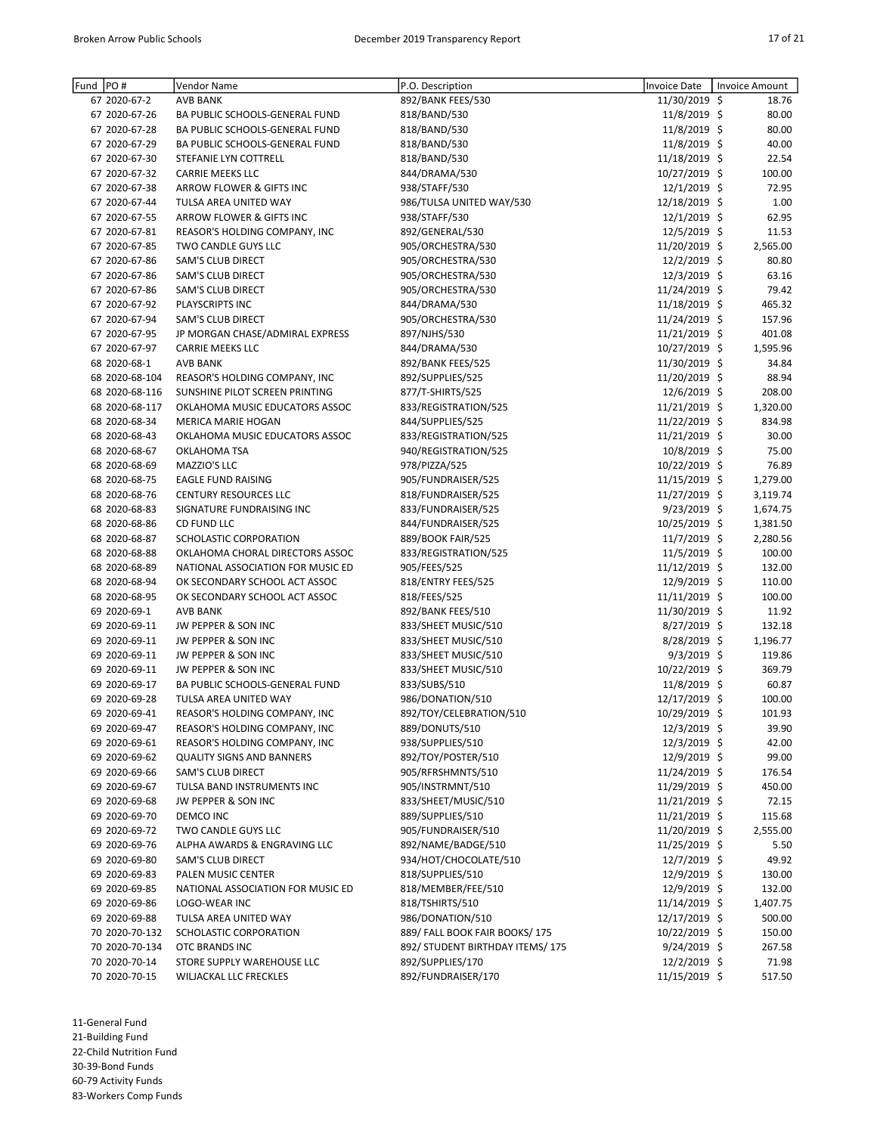| Fund  PO# |                | Vendor Name                       | P.O. Description                 | Invoice Date   | Invoice Amount |
|-----------|----------------|-----------------------------------|----------------------------------|----------------|----------------|
|           | 67 2020-67-2   | <b>AVB BANK</b>                   | 892/BANK FEES/530                | 11/30/2019 \$  | 18.76          |
|           | 67 2020-67-26  | BA PUBLIC SCHOOLS-GENERAL FUND    | 818/BAND/530                     | 11/8/2019 \$   | 80.00          |
|           | 67 2020-67-28  | BA PUBLIC SCHOOLS-GENERAL FUND    | 818/BAND/530                     | 11/8/2019 \$   | 80.00          |
|           | 67 2020-67-29  | BA PUBLIC SCHOOLS-GENERAL FUND    | 818/BAND/530                     | 11/8/2019 \$   | 40.00          |
|           | 67 2020-67-30  | STEFANIE LYN COTTRELL             | 818/BAND/530                     | 11/18/2019 \$  | 22.54          |
|           | 67 2020-67-32  | <b>CARRIE MEEKS LLC</b>           | 844/DRAMA/530                    | 10/27/2019 \$  | 100.00         |
|           | 67 2020-67-38  | ARROW FLOWER & GIFTS INC          | 938/STAFF/530                    | 12/1/2019 \$   | 72.95          |
|           | 67 2020-67-44  |                                   |                                  | 12/18/2019 \$  | 1.00           |
|           |                | TULSA AREA UNITED WAY             | 986/TULSA UNITED WAY/530         |                |                |
|           | 67 2020-67-55  | ARROW FLOWER & GIFTS INC          | 938/STAFF/530                    | $12/1/2019$ \$ | 62.95          |
|           | 67 2020-67-81  | REASOR'S HOLDING COMPANY, INC     | 892/GENERAL/530                  | 12/5/2019 \$   | 11.53          |
|           | 67 2020-67-85  | TWO CANDLE GUYS LLC               | 905/ORCHESTRA/530                | 11/20/2019 \$  | 2,565.00       |
|           | 67 2020-67-86  | SAM'S CLUB DIRECT                 | 905/ORCHESTRA/530                | 12/2/2019 \$   | 80.80          |
|           | 67 2020-67-86  | SAM'S CLUB DIRECT                 | 905/ORCHESTRA/530                | 12/3/2019 \$   | 63.16          |
|           | 67 2020-67-86  | SAM'S CLUB DIRECT                 | 905/ORCHESTRA/530                | 11/24/2019 \$  | 79.42          |
|           | 67 2020-67-92  | PLAYSCRIPTS INC                   | 844/DRAMA/530                    | 11/18/2019 \$  | 465.32         |
|           | 67 2020-67-94  | SAM'S CLUB DIRECT                 | 905/ORCHESTRA/530                | 11/24/2019 \$  | 157.96         |
|           | 67 2020-67-95  | JP MORGAN CHASE/ADMIRAL EXPRESS   | 897/NJHS/530                     | 11/21/2019 \$  | 401.08         |
|           | 67 2020-67-97  | <b>CARRIE MEEKS LLC</b>           | 844/DRAMA/530                    | 10/27/2019 \$  | 1,595.96       |
|           | 68 2020-68-1   | <b>AVB BANK</b>                   | 892/BANK FEES/525                | 11/30/2019 \$  | 34.84          |
|           | 68 2020-68-104 | REASOR'S HOLDING COMPANY, INC     | 892/SUPPLIES/525                 | 11/20/2019 \$  | 88.94          |
|           | 68 2020-68-116 | SUNSHINE PILOT SCREEN PRINTING    | 877/T-SHIRTS/525                 | 12/6/2019 \$   | 208.00         |
|           | 68 2020-68-117 | OKLAHOMA MUSIC EDUCATORS ASSOC    | 833/REGISTRATION/525             | 11/21/2019 \$  | 1,320.00       |
|           | 68 2020-68-34  | <b>MERICA MARIE HOGAN</b>         | 844/SUPPLIES/525                 | 11/22/2019 \$  | 834.98         |
|           |                |                                   |                                  |                |                |
|           | 68 2020-68-43  | OKLAHOMA MUSIC EDUCATORS ASSOC    | 833/REGISTRATION/525             | 11/21/2019 \$  | 30.00          |
|           | 68 2020-68-67  | OKLAHOMA TSA                      | 940/REGISTRATION/525             | 10/8/2019 \$   | 75.00          |
|           | 68 2020-68-69  | MAZZIO'S LLC                      | 978/PIZZA/525                    | 10/22/2019 \$  | 76.89          |
|           | 68 2020-68-75  | <b>EAGLE FUND RAISING</b>         | 905/FUNDRAISER/525               | 11/15/2019 \$  | 1,279.00       |
|           | 68 2020-68-76  | <b>CENTURY RESOURCES LLC</b>      | 818/FUNDRAISER/525               | 11/27/2019 \$  | 3,119.74       |
|           | 68 2020-68-83  | SIGNATURE FUNDRAISING INC         | 833/FUNDRAISER/525               | $9/23/2019$ \$ | 1,674.75       |
|           | 68 2020-68-86  | CD FUND LLC                       | 844/FUNDRAISER/525               | 10/25/2019 \$  | 1,381.50       |
|           | 68 2020-68-87  | SCHOLASTIC CORPORATION            | 889/BOOK FAIR/525                | $11/7/2019$ \$ | 2,280.56       |
|           | 68 2020-68-88  | OKLAHOMA CHORAL DIRECTORS ASSOC   | 833/REGISTRATION/525             | 11/5/2019 \$   | 100.00         |
|           | 68 2020-68-89  | NATIONAL ASSOCIATION FOR MUSIC ED | 905/FEES/525                     | 11/12/2019 \$  | 132.00         |
|           | 68 2020-68-94  | OK SECONDARY SCHOOL ACT ASSOC     | 818/ENTRY FEES/525               | 12/9/2019 \$   | 110.00         |
|           | 68 2020-68-95  | OK SECONDARY SCHOOL ACT ASSOC     | 818/FEES/525                     | 11/11/2019 \$  | 100.00         |
|           | 69 2020-69-1   | <b>AVB BANK</b>                   | 892/BANK FEES/510                | 11/30/2019 \$  | 11.92          |
|           | 69 2020-69-11  | JW PEPPER & SON INC               | 833/SHEET MUSIC/510              | 8/27/2019 \$   | 132.18         |
|           | 69 2020-69-11  | JW PEPPER & SON INC               | 833/SHEET MUSIC/510              | $8/28/2019$ \$ | 1,196.77       |
|           | 69 2020-69-11  | JW PEPPER & SON INC               | 833/SHEET MUSIC/510              | $9/3/2019$ \$  | 119.86         |
|           | 69 2020-69-11  | JW PEPPER & SON INC               | 833/SHEET MUSIC/510              | 10/22/2019 \$  | 369.79         |
|           |                |                                   |                                  |                |                |
|           | 69 2020-69-17  | BA PUBLIC SCHOOLS-GENERAL FUND    | 833/SUBS/510                     | 11/8/2019 \$   | 60.87          |
|           | 69 2020-69-28  | TULSA AREA UNITED WAY             | 986/DONATION/510                 | 12/17/2019 \$  | 100.00         |
|           | 69 2020-69-41  | REASOR'S HOLDING COMPANY, INC     | 892/TOY/CELEBRATION/510          | 10/29/2019 \$  | 101.93         |
|           | 69 2020-69-47  | REASOR'S HOLDING COMPANY, INC     | 889/DONUTS/510                   | 12/3/2019 \$   | 39.90          |
|           | 69 2020-69-61  | REASOR'S HOLDING COMPANY, INC     | 938/SUPPLIES/510                 | 12/3/2019 \$   | 42.00          |
|           | 69 2020-69-62  | <b>QUALITY SIGNS AND BANNERS</b>  | 892/TOY/POSTER/510               | 12/9/2019 \$   | 99.00          |
|           | 69 2020-69-66  | <b>SAM'S CLUB DIRECT</b>          | 905/RFRSHMNTS/510                | 11/24/2019 \$  | 176.54         |
|           | 69 2020-69-67  | TULSA BAND INSTRUMENTS INC        | 905/INSTRMNT/510                 | 11/29/2019 \$  | 450.00         |
|           | 69 2020-69-68  | JW PEPPER & SON INC               | 833/SHEET/MUSIC/510              | 11/21/2019 \$  | 72.15          |
|           | 69 2020-69-70  | DEMCO INC                         | 889/SUPPLIES/510                 | 11/21/2019 \$  | 115.68         |
|           | 69 2020-69-72  | TWO CANDLE GUYS LLC               | 905/FUNDRAISER/510               | 11/20/2019 \$  | 2,555.00       |
|           | 69 2020-69-76  | ALPHA AWARDS & ENGRAVING LLC      | 892/NAME/BADGE/510               | 11/25/2019 \$  | 5.50           |
|           | 69 2020-69-80  | SAM'S CLUB DIRECT                 | 934/HOT/CHOCOLATE/510            | 12/7/2019 \$   | 49.92          |
|           | 69 2020-69-83  | PALEN MUSIC CENTER                | 818/SUPPLIES/510                 | 12/9/2019 \$   | 130.00         |
|           | 69 2020-69-85  | NATIONAL ASSOCIATION FOR MUSIC ED | 818/MEMBER/FEE/510               | 12/9/2019 \$   | 132.00         |
|           | 69 2020-69-86  | LOGO-WEAR INC                     | 818/TSHIRTS/510                  | 11/14/2019 \$  | 1,407.75       |
|           |                |                                   |                                  |                |                |
|           | 69 2020-69-88  | TULSA AREA UNITED WAY             | 986/DONATION/510                 | 12/17/2019 \$  | 500.00         |
|           | 70 2020-70-132 | SCHOLASTIC CORPORATION            | 889/ FALL BOOK FAIR BOOKS/175    | 10/22/2019 \$  | 150.00         |
|           | 70 2020-70-134 | OTC BRANDS INC                    | 892/ STUDENT BIRTHDAY ITEMS/ 175 | $9/24/2019$ \$ | 267.58         |
|           | 70 2020-70-14  | STORE SUPPLY WAREHOUSE LLC        | 892/SUPPLIES/170                 | 12/2/2019 \$   | 71.98          |
|           | 70 2020-70-15  | WILJACKAL LLC FRECKLES            | 892/FUNDRAISER/170               | 11/15/2019 \$  | 517.50         |

11-General Fund 21-Building Fund 22-Child Nutrition Fund

30-39-Bond Funds

60-79 Activity Funds 83-Workers Comp Funds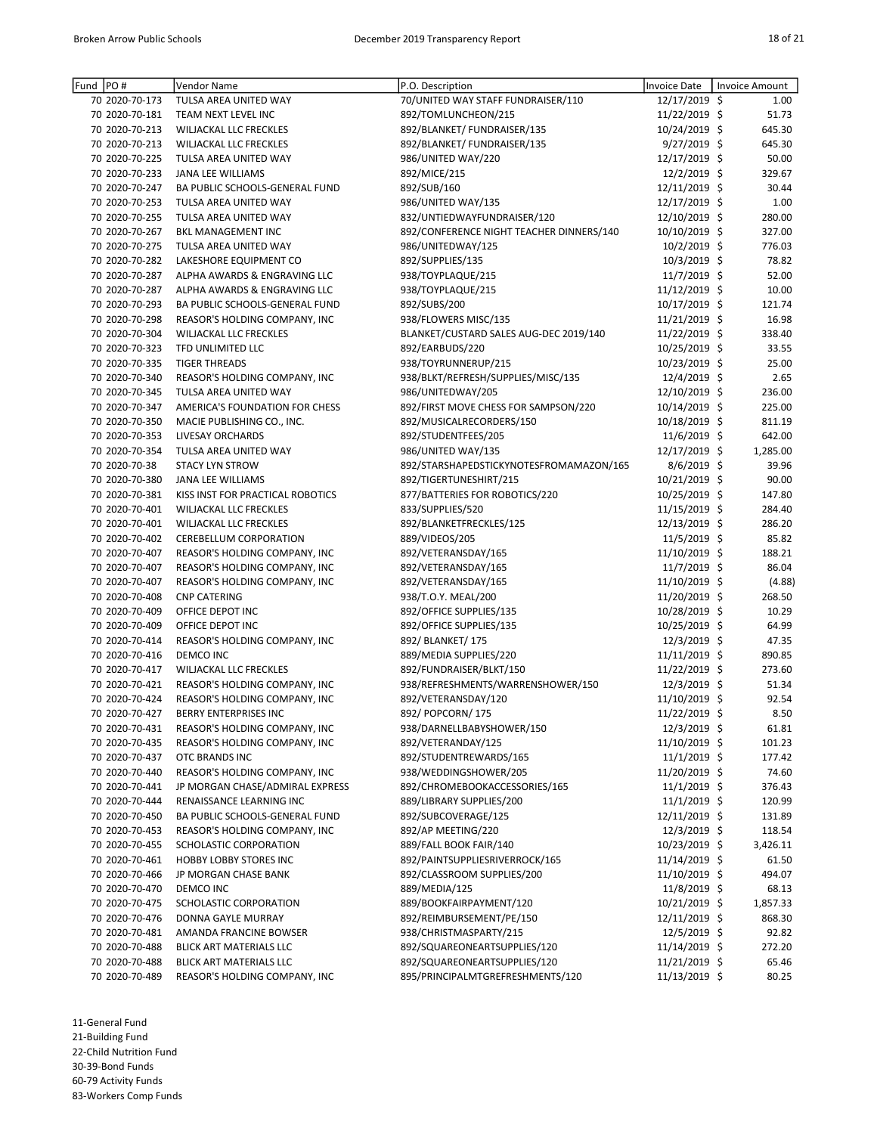| Fund PO#       | Vendor Name                      | P.O. Description                         | <b>Invoice Date</b> | Invoice Amount |
|----------------|----------------------------------|------------------------------------------|---------------------|----------------|
| 70 2020-70-173 | TULSA AREA UNITED WAY            | 70/UNITED WAY STAFF FUNDRAISER/110       | 12/17/2019 \$       | 1.00           |
| 70 2020-70-181 | TEAM NEXT LEVEL INC              | 892/TOMLUNCHEON/215                      | 11/22/2019 \$       | 51.73          |
| 70 2020-70-213 | WILJACKAL LLC FRECKLES           | 892/BLANKET/ FUNDRAISER/135              | 10/24/2019 \$       | 645.30         |
| 70 2020-70-213 | WILJACKAL LLC FRECKLES           | 892/BLANKET/ FUNDRAISER/135              | $9/27/2019$ \$      | 645.30         |
| 70 2020-70-225 | TULSA AREA UNITED WAY            | 986/UNITED WAY/220                       | 12/17/2019 \$       | 50.00          |
| 70 2020-70-233 | JANA LEE WILLIAMS                | 892/MICE/215                             | 12/2/2019 \$        | 329.67         |
| 70 2020-70-247 | BA PUBLIC SCHOOLS-GENERAL FUND   | 892/SUB/160                              | 12/11/2019 \$       | 30.44          |
| 70 2020-70-253 | TULSA AREA UNITED WAY            | 986/UNITED WAY/135                       | 12/17/2019 \$       | 1.00           |
| 70 2020-70-255 | TULSA AREA UNITED WAY            | 832/UNTIEDWAYFUNDRAISER/120              | 12/10/2019 \$       | 280.00         |
| 70 2020-70-267 | BKL MANAGEMENT INC               | 892/CONFERENCE NIGHT TEACHER DINNERS/140 | 10/10/2019 \$       | 327.00         |
| 70 2020-70-275 | TULSA AREA UNITED WAY            | 986/UNITEDWAY/125                        | 10/2/2019 \$        | 776.03         |
| 70 2020-70-282 | LAKESHORE EQUIPMENT CO           | 892/SUPPLIES/135                         | 10/3/2019 \$        | 78.82          |
| 70 2020-70-287 | ALPHA AWARDS & ENGRAVING LLC     | 938/TOYPLAQUE/215                        | 11/7/2019 \$        | 52.00          |
| 70 2020-70-287 | ALPHA AWARDS & ENGRAVING LLC     | 938/TOYPLAQUE/215                        | 11/12/2019 \$       | 10.00          |
| 70 2020-70-293 | BA PUBLIC SCHOOLS-GENERAL FUND   | 892/SUBS/200                             |                     | 121.74         |
|                |                                  |                                          | 10/17/2019 \$       |                |
| 70 2020-70-298 | REASOR'S HOLDING COMPANY, INC    | 938/FLOWERS MISC/135                     | 11/21/2019 \$       | 16.98          |
| 70 2020-70-304 | <b>WILJACKAL LLC FRECKLES</b>    | BLANKET/CUSTARD SALES AUG-DEC 2019/140   | 11/22/2019 \$       | 338.40         |
| 70 2020-70-323 | TFD UNLIMITED LLC                | 892/EARBUDS/220                          | 10/25/2019 \$       | 33.55          |
| 70 2020-70-335 | <b>TIGER THREADS</b>             | 938/TOYRUNNERUP/215                      | 10/23/2019 \$       | 25.00          |
| 70 2020-70-340 | REASOR'S HOLDING COMPANY, INC    | 938/BLKT/REFRESH/SUPPLIES/MISC/135       | 12/4/2019 \$        | 2.65           |
| 70 2020-70-345 | TULSA AREA UNITED WAY            | 986/UNITEDWAY/205                        | 12/10/2019 \$       | 236.00         |
| 70 2020-70-347 | AMERICA'S FOUNDATION FOR CHESS   | 892/FIRST MOVE CHESS FOR SAMPSON/220     | 10/14/2019 \$       | 225.00         |
| 70 2020-70-350 | MACIE PUBLISHING CO., INC.       | 892/MUSICALRECORDERS/150                 | 10/18/2019 \$       | 811.19         |
| 70 2020-70-353 | LIVESAY ORCHARDS                 | 892/STUDENTFEES/205                      | 11/6/2019 \$        | 642.00         |
| 70 2020-70-354 | TULSA AREA UNITED WAY            | 986/UNITED WAY/135                       | 12/17/2019 \$       | 1,285.00       |
| 70 2020-70-38  | <b>STACY LYN STROW</b>           | 892/STARSHAPEDSTICKYNOTESFROMAMAZON/165  | $8/6/2019$ \$       | 39.96          |
| 70 2020-70-380 | JANA LEE WILLIAMS                | 892/TIGERTUNESHIRT/215                   | 10/21/2019 \$       | 90.00          |
| 70 2020-70-381 | KISS INST FOR PRACTICAL ROBOTICS | 877/BATTERIES FOR ROBOTICS/220           | 10/25/2019 \$       | 147.80         |
| 70 2020-70-401 | WILJACKAL LLC FRECKLES           | 833/SUPPLIES/520                         | 11/15/2019 \$       | 284.40         |
| 70 2020-70-401 | WILJACKAL LLC FRECKLES           | 892/BLANKETFRECKLES/125                  | 12/13/2019 \$       | 286.20         |
| 70 2020-70-402 | <b>CEREBELLUM CORPORATION</b>    | 889/VIDEOS/205                           | 11/5/2019 \$        | 85.82          |
| 70 2020-70-407 | REASOR'S HOLDING COMPANY, INC    | 892/VETERANSDAY/165                      | 11/10/2019 \$       | 188.21         |
| 70 2020-70-407 | REASOR'S HOLDING COMPANY, INC    | 892/VETERANSDAY/165                      | 11/7/2019 \$        | 86.04          |
| 70 2020-70-407 | REASOR'S HOLDING COMPANY, INC    | 892/VETERANSDAY/165                      | 11/10/2019 \$       | (4.88)         |
| 70 2020-70-408 | <b>CNP CATERING</b>              | 938/T.O.Y. MEAL/200                      | 11/20/2019 \$       | 268.50         |
| 70 2020-70-409 | OFFICE DEPOT INC                 | 892/OFFICE SUPPLIES/135                  | 10/28/2019 \$       | 10.29          |
| 70 2020-70-409 | OFFICE DEPOT INC                 | 892/OFFICE SUPPLIES/135                  | 10/25/2019 \$       | 64.99          |
|                |                                  | 892/ BLANKET/ 175                        |                     |                |
| 70 2020-70-414 | REASOR'S HOLDING COMPANY, INC    |                                          | 12/3/2019 \$        | 47.35          |
| 70 2020-70-416 | DEMCO INC                        | 889/MEDIA SUPPLIES/220                   | $11/11/2019$ \$     | 890.85         |
| 70 2020-70-417 | WILJACKAL LLC FRECKLES           | 892/FUNDRAISER/BLKT/150                  | 11/22/2019 \$       | 273.60         |
| 70 2020-70-421 | REASOR'S HOLDING COMPANY, INC    | 938/REFRESHMENTS/WARRENSHOWER/150        | 12/3/2019 \$        | 51.34          |
| 70 2020-70-424 | REASOR'S HOLDING COMPANY, INC    | 892/VETERANSDAY/120                      | 11/10/2019 \$       | 92.54          |
| 70 2020-70-427 | BERRY ENTERPRISES INC            | 892/ POPCORN/ 175                        | 11/22/2019 \$       | 8.50           |
| 70 2020-70-431 | REASOR'S HOLDING COMPANY, INC    | 938/DARNELLBABYSHOWER/150                | 12/3/2019 \$        | 61.81          |
| 70 2020-70-435 | REASOR'S HOLDING COMPANY, INC    | 892/VETERANDAY/125                       | 11/10/2019 \$       | 101.23         |
| 70 2020-70-437 | OTC BRANDS INC                   | 892/STUDENTREWARDS/165                   | $11/1/2019$ \$      | 177.42         |
| 70 2020-70-440 | REASOR'S HOLDING COMPANY, INC    | 938/WEDDINGSHOWER/205                    | 11/20/2019 \$       | 74.60          |
| 70 2020-70-441 | JP MORGAN CHASE/ADMIRAL EXPRESS  | 892/CHROMEBOOKACCESSORIES/165            | $11/1/2019$ \$      | 376.43         |
| 70 2020-70-444 | RENAISSANCE LEARNING INC         | 889/LIBRARY SUPPLIES/200                 | $11/1/2019$ \$      | 120.99         |
| 70 2020-70-450 | BA PUBLIC SCHOOLS-GENERAL FUND   | 892/SUBCOVERAGE/125                      | 12/11/2019 \$       | 131.89         |
| 70 2020-70-453 | REASOR'S HOLDING COMPANY, INC    | 892/AP MEETING/220                       | 12/3/2019 \$        | 118.54         |
| 70 2020-70-455 | SCHOLASTIC CORPORATION           | 889/FALL BOOK FAIR/140                   | 10/23/2019 \$       | 3,426.11       |
| 70 2020-70-461 | HOBBY LOBBY STORES INC           | 892/PAINTSUPPLIESRIVERROCK/165           | 11/14/2019 \$       | 61.50          |
| 70 2020-70-466 | JP MORGAN CHASE BANK             | 892/CLASSROOM SUPPLIES/200               | 11/10/2019 \$       | 494.07         |
| 70 2020-70-470 | <b>DEMCO INC</b>                 | 889/MEDIA/125                            | 11/8/2019 \$        | 68.13          |
| 70 2020-70-475 | SCHOLASTIC CORPORATION           | 889/BOOKFAIRPAYMENT/120                  | 10/21/2019 \$       | 1,857.33       |
| 70 2020-70-476 | DONNA GAYLE MURRAY               | 892/REIMBURSEMENT/PE/150                 | 12/11/2019 \$       | 868.30         |
| 70 2020-70-481 | AMANDA FRANCINE BOWSER           | 938/CHRISTMASPARTY/215                   | $12/5/2019$ \$      | 92.82          |
| 70 2020-70-488 | BLICK ART MATERIALS LLC          | 892/SQUAREONEARTSUPPLIES/120             | 11/14/2019 \$       | 272.20         |
| 70 2020-70-488 | BLICK ART MATERIALS LLC          | 892/SQUAREONEARTSUPPLIES/120             | 11/21/2019 \$       | 65.46          |
| 70 2020-70-489 | REASOR'S HOLDING COMPANY, INC    | 895/PRINCIPALMTGREFRESHMENTS/120         | 11/13/2019 \$       | 80.25          |
|                |                                  |                                          |                     |                |

11-General Fund

21-Building Fund

22-Child Nutrition Fund

30-39-Bond Funds

60-79 Activity Funds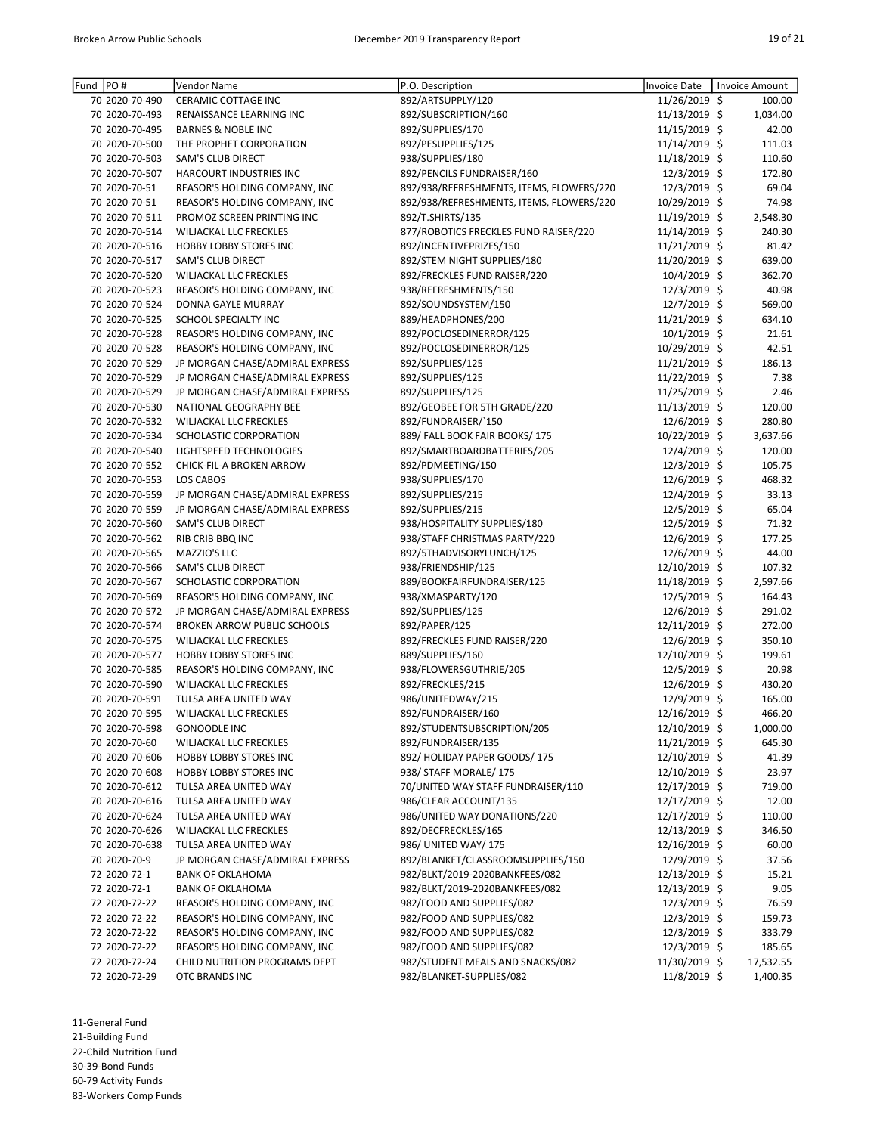| Fund PO# |                | Vendor Name                        | P.O. Description                         | Invoice Date   | Invoice Amount |
|----------|----------------|------------------------------------|------------------------------------------|----------------|----------------|
|          | 70 2020-70-490 | CERAMIC COTTAGE INC                | 892/ARTSUPPLY/120                        | 11/26/2019 \$  | 100.00         |
|          | 70 2020-70-493 | RENAISSANCE LEARNING INC           | 892/SUBSCRIPTION/160                     | 11/13/2019 \$  | 1,034.00       |
|          | 70 2020-70-495 | <b>BARNES &amp; NOBLE INC</b>      | 892/SUPPLIES/170                         | 11/15/2019 \$  | 42.00          |
|          | 70 2020-70-500 | THE PROPHET CORPORATION            | 892/PESUPPLIES/125                       | 11/14/2019 \$  | 111.03         |
|          | 70 2020-70-503 | SAM'S CLUB DIRECT                  | 938/SUPPLIES/180                         | 11/18/2019 \$  | 110.60         |
|          | 70 2020-70-507 | HARCOURT INDUSTRIES INC            | 892/PENCILS FUNDRAISER/160               | $12/3/2019$ \$ | 172.80         |
|          | 70 2020-70-51  | REASOR'S HOLDING COMPANY, INC      | 892/938/REFRESHMENTS, ITEMS, FLOWERS/220 | 12/3/2019 \$   | 69.04          |
|          | 70 2020-70-51  | REASOR'S HOLDING COMPANY, INC      | 892/938/REFRESHMENTS, ITEMS, FLOWERS/220 | 10/29/2019 \$  | 74.98          |
|          | 70 2020-70-511 | PROMOZ SCREEN PRINTING INC         | 892/T.SHIRTS/135                         | 11/19/2019 \$  | 2,548.30       |
|          | 70 2020-70-514 | <b>WILJACKAL LLC FRECKLES</b>      | 877/ROBOTICS FRECKLES FUND RAISER/220    | 11/14/2019 \$  | 240.30         |
|          | 70 2020-70-516 | HOBBY LOBBY STORES INC             | 892/INCENTIVEPRIZES/150                  | 11/21/2019 \$  | 81.42          |
|          | 70 2020-70-517 | SAM'S CLUB DIRECT                  | 892/STEM NIGHT SUPPLIES/180              | 11/20/2019 \$  | 639.00         |
|          | 70 2020-70-520 | WILJACKAL LLC FRECKLES             | 892/FRECKLES FUND RAISER/220             | $10/4/2019$ \$ | 362.70         |
|          | 70 2020-70-523 | REASOR'S HOLDING COMPANY, INC      | 938/REFRESHMENTS/150                     | $12/3/2019$ \$ | 40.98          |
|          | 70 2020-70-524 | DONNA GAYLE MURRAY                 | 892/SOUNDSYSTEM/150                      | 12/7/2019 \$   | 569.00         |
|          | 70 2020-70-525 | SCHOOL SPECIALTY INC               | 889/HEADPHONES/200                       | 11/21/2019 \$  | 634.10         |
|          | 70 2020-70-528 | REASOR'S HOLDING COMPANY, INC      | 892/POCLOSEDINERROR/125                  | 10/1/2019 \$   | 21.61          |
|          | 70 2020-70-528 | REASOR'S HOLDING COMPANY, INC      | 892/POCLOSEDINERROR/125                  | 10/29/2019 \$  | 42.51          |
|          | 70 2020-70-529 | JP MORGAN CHASE/ADMIRAL EXPRESS    | 892/SUPPLIES/125                         | 11/21/2019 \$  | 186.13         |
|          | 70 2020-70-529 | JP MORGAN CHASE/ADMIRAL EXPRESS    | 892/SUPPLIES/125                         | 11/22/2019 \$  | 7.38           |
|          | 70 2020-70-529 | JP MORGAN CHASE/ADMIRAL EXPRESS    | 892/SUPPLIES/125                         | 11/25/2019 \$  | 2.46           |
|          | 70 2020-70-530 | NATIONAL GEOGRAPHY BEE             | 892/GEOBEE FOR 5TH GRADE/220             | 11/13/2019 \$  | 120.00         |
|          | 70 2020-70-532 | <b>WILJACKAL LLC FRECKLES</b>      | 892/FUNDRAISER/`150                      | 12/6/2019 \$   | 280.80         |
|          | 70 2020-70-534 | SCHOLASTIC CORPORATION             | 889/ FALL BOOK FAIR BOOKS/175            | 10/22/2019 \$  | 3,637.66       |
|          | 70 2020-70-540 | LIGHTSPEED TECHNOLOGIES            | 892/SMARTBOARDBATTERIES/205              | 12/4/2019 \$   | 120.00         |
|          | 70 2020-70-552 | CHICK-FIL-A BROKEN ARROW           | 892/PDMEETING/150                        | $12/3/2019$ \$ | 105.75         |
|          | 70 2020-70-553 | LOS CABOS                          | 938/SUPPLIES/170                         | 12/6/2019 \$   | 468.32         |
|          | 70 2020-70-559 | JP MORGAN CHASE/ADMIRAL EXPRESS    | 892/SUPPLIES/215                         | 12/4/2019 \$   | 33.13          |
|          | 70 2020-70-559 | JP MORGAN CHASE/ADMIRAL EXPRESS    | 892/SUPPLIES/215                         | 12/5/2019 \$   | 65.04          |
|          | 70 2020-70-560 | SAM'S CLUB DIRECT                  | 938/HOSPITALITY SUPPLIES/180             | 12/5/2019 \$   | 71.32          |
|          | 70 2020-70-562 | RIB CRIB BBQ INC                   | 938/STAFF CHRISTMAS PARTY/220            | 12/6/2019 \$   | 177.25         |
|          | 70 2020-70-565 | MAZZIO'S LLC                       | 892/5THADVISORYLUNCH/125                 | 12/6/2019 \$   | 44.00          |
|          | 70 2020-70-566 | SAM'S CLUB DIRECT                  | 938/FRIENDSHIP/125                       | 12/10/2019 \$  | 107.32         |
|          | 70 2020-70-567 | SCHOLASTIC CORPORATION             | 889/BOOKFAIRFUNDRAISER/125               | 11/18/2019 \$  | 2,597.66       |
|          | 70 2020-70-569 | REASOR'S HOLDING COMPANY, INC      | 938/XMASPARTY/120                        | 12/5/2019 \$   | 164.43         |
|          | 70 2020-70-572 | JP MORGAN CHASE/ADMIRAL EXPRESS    | 892/SUPPLIES/125                         | 12/6/2019 \$   | 291.02         |
|          | 70 2020-70-574 | <b>BROKEN ARROW PUBLIC SCHOOLS</b> | 892/PAPER/125                            | 12/11/2019 \$  | 272.00         |
|          | 70 2020-70-575 | WILJACKAL LLC FRECKLES             | 892/FRECKLES FUND RAISER/220             | 12/6/2019 \$   | 350.10         |
|          | 70 2020-70-577 | HOBBY LOBBY STORES INC             | 889/SUPPLIES/160                         | 12/10/2019 \$  | 199.61         |
|          | 70 2020-70-585 | REASOR'S HOLDING COMPANY, INC      | 938/FLOWERSGUTHRIE/205                   | 12/5/2019 \$   | 20.98          |
|          | 70 2020-70-590 | WILJACKAL LLC FRECKLES             | 892/FRECKLES/215                         | 12/6/2019 \$   | 430.20         |
|          | 70 2020-70-591 | TULSA AREA UNITED WAY              | 986/UNITEDWAY/215                        | 12/9/2019 \$   | 165.00         |
|          | 70 2020-70-595 | WILJACKAL LLC FRECKLES             | 892/FUNDRAISER/160                       | 12/16/2019 \$  | 466.20         |
|          | 70 2020-70-598 | <b>GONOODLE INC</b>                | 892/STUDENTSUBSCRIPTION/205              | 12/10/2019 \$  | 1,000.00       |
|          | 70 2020-70-60  | WILJACKAL LLC FRECKLES             | 892/FUNDRAISER/135                       | 11/21/2019 \$  | 645.30         |
|          | 70 2020-70-606 | HOBBY LOBBY STORES INC             | 892/ HOLIDAY PAPER GOODS/175             | 12/10/2019 \$  | 41.39          |
|          | 70 2020-70-608 | HOBBY LOBBY STORES INC             | 938/ STAFF MORALE/ 175                   | 12/10/2019 \$  | 23.97          |
|          | 70 2020-70-612 | TULSA AREA UNITED WAY              | 70/UNITED WAY STAFF FUNDRAISER/110       | 12/17/2019 \$  | 719.00         |
|          | 70 2020-70-616 | TULSA AREA UNITED WAY              | 986/CLEAR ACCOUNT/135                    | 12/17/2019 \$  | 12.00          |
|          | 70 2020-70-624 | TULSA AREA UNITED WAY              | 986/UNITED WAY DONATIONS/220             | 12/17/2019 \$  | 110.00         |
|          | 70 2020-70-626 | WILJACKAL LLC FRECKLES             | 892/DECFRECKLES/165                      | 12/13/2019 \$  | 346.50         |
|          | 70 2020-70-638 | TULSA AREA UNITED WAY              | 986/ UNITED WAY/ 175                     | 12/16/2019 \$  | 60.00          |
|          | 70 2020-70-9   | JP MORGAN CHASE/ADMIRAL EXPRESS    | 892/BLANKET/CLASSROOMSUPPLIES/150        | 12/9/2019 \$   | 37.56          |
|          | 72 2020-72-1   | <b>BANK OF OKLAHOMA</b>            | 982/BLKT/2019-2020BANKFEES/082           | 12/13/2019 \$  | 15.21          |
|          | 72 2020-72-1   | <b>BANK OF OKLAHOMA</b>            | 982/BLKT/2019-2020BANKFEES/082           | 12/13/2019 \$  | 9.05           |
|          | 72 2020-72-22  | REASOR'S HOLDING COMPANY, INC      | 982/FOOD AND SUPPLIES/082                | 12/3/2019 \$   | 76.59          |
|          | 72 2020-72-22  | REASOR'S HOLDING COMPANY, INC      | 982/FOOD AND SUPPLIES/082                | 12/3/2019 \$   | 159.73         |
|          | 72 2020-72-22  | REASOR'S HOLDING COMPANY, INC      | 982/FOOD AND SUPPLIES/082                | $12/3/2019$ \$ | 333.79         |
|          | 72 2020-72-22  | REASOR'S HOLDING COMPANY, INC      | 982/FOOD AND SUPPLIES/082                | 12/3/2019 \$   | 185.65         |
|          | 72 2020-72-24  | CHILD NUTRITION PROGRAMS DEPT      | 982/STUDENT MEALS AND SNACKS/082         | 11/30/2019 \$  | 17,532.55      |
|          | 72 2020-72-29  | OTC BRANDS INC                     | 982/BLANKET-SUPPLIES/082                 | 11/8/2019 \$   | 1,400.35       |
|          |                |                                    |                                          |                |                |

11-General Fund 21-Building Fund 22-Child Nutrition Fund

30-39-Bond Funds

60-79 Activity Funds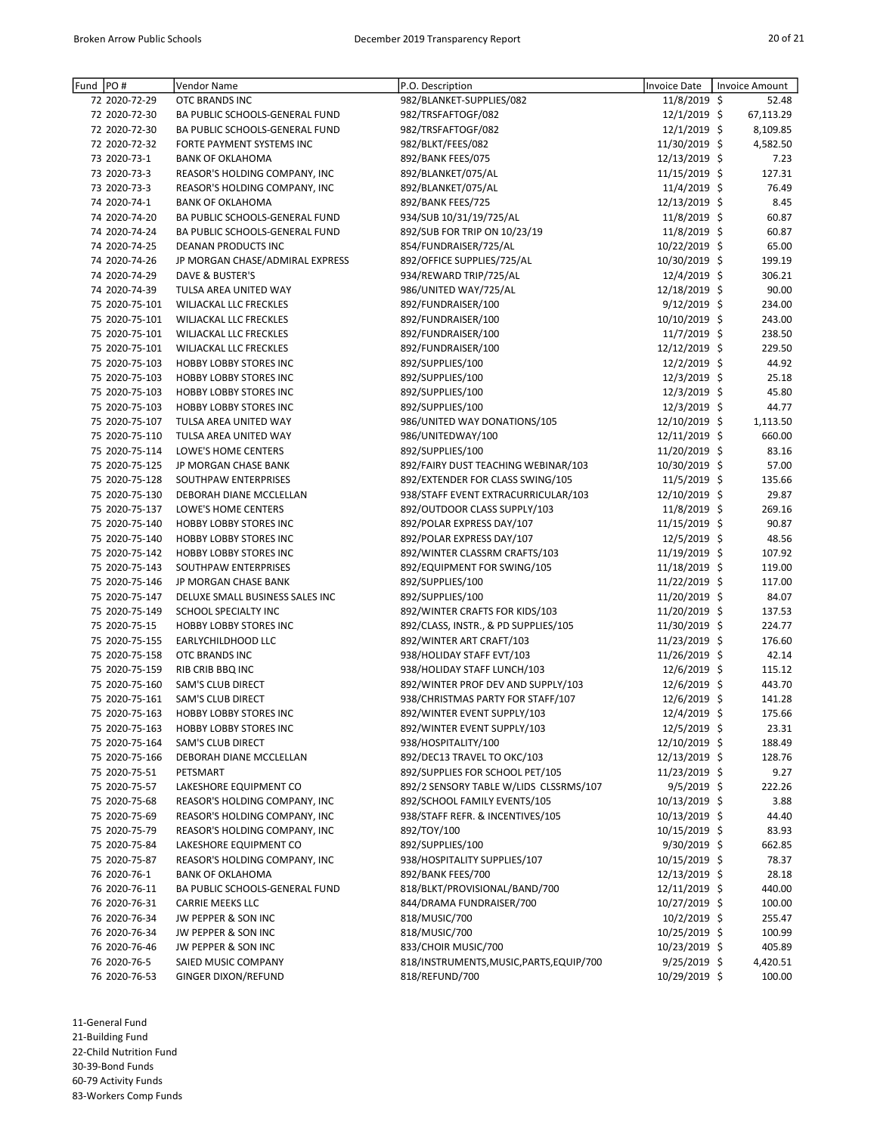| Fund PO# |                | Vendor Name                     | P.O. Description                         | <b>Invoice Date</b> | <b>Invoice Amount</b> |
|----------|----------------|---------------------------------|------------------------------------------|---------------------|-----------------------|
|          | 72 2020-72-29  | OTC BRANDS INC                  | 982/BLANKET-SUPPLIES/082                 | 11/8/2019 \$        | 52.48                 |
|          | 72 2020-72-30  | BA PUBLIC SCHOOLS-GENERAL FUND  | 982/TRSFAFTOGF/082                       | 12/1/2019 \$        | 67,113.29             |
|          | 72 2020-72-30  | BA PUBLIC SCHOOLS-GENERAL FUND  | 982/TRSFAFTOGF/082                       | 12/1/2019 \$        | 8,109.85              |
|          | 72 2020-72-32  | FORTE PAYMENT SYSTEMS INC       | 982/BLKT/FEES/082                        | 11/30/2019 \$       | 4,582.50              |
|          | 73 2020-73-1   | <b>BANK OF OKLAHOMA</b>         | 892/BANK FEES/075                        | 12/13/2019 \$       | 7.23                  |
|          | 73 2020-73-3   | REASOR'S HOLDING COMPANY, INC   | 892/BLANKET/075/AL                       | 11/15/2019 \$       | 127.31                |
|          | 73 2020-73-3   | REASOR'S HOLDING COMPANY, INC   | 892/BLANKET/075/AL                       | 11/4/2019 \$        | 76.49                 |
|          | 74 2020-74-1   | <b>BANK OF OKLAHOMA</b>         | 892/BANK FEES/725                        | 12/13/2019 \$       | 8.45                  |
|          | 74 2020-74-20  | BA PUBLIC SCHOOLS-GENERAL FUND  | 934/SUB 10/31/19/725/AL                  | 11/8/2019 \$        | 60.87                 |
|          | 74 2020-74-24  | BA PUBLIC SCHOOLS-GENERAL FUND  | 892/SUB FOR TRIP ON 10/23/19             | 11/8/2019 \$        | 60.87                 |
|          | 74 2020-74-25  | DEANAN PRODUCTS INC             | 854/FUNDRAISER/725/AL                    | 10/22/2019 \$       | 65.00                 |
|          | 74 2020-74-26  | JP MORGAN CHASE/ADMIRAL EXPRESS | 892/OFFICE SUPPLIES/725/AL               | 10/30/2019 \$       | 199.19                |
|          | 74 2020-74-29  | DAVE & BUSTER'S                 | 934/REWARD TRIP/725/AL                   | 12/4/2019 \$        | 306.21                |
|          | 74 2020-74-39  | TULSA AREA UNITED WAY           | 986/UNITED WAY/725/AL                    | 12/18/2019 \$       | 90.00                 |
|          | 75 2020-75-101 | WILJACKAL LLC FRECKLES          | 892/FUNDRAISER/100                       | 9/12/2019 \$        | 234.00                |
|          | 75 2020-75-101 | <b>WILJACKAL LLC FRECKLES</b>   | 892/FUNDRAISER/100                       | 10/10/2019 \$       | 243.00                |
|          | 75 2020-75-101 | <b>WILJACKAL LLC FRECKLES</b>   | 892/FUNDRAISER/100                       | 11/7/2019 \$        | 238.50                |
|          | 75 2020-75-101 | WILJACKAL LLC FRECKLES          | 892/FUNDRAISER/100                       | 12/12/2019 \$       | 229.50                |
|          | 75 2020-75-103 | <b>HOBBY LOBBY STORES INC</b>   |                                          |                     |                       |
|          |                | <b>HOBBY LOBBY STORES INC</b>   | 892/SUPPLIES/100                         | $12/2/2019$ \$      | 44.92                 |
|          | 75 2020-75-103 |                                 | 892/SUPPLIES/100                         | 12/3/2019 \$        | 25.18                 |
|          | 75 2020-75-103 | <b>HOBBY LOBBY STORES INC</b>   | 892/SUPPLIES/100                         | 12/3/2019 \$        | 45.80                 |
|          | 75 2020-75-103 | HOBBY LOBBY STORES INC          | 892/SUPPLIES/100                         | 12/3/2019 \$        | 44.77                 |
|          | 75 2020-75-107 | TULSA AREA UNITED WAY           | 986/UNITED WAY DONATIONS/105             | 12/10/2019 \$       | 1,113.50              |
|          | 75 2020-75-110 | TULSA AREA UNITED WAY           | 986/UNITEDWAY/100                        | 12/11/2019 \$       | 660.00                |
|          | 75 2020-75-114 | LOWE'S HOME CENTERS             | 892/SUPPLIES/100                         | 11/20/2019 \$       | 83.16                 |
|          | 75 2020-75-125 | JP MORGAN CHASE BANK            | 892/FAIRY DUST TEACHING WEBINAR/103      | 10/30/2019 \$       | 57.00                 |
|          | 75 2020-75-128 | SOUTHPAW ENTERPRISES            | 892/EXTENDER FOR CLASS SWING/105         | 11/5/2019 \$        | 135.66                |
|          | 75 2020-75-130 | DEBORAH DIANE MCCLELLAN         | 938/STAFF EVENT EXTRACURRICULAR/103      | 12/10/2019 \$       | 29.87                 |
|          | 75 2020-75-137 | LOWE'S HOME CENTERS             | 892/OUTDOOR CLASS SUPPLY/103             | 11/8/2019 \$        | 269.16                |
|          | 75 2020-75-140 | <b>HOBBY LOBBY STORES INC</b>   | 892/POLAR EXPRESS DAY/107                | 11/15/2019 \$       | 90.87                 |
|          | 75 2020-75-140 | <b>HOBBY LOBBY STORES INC</b>   | 892/POLAR EXPRESS DAY/107                | 12/5/2019 \$        | 48.56                 |
|          | 75 2020-75-142 | <b>HOBBY LOBBY STORES INC</b>   | 892/WINTER CLASSRM CRAFTS/103            | 11/19/2019 \$       | 107.92                |
|          | 75 2020-75-143 | SOUTHPAW ENTERPRISES            | 892/EQUIPMENT FOR SWING/105              | 11/18/2019 \$       | 119.00                |
|          | 75 2020-75-146 | JP MORGAN CHASE BANK            | 892/SUPPLIES/100                         | 11/22/2019 \$       | 117.00                |
|          | 75 2020-75-147 | DELUXE SMALL BUSINESS SALES INC | 892/SUPPLIES/100                         | 11/20/2019 \$       | 84.07                 |
|          | 75 2020-75-149 | SCHOOL SPECIALTY INC            | 892/WINTER CRAFTS FOR KIDS/103           | 11/20/2019 \$       | 137.53                |
|          | 75 2020-75-15  | <b>HOBBY LOBBY STORES INC</b>   | 892/CLASS, INSTR., & PD SUPPLIES/105     | 11/30/2019 \$       | 224.77                |
|          | 75 2020-75-155 | EARLYCHILDHOOD LLC              | 892/WINTER ART CRAFT/103                 | 11/23/2019 \$       | 176.60                |
|          | 75 2020-75-158 | OTC BRANDS INC                  | 938/HOLIDAY STAFF EVT/103                | 11/26/2019 \$       | 42.14                 |
|          | 75 2020-75-159 | RIB CRIB BBQ INC                | 938/HOLIDAY STAFF LUNCH/103              | 12/6/2019 \$        | 115.12                |
|          | 75 2020-75-160 |                                 |                                          |                     |                       |
|          |                | <b>SAM'S CLUB DIRECT</b>        | 892/WINTER PROF DEV AND SUPPLY/103       | 12/6/2019 \$        | 443.70                |
|          | 75 2020-75-161 | <b>SAM'S CLUB DIRECT</b>        | 938/CHRISTMAS PARTY FOR STAFF/107        | 12/6/2019 \$        | 141.28                |
|          | 75 2020-75-163 | <b>HOBBY LOBBY STORES INC</b>   | 892/WINTER EVENT SUPPLY/103              | 12/4/2019 \$        | 175.66                |
|          | 75 2020-75-163 | <b>HOBBY LOBBY STORES INC</b>   | 892/WINTER EVENT SUPPLY/103              | 12/5/2019 \$        | 23.31                 |
|          | 75 2020-75-164 | SAM'S CLUB DIRECT               | 938/HOSPITALITY/100                      | 12/10/2019 \$       | 188.49                |
|          | 75 2020-75-166 | DEBORAH DIANE MCCLELLAN         | 892/DEC13 TRAVEL TO OKC/103              | 12/13/2019 \$       | 128.76                |
|          | 75 2020-75-51  | PETSMART                        | 892/SUPPLIES FOR SCHOOL PET/105          | 11/23/2019 \$       | 9.27                  |
|          | 75 2020-75-57  | LAKESHORE EQUIPMENT CO          | 892/2 SENSORY TABLE W/LIDS CLSSRMS/107   | $9/5/2019$ \$       | 222.26                |
|          | 75 2020-75-68  | REASOR'S HOLDING COMPANY, INC   | 892/SCHOOL FAMILY EVENTS/105             | 10/13/2019 \$       | 3.88                  |
|          | 75 2020-75-69  | REASOR'S HOLDING COMPANY, INC   | 938/STAFF REFR. & INCENTIVES/105         | 10/13/2019 \$       | 44.40                 |
|          | 75 2020-75-79  | REASOR'S HOLDING COMPANY, INC   | 892/TOY/100                              | 10/15/2019 \$       | 83.93                 |
|          | 75 2020-75-84  | LAKESHORE EQUIPMENT CO          | 892/SUPPLIES/100                         | 9/30/2019 \$        | 662.85                |
|          | 75 2020-75-87  | REASOR'S HOLDING COMPANY, INC   | 938/HOSPITALITY SUPPLIES/107             | 10/15/2019 \$       | 78.37                 |
|          | 76 2020-76-1   | <b>BANK OF OKLAHOMA</b>         | 892/BANK FEES/700                        | 12/13/2019 \$       | 28.18                 |
|          | 76 2020-76-11  | BA PUBLIC SCHOOLS-GENERAL FUND  | 818/BLKT/PROVISIONAL/BAND/700            | 12/11/2019 \$       | 440.00                |
|          | 76 2020-76-31  | <b>CARRIE MEEKS LLC</b>         | 844/DRAMA FUNDRAISER/700                 | 10/27/2019 \$       | 100.00                |
|          | 76 2020-76-34  | JW PEPPER & SON INC             | 818/MUSIC/700                            | $10/2/2019$ \$      | 255.47                |
|          | 76 2020-76-34  | JW PEPPER & SON INC             | 818/MUSIC/700                            | 10/25/2019 \$       | 100.99                |
|          | 76 2020-76-46  | JW PEPPER & SON INC             | 833/CHOIR MUSIC/700                      | 10/23/2019 \$       | 405.89                |
|          | 76 2020-76-5   | SAIED MUSIC COMPANY             | 818/INSTRUMENTS, MUSIC, PARTS, EQUIP/700 | 9/25/2019 \$        | 4,420.51              |
|          | 76 2020-76-53  | <b>GINGER DIXON/REFUND</b>      | 818/REFUND/700                           | 10/29/2019 \$       | 100.00                |
|          |                |                                 |                                          |                     |                       |

11-General Fund

21-Building Fund

22-Child Nutrition Fund

30-39-Bond Funds

60-79 Activity Funds 83-Workers Comp Funds